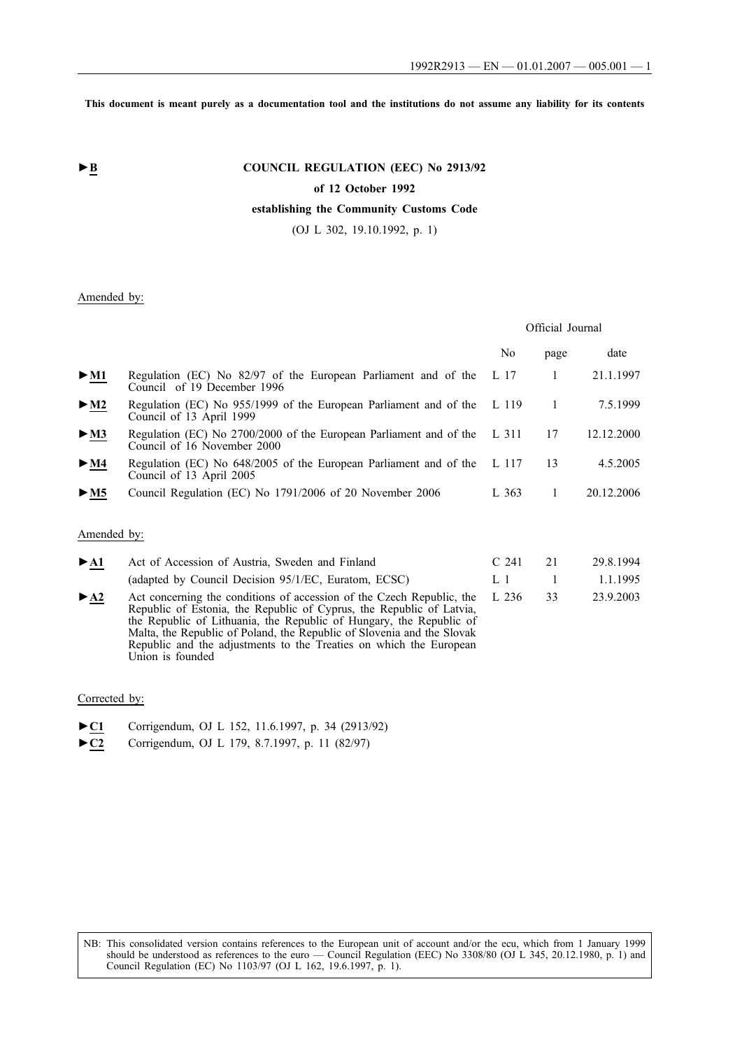**This document is meant purely as a documentation tool and the institutions do not assume any liability for its contents**

### ► **B** COUNCIL REGULATION (EEC) No 2913/92

### **of 12 October 1992**

### **establishing the Community Customs Code**

(OJ L 302, 19.10.1992, p. 1)

### Amended by:

|                            |                                                                                                     | Official Journal |      |            |
|----------------------------|-----------------------------------------------------------------------------------------------------|------------------|------|------------|
|                            |                                                                                                     | No               | page | date       |
| $\triangleright$ <u>M1</u> | Regulation (EC) No 82/97 of the European Parliament and of the<br>Council of 19 December 1996       | L 17             |      | 21.1.1997  |
| $\blacktriangleright$ M2   | Regulation (EC) No 955/1999 of the European Parliament and of the L 119<br>Council of 13 April 1999 |                  |      | 7.5.1999   |
| $\triangleright$ <u>M3</u> | Regulation (EC) No 2700/2000 of the European Parliament and of the<br>Council of 16 November 2000   | L 311            | 17   | 12.12.2000 |
| $\blacktriangleright$ M4   | Regulation (EC) No 648/2005 of the European Parliament and of the<br>Council of 13 April 2005       | L 117            | 13   | 4.5.2005   |
| > M5                       | Council Regulation (EC) No 1791/2006 of 20 November 2006                                            | L 363            |      | 20.12.2006 |

#### Amended by:

| $\blacktriangleright$ A1 | Act of Accession of Austria, Sweden and Finland                                                                                                       | C 241                                                                    | -21 | 29.8.1994 |
|--------------------------|-------------------------------------------------------------------------------------------------------------------------------------------------------|--------------------------------------------------------------------------|-----|-----------|
|                          | (adapted by Council Decision 95/1/EC, Euratom, ECSC)                                                                                                  | $\mathbf{L}$ , $\mathbf{L}$ , $\mathbf{L}$ , $\mathbf{L}$ , $\mathbf{L}$ |     | 1.1.1995  |
| $\blacktriangleright$ A2 | Act concerning the conditions of accession of the Czech Republic, the L 236 33<br>Republic of Estonia, the Republic of Cyprus, the Republic of Latvia |                                                                          |     | 23.9.2003 |

Republic of Estonia, the Republic of Cyprus, the Republic of Latvia, the Republic of Lithuania, the Republic of Hungary, the Republic of Malta, the Republic of Poland, the Republic of Slovenia and the Slovak Republic and the adjustments to the Treaties on which the European Union is founded

#### Corrected by:

- ►**C1** Corrigendum, OJ L 152, 11.6.1997, p. 34 (2913/92)
- ►**C2** Corrigendum, OJ L 179, 8.7.1997, p. 11 (82/97)

NB: This consolidated version contains references to the European unit of account and/or the ecu, which from 1 January 1999 should be understood as references to the euro — Council Regulation (EEC) No 3308/80 (OJ L 345, 20.12.1980, p. 1) and Council Regulation (EC) No 1103/97 (OJ L 162, 19.6.1997, p. 1).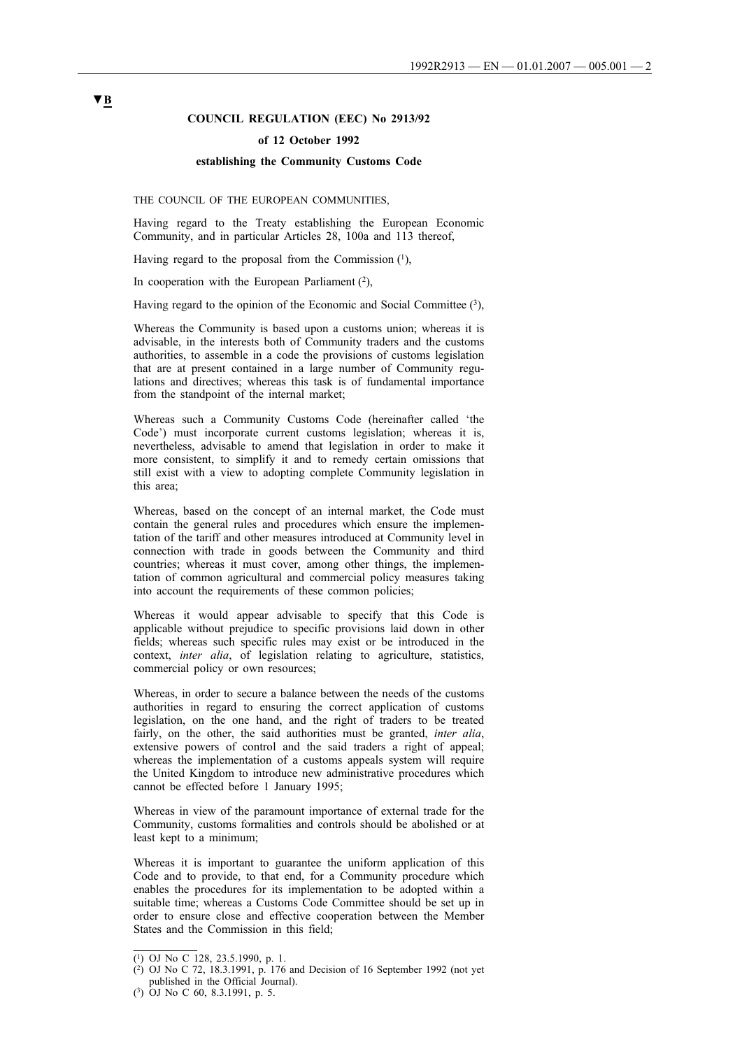### **COUNCIL REGULATION (EEC) No 2913/92**

#### **of 12 October 1992**

### **establishing the Community Customs Code**

THE COUNCIL OF THE EUROPEAN COMMUNITIES,

Having regard to the Treaty establishing the European Economic Community, and in particular Articles 28, 100a and 113 thereof,

Having regard to the proposal from the Commission  $(1)$ ,

In cooperation with the European Parliament  $(2)$ ,

Having regard to the opinion of the Economic and Social Committee (3),

Whereas the Community is based upon a customs union; whereas it is advisable, in the interests both of Community traders and the customs authorities, to assemble in a code the provisions of customs legislation that are at present contained in a large number of Community regulations and directives; whereas this task is of fundamental importance from the standpoint of the internal market;

Whereas such a Community Customs Code (hereinafter called 'the Code') must incorporate current customs legislation; whereas it is, nevertheless, advisable to amend that legislation in order to make it more consistent, to simplify it and to remedy certain omissions that still exist with a view to adopting complete Community legislation in this area;

Whereas, based on the concept of an internal market, the Code must contain the general rules and procedures which ensure the implementation of the tariff and other measures introduced at Community level in connection with trade in goods between the Community and third countries; whereas it must cover, among other things, the implementation of common agricultural and commercial policy measures taking into account the requirements of these common policies;

Whereas it would appear advisable to specify that this Code is applicable without prejudice to specific provisions laid down in other fields; whereas such specific rules may exist or be introduced in the context, *inter alia*, of legislation relating to agriculture, statistics, commercial policy or own resources;

Whereas, in order to secure a balance between the needs of the customs authorities in regard to ensuring the correct application of customs legislation, on the one hand, and the right of traders to be treated fairly, on the other, the said authorities must be granted, *inter alia*, extensive powers of control and the said traders a right of appeal; whereas the implementation of a customs appeals system will require the United Kingdom to introduce new administrative procedures which cannot be effected before 1 January 1995;

Whereas in view of the paramount importance of external trade for the Community, customs formalities and controls should be abolished or at least kept to a minimum;

Whereas it is important to guarantee the uniform application of this Code and to provide, to that end, for a Community procedure which enables the procedures for its implementation to be adopted within a suitable time; whereas a Customs Code Committee should be set up in order to ensure close and effective cooperation between the Member States and the Commission in this field;

<sup>(1)</sup> OJ No C 128, 23.5.1990, p. 1.

<sup>(2)</sup> OJ No C 72, 18.3.1991, p. 176 and Decision of 16 September 1992 (not yet

published in the Official Journal). (3) OJ No C 60, 8.3.1991, p. 5.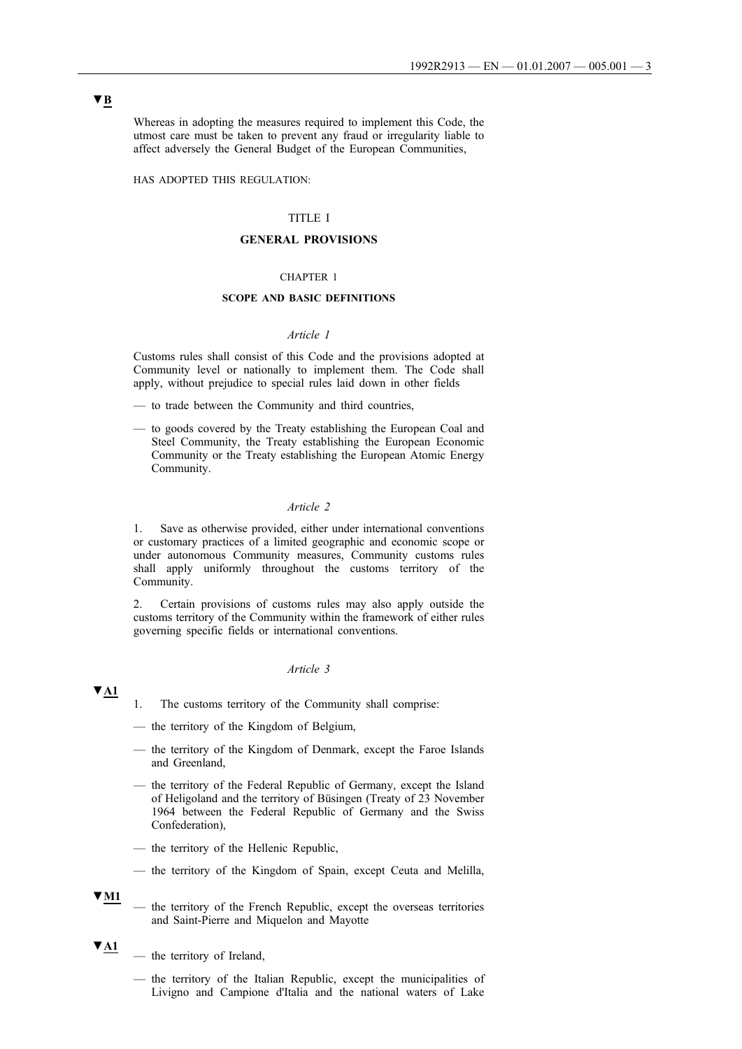Whereas in adopting the measures required to implement this Code, the utmost care must be taken to prevent any fraud or irregularity liable to affect adversely the General Budget of the European Communities,

HAS ADOPTED THIS REGULATION:

### TITLE I

### **GENERAL PROVISIONS**

### CHAPTER 1

### **SCOPE AND BASIC DEFINITIONS**

### *Article 1*

Customs rules shall consist of this Code and the provisions adopted at Community level or nationally to implement them. The Code shall apply, without prejudice to special rules laid down in other fields

- to trade between the Community and third countries,
- to goods covered by the Treaty establishing the European Coal and Steel Community, the Treaty establishing the European Economic Community or the Treaty establishing the European Atomic Energy Community.

#### *Article 2*

1. Save as otherwise provided, either under international conventions or customary practices of a limited geographic and economic scope or under autonomous Community measures, Community customs rules shall apply uniformly throughout the customs territory of the Community.

2. Certain provisions of customs rules may also apply outside the customs territory of the Community within the framework of either rules governing specific fields or international conventions.

#### *Article 3*

### **▼A1**

- 1. The customs territory of the Community shall comprise:
- the territory of the Kingdom of Belgium,
- the territory of the Kingdom of Denmark, except the Faroe Islands and Greenland,
- the territory of the Federal Republic of Germany, except the Island of Heligoland and the territory of Büsingen (Treaty of 23 November 1964 between the Federal Republic of Germany and the Swiss Confederation),
- the territory of the Hellenic Republic,
- the territory of the Kingdom of Spain, except Ceuta and Melilla,

- **▼M1** the territory of the French Republic, except the overseas territories and Saint-Pierre and Miquelon and Mayotte
- **▼A1** the territory of Ireland,
	- the territory of the Italian Republic, except the municipalities of Livigno and Campione d'Italia and the national waters of Lake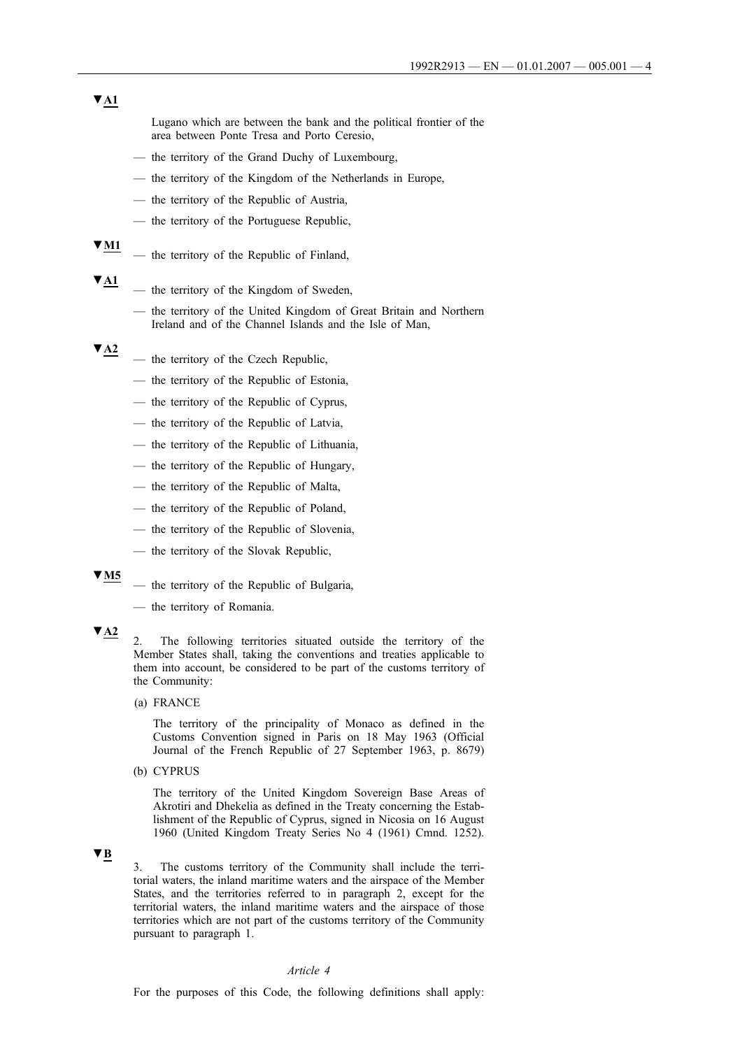Lugano which are between the bank and the political frontier of the area between Ponte Tresa and Porto Ceresio,

- the territory of the Grand Duchy of Luxembourg,
- the territory of the Kingdom of the Netherlands in Europe,
- the territory of the Republic of Austria,
- the territory of the Portuguese Republic,
- **▼M1** the territory of the Republic of Finland,
- **▼A1** the territory of the Kingdom of Sweden,
	- the territory of the United Kingdom of Great Britain and Northern Ireland and of the Channel Islands and the Isle of Man,
- **▼A2** the territory of the Czech Republic,
	- the territory of the Republic of Estonia,
	- the territory of the Republic of Cyprus,
	- the territory of the Republic of Latvia,
	- the territory of the Republic of Lithuania,
	- the territory of the Republic of Hungary,
	- the territory of the Republic of Malta,
	- the territory of the Republic of Poland,
	- the territory of the Republic of Slovenia,
	- the territory of the Slovak Republic,
- 
- **▼M5** the territory of the Republic of Bulgaria,
	- the territory of Romania.

# **▼A2**

2. The following territories situated outside the territory of the Member States shall, taking the conventions and treaties applicable to them into account, be considered to be part of the customs territory of the Community:

(a) FRANCE

The territory of the principality of Monaco as defined in the Customs Convention signed in Paris on 18 May 1963 (Official Journal of the French Republic of 27 September 1963, p. 8679)

(b) CYPRUS

The territory of the United Kingdom Sovereign Base Areas of Akrotiri and Dhekelia as defined in the Treaty concerning the Establishment of the Republic of Cyprus, signed in Nicosia on 16 August 1960 (United Kingdom Treaty Series No 4 (1961) Cmnd. 1252).

### **▼B**

3. The customs territory of the Community shall include the territorial waters, the inland maritime waters and the airspace of the Member States, and the territories referred to in paragraph 2, except for the territorial waters, the inland maritime waters and the airspace of those territories which are not part of the customs territory of the Community pursuant to paragraph 1.

#### *Article 4*

For the purposes of this Code, the following definitions shall apply:

# **▼A1**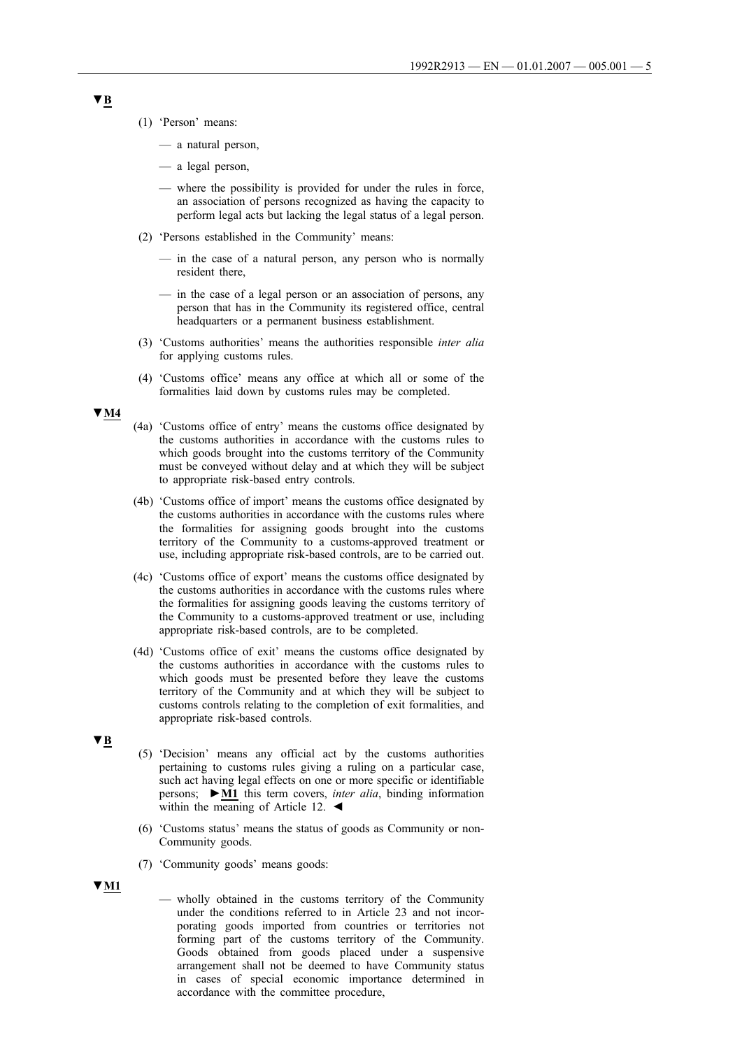- (1) 'Person' means:
	- a natural person,
	- a legal person,
	- where the possibility is provided for under the rules in force, an association of persons recognized as having the capacity to perform legal acts but lacking the legal status of a legal person.
- (2) 'Persons established in the Community' means:
	- $-$  in the case of a natural person, any person who is normally resident there,
	- in the case of a legal person or an association of persons, any person that has in the Community its registered office, central headquarters or a permanent business establishment.
- (3) 'Customs authorities' means the authorities responsible *inter alia* for applying customs rules.
- (4) 'Customs office' means any office at which all or some of the formalities laid down by customs rules may be completed.

**▼M4**

- (4a) 'Customs office of entry' means the customs office designated by the customs authorities in accordance with the customs rules to which goods brought into the customs territory of the Community must be conveyed without delay and at which they will be subject to appropriate risk-based entry controls.
- (4b) 'Customs office of import' means the customs office designated by the customs authorities in accordance with the customs rules where the formalities for assigning goods brought into the customs territory of the Community to a customs-approved treatment or use, including appropriate risk-based controls, are to be carried out.
- (4c) 'Customs office of export' means the customs office designated by the customs authorities in accordance with the customs rules where the formalities for assigning goods leaving the customs territory of the Community to a customs-approved treatment or use, including appropriate risk-based controls, are to be completed.
- (4d) 'Customs office of exit' means the customs office designated by the customs authorities in accordance with the customs rules to which goods must be presented before they leave the customs territory of the Community and at which they will be subject to customs controls relating to the completion of exit formalities, and appropriate risk-based controls.
- (5) 'Decision' means any official act by the customs authorities pertaining to customs rules giving a ruling on a particular case, such act having legal effects on one or more specific or identifiable persons; **►M1** this term covers, *inter alia*, binding information within the meaning of Article 12.  $\blacktriangleleft$
- (6) 'Customs status' means the status of goods as Community or non-Community goods.
- (7) 'Community goods' means goods:

### **▼M1**

**▼B**

— wholly obtained in the customs territory of the Community under the conditions referred to in Article 23 and not incorporating goods imported from countries or territories not forming part of the customs territory of the Community. Goods obtained from goods placed under a suspensive arrangement shall not be deemed to have Community status in cases of special economic importance determined in accordance with the committee procedure,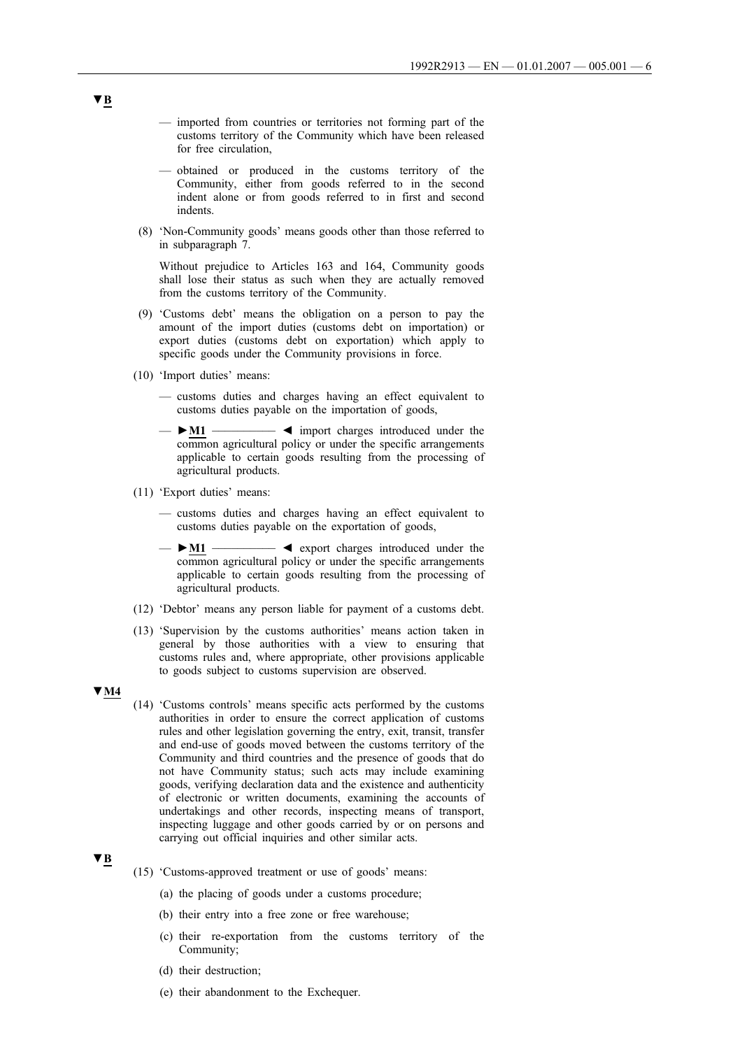- imported from countries or territories not forming part of the customs territory of the Community which have been released for free circulation,
- obtained or produced in the customs territory of the Community, either from goods referred to in the second indent alone or from goods referred to in first and second indents.
- (8) 'Non-Community goods' means goods other than those referred to in subparagraph 7.

Without prejudice to Articles 163 and 164, Community goods shall lose their status as such when they are actually removed from the customs territory of the Community.

- (9) 'Customs debt' means the obligation on a person to pay the amount of the import duties (customs debt on importation) or export duties (customs debt on exportation) which apply to specific goods under the Community provisions in force.
- (10) 'Import duties' means:
	- customs duties and charges having an effect equivalent to customs duties payable on the importation of goods,
	- **►M1** \_\_\_\_\_\_\_\_\_\_ ◄ import charges introduced under the common agricultural policy or under the specific arrangements applicable to certain goods resulting from the processing of agricultural products.
- (11) 'Export duties' means:
	- customs duties and charges having an effect equivalent to customs duties payable on the exportation of goods,
	- **►M1** \_\_\_\_\_\_\_\_\_\_ ◄ export charges introduced under the common agricultural policy or under the specific arrangements applicable to certain goods resulting from the processing of agricultural products.
- (12) 'Debtor' means any person liable for payment of a customs debt.
- (13) 'Supervision by the customs authorities' means action taken in general by those authorities with a view to ensuring that customs rules and, where appropriate, other provisions applicable to goods subject to customs supervision are observed.

# **▼M4**

(14) 'Customs controls' means specific acts performed by the customs authorities in order to ensure the correct application of customs rules and other legislation governing the entry, exit, transit, transfer and end-use of goods moved between the customs territory of the Community and third countries and the presence of goods that do not have Community status; such acts may include examining goods, verifying declaration data and the existence and authenticity of electronic or written documents, examining the accounts of undertakings and other records, inspecting means of transport, inspecting luggage and other goods carried by or on persons and carrying out official inquiries and other similar acts.

# **▼B**

- (15) 'Customs-approved treatment or use of goods' means:
	- (a) the placing of goods under a customs procedure;
	- (b) their entry into a free zone or free warehouse;
	- (c) their re-exportation from the customs territory of the Community;
	- (d) their destruction;
	- (e) their abandonment to the Exchequer.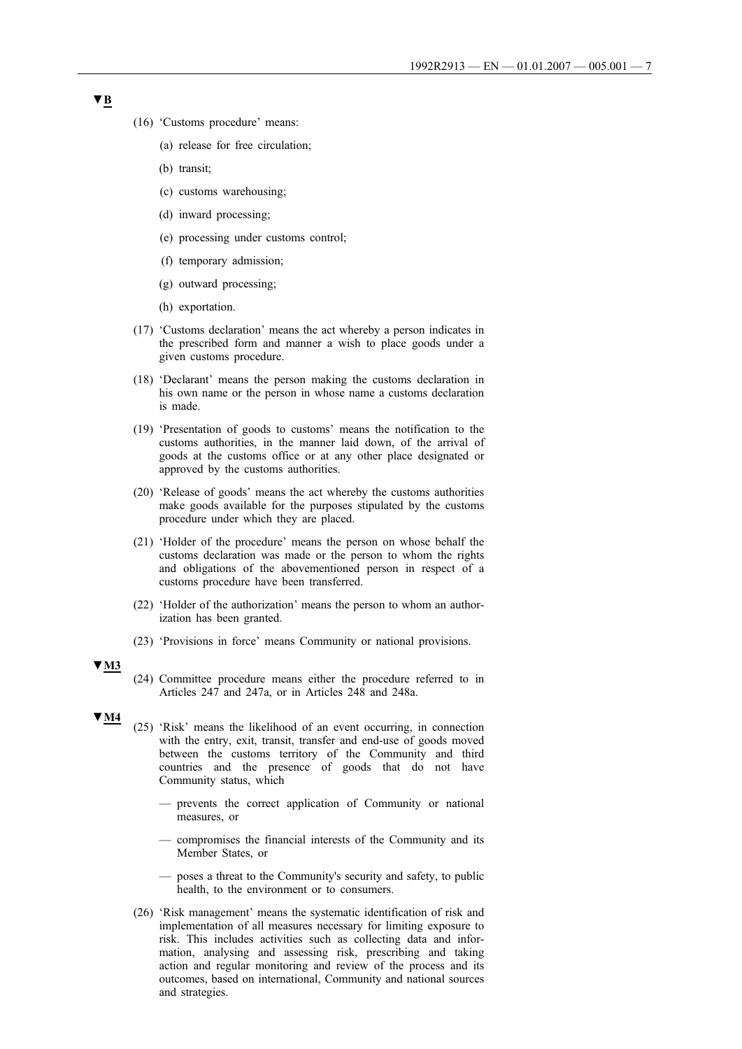- (16) 'Customs procedure' means:
	- (a) release for free circulation;
	- (b) transit;
	- (c) customs warehousing;
	- (d) inward processing;
	- (e) processing under customs control;
	- (f) temporary admission;
	- (g) outward processing;
	- (h) exportation.
- (17) 'Customs declaration' means the act whereby a person indicates in the prescribed form and manner a wish to place goods under a given customs procedure.
- (18) 'Declarant' means the person making the customs declaration in his own name or the person in whose name a customs declaration is made.
- (19) 'Presentation of goods to customs' means the notification to the customs authorities, in the manner laid down, of the arrival of goods at the customs office or at any other place designated or approved by the customs authorities.
- (20) 'Release of goods' means the act whereby the customs authorities make goods available for the purposes stipulated by the customs procedure under which they are placed.
- (21) 'Holder of the procedure' means the person on whose behalf the customs declaration was made or the person to whom the rights and obligations of the abovementioned person in respect of a customs procedure have been transferred.
- (22) 'Holder of the authorization' means the person to whom an authorization has been granted.
- (23) 'Provisions in force' means Community or national provisions.

#### **▼M3**

(24) Committee procedure means either the procedure referred to in Articles 247 and 247a, or in Articles 248 and 248a.

# **▼M4**

- (25) 'Risk' means the likelihood of an event occurring, in connection with the entry, exit, transit, transfer and end-use of goods moved between the customs territory of the Community and third countries and the presence of goods that do not have Community status, which
	- prevents the correct application of Community or national measures, or
	- compromises the financial interests of the Community and its Member States, or
	- poses a threat to the Community's security and safety, to public health, to the environment or to consumers.
- (26) 'Risk management' means the systematic identification of risk and implementation of all measures necessary for limiting exposure to risk. This includes activities such as collecting data and information, analysing and assessing risk, prescribing and taking action and regular monitoring and review of the process and its outcomes, based on international, Community and national sources and strategies.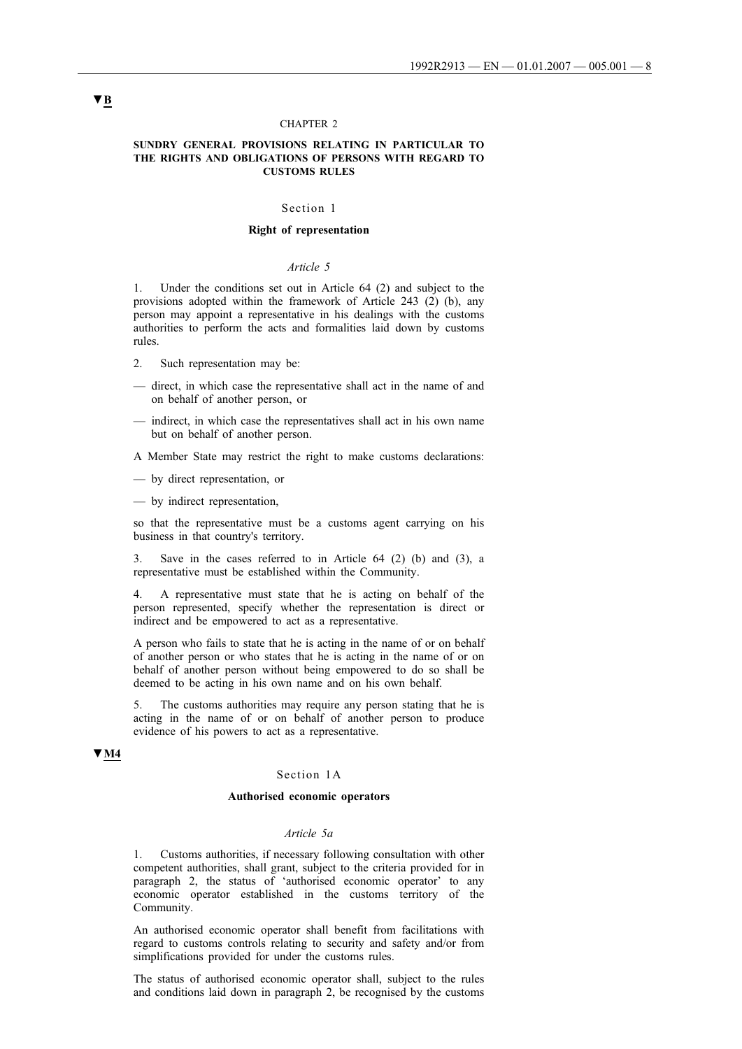#### CHAPTER 2

### **SUNDRY GENERAL PROVISIONS RELATING IN PARTICULAR TO THE RIGHTS AND OBLIGATIONS OF PERSONS WITH REGARD TO CUSTOMS RULES**

#### Section 1

#### **Right of representation**

### *Article 5*

1. Under the conditions set out in Article 64 (2) and subject to the provisions adopted within the framework of Article 243 (2) (b), any person may appoint a representative in his dealings with the customs authorities to perform the acts and formalities laid down by customs rules.

- 2. Such representation may be:
- direct, in which case the representative shall act in the name of and on behalf of another person, or
- indirect, in which case the representatives shall act in his own name but on behalf of another person.
- A Member State may restrict the right to make customs declarations:
- by direct representation, or
- by indirect representation,

so that the representative must be a customs agent carrying on his business in that country's territory.

Save in the cases referred to in Article  $64$  (2) (b) and (3), a representative must be established within the Community.

4. A representative must state that he is acting on behalf of the person represented, specify whether the representation is direct or indirect and be empowered to act as a representative.

A person who fails to state that he is acting in the name of or on behalf of another person or who states that he is acting in the name of or on behalf of another person without being empowered to do so shall be deemed to be acting in his own name and on his own behalf.

5. The customs authorities may require any person stating that he is acting in the name of or on behalf of another person to produce evidence of his powers to act as a representative.

### **▼M4**

### Section 1A

#### **Authorised economic operators**

#### *Article 5a*

1. Customs authorities, if necessary following consultation with other competent authorities, shall grant, subject to the criteria provided for in paragraph 2, the status of 'authorised economic operator' to any economic operator established in the customs territory of the Community.

An authorised economic operator shall benefit from facilitations with regard to customs controls relating to security and safety and/or from simplifications provided for under the customs rules.

The status of authorised economic operator shall, subject to the rules and conditions laid down in paragraph 2, be recognised by the customs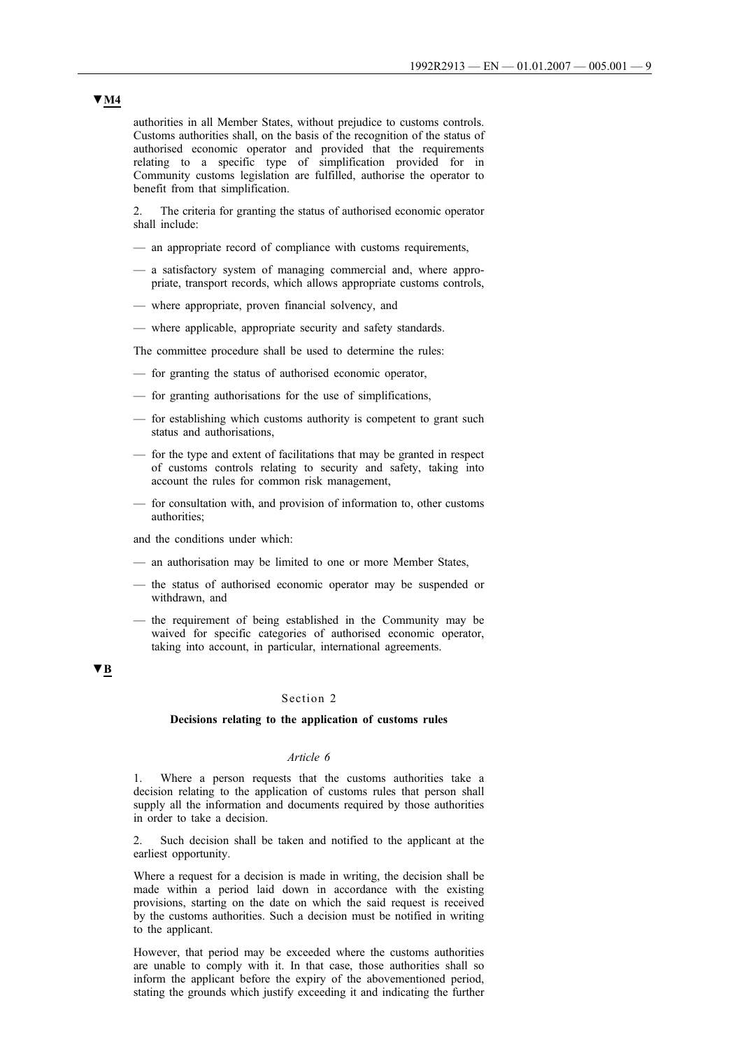authorities in all Member States, without prejudice to customs controls. Customs authorities shall, on the basis of the recognition of the status of authorised economic operator and provided that the requirements relating to a specific type of simplification provided for in Community customs legislation are fulfilled, authorise the operator to benefit from that simplification.

2. The criteria for granting the status of authorised economic operator shall include:

- an appropriate record of compliance with customs requirements,
- a satisfactory system of managing commercial and, where appropriate, transport records, which allows appropriate customs controls,
- where appropriate, proven financial solvency, and
- where applicable, appropriate security and safety standards.

The committee procedure shall be used to determine the rules:

- for granting the status of authorised economic operator,
- for granting authorisations for the use of simplifications,
- for establishing which customs authority is competent to grant such status and authorisations,
- for the type and extent of facilitations that may be granted in respect of customs controls relating to security and safety, taking into account the rules for common risk management,
- for consultation with, and provision of information to, other customs authorities;

and the conditions under which:

- an authorisation may be limited to one or more Member States,
- the status of authorised economic operator may be suspended or withdrawn, and
- the requirement of being established in the Community may be waived for specific categories of authorised economic operator, taking into account, in particular, international agreements.

### **▼B**

#### Section 2

### **Decisions relating to the application of customs rules**

### *Article 6*

1. Where a person requests that the customs authorities take a decision relating to the application of customs rules that person shall supply all the information and documents required by those authorities in order to take a decision.

2. Such decision shall be taken and notified to the applicant at the earliest opportunity.

Where a request for a decision is made in writing, the decision shall be made within a period laid down in accordance with the existing provisions, starting on the date on which the said request is received by the customs authorities. Such a decision must be notified in writing to the applicant.

However, that period may be exceeded where the customs authorities are unable to comply with it. In that case, those authorities shall so inform the applicant before the expiry of the abovementioned period, stating the grounds which justify exceeding it and indicating the further

# **▼M4**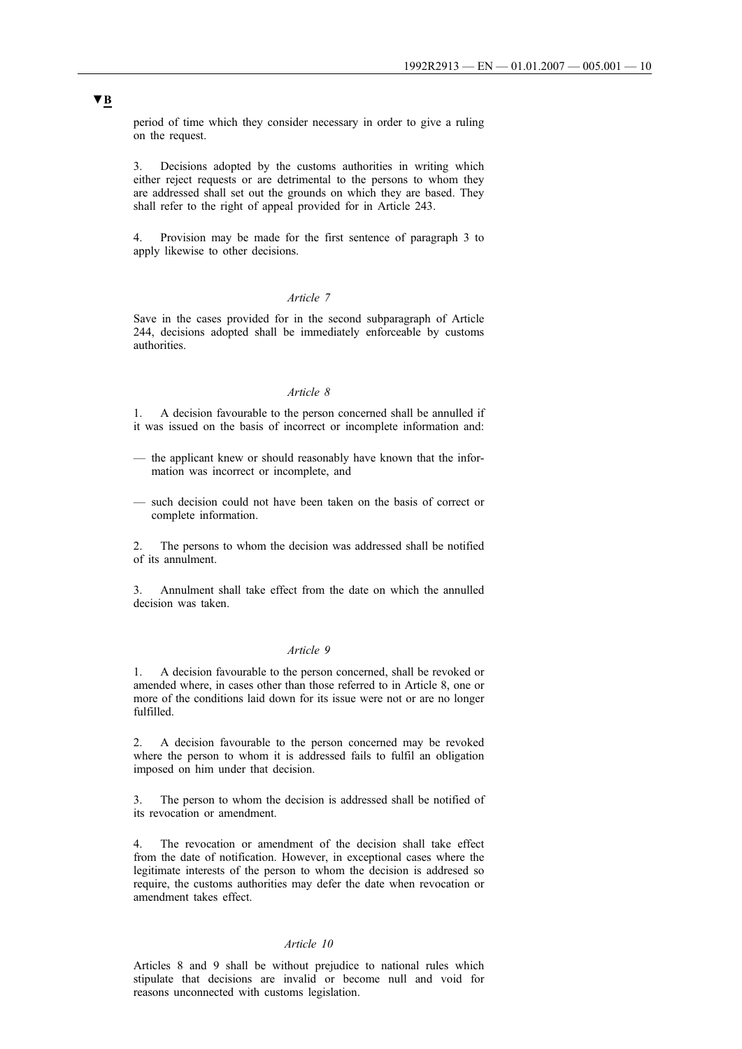period of time which they consider necessary in order to give a ruling on the request.

3. Decisions adopted by the customs authorities in writing which either reject requests or are detrimental to the persons to whom they are addressed shall set out the grounds on which they are based. They shall refer to the right of appeal provided for in Article 243.

4. Provision may be made for the first sentence of paragraph 3 to apply likewise to other decisions.

### *Article 7*

Save in the cases provided for in the second subparagraph of Article 244, decisions adopted shall be immediately enforceable by customs authorities.

### *Article 8*

1. A decision favourable to the person concerned shall be annulled if it was issued on the basis of incorrect or incomplete information and:

- the applicant knew or should reasonably have known that the information was incorrect or incomplete, and
- such decision could not have been taken on the basis of correct or complete information.

2. The persons to whom the decision was addressed shall be notified of its annulment.

3. Annulment shall take effect from the date on which the annulled decision was taken.

#### *Article 9*

1. A decision favourable to the person concerned, shall be revoked or amended where, in cases other than those referred to in Article 8, one or more of the conditions laid down for its issue were not or are no longer fulfilled.

2. A decision favourable to the person concerned may be revoked where the person to whom it is addressed fails to fulfil an obligation imposed on him under that decision.

3. The person to whom the decision is addressed shall be notified of its revocation or amendment.

4. The revocation or amendment of the decision shall take effect from the date of notification. However, in exceptional cases where the legitimate interests of the person to whom the decision is addresed so require, the customs authorities may defer the date when revocation or amendment takes effect.

### *Article 10*

Articles 8 and 9 shall be without prejudice to national rules which stipulate that decisions are invalid or become null and void for reasons unconnected with customs legislation.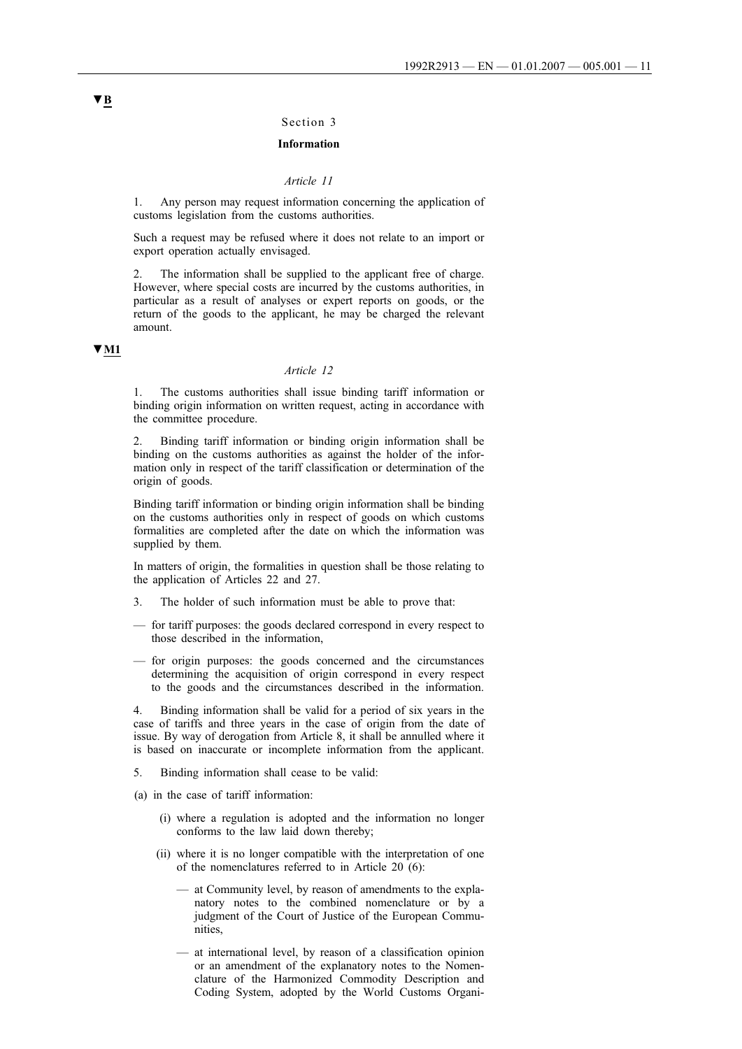#### Section 3

### **Information**

#### *Article 11*

1. Any person may request information concerning the application of customs legislation from the customs authorities.

Such a request may be refused where it does not relate to an import or export operation actually envisaged.

2. The information shall be supplied to the applicant free of charge. However, where special costs are incurred by the customs authorities, in particular as a result of analyses or expert reports on goods, or the return of the goods to the applicant, he may be charged the relevant amount.

# **▼M1**

#### *Article 12*

1. The customs authorities shall issue binding tariff information or binding origin information on written request, acting in accordance with the committee procedure.

2. Binding tariff information or binding origin information shall be binding on the customs authorities as against the holder of the information only in respect of the tariff classification or determination of the origin of goods.

Binding tariff information or binding origin information shall be binding on the customs authorities only in respect of goods on which customs formalities are completed after the date on which the information was supplied by them.

In matters of origin, the formalities in question shall be those relating to the application of Articles 22 and 27.

- 3. The holder of such information must be able to prove that:
- for tariff purposes: the goods declared correspond in every respect to those described in the information,
- for origin purposes: the goods concerned and the circumstances determining the acquisition of origin correspond in every respect to the goods and the circumstances described in the information.

4. Binding information shall be valid for a period of six years in the case of tariffs and three years in the case of origin from the date of issue. By way of derogation from Article 8, it shall be annulled where it is based on inaccurate or incomplete information from the applicant.

- 5. Binding information shall cease to be valid:
- (a) in the case of tariff information:
	- (i) where a regulation is adopted and the information no longer conforms to the law laid down thereby;
	- (ii) where it is no longer compatible with the interpretation of one of the nomenclatures referred to in Article 20 (6):
		- at Community level, by reason of amendments to the explanatory notes to the combined nomenclature or by a judgment of the Court of Justice of the European Communities,
		- at international level, by reason of a classification opinion or an amendment of the explanatory notes to the Nomenclature of the Harmonized Commodity Description and Coding System, adopted by the World Customs Organi-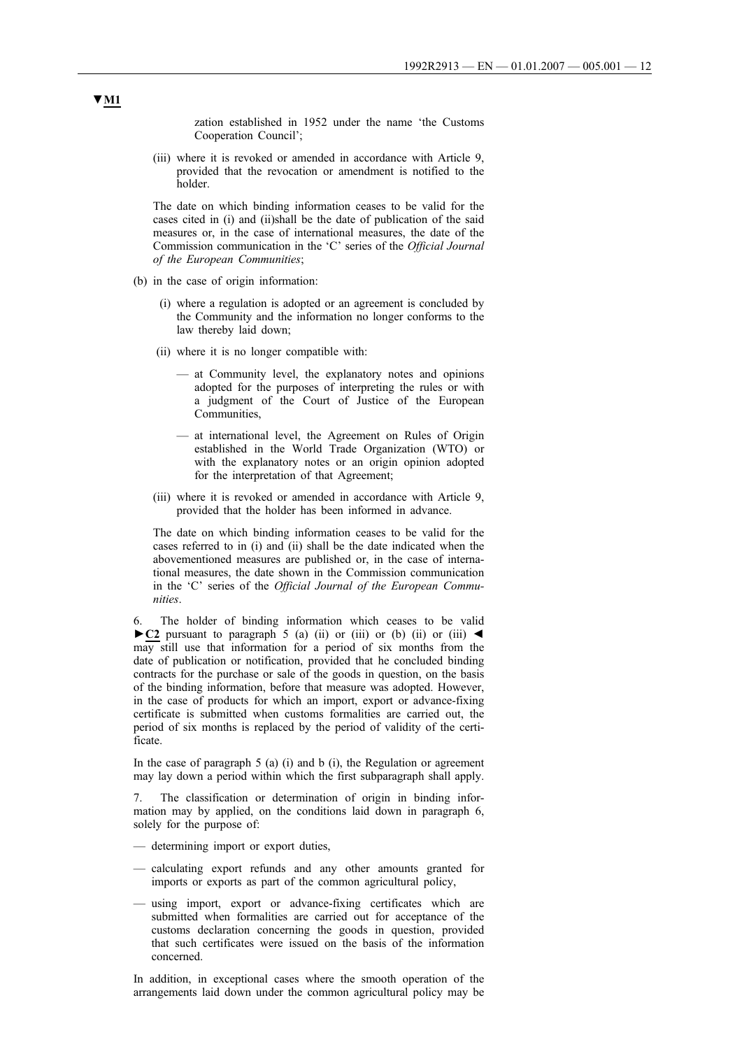zation established in 1952 under the name 'the Customs Cooperation Council';

(iii) where it is revoked or amended in accordance with Article 9, provided that the revocation or amendment is notified to the holder.

The date on which binding information ceases to be valid for the cases cited in (i) and (ii)shall be the date of publication of the said measures or, in the case of international measures, the date of the Commission communication in the 'C' series of the *Official Journal of the European Communities*;

- (b) in the case of origin information:
	- (i) where a regulation is adopted or an agreement is concluded by the Community and the information no longer conforms to the law thereby laid down;
	- (ii) where it is no longer compatible with:
		- at Community level, the explanatory notes and opinions adopted for the purposes of interpreting the rules or with a judgment of the Court of Justice of the European Communities,
		- at international level, the Agreement on Rules of Origin established in the World Trade Organization (WTO) or with the explanatory notes or an origin opinion adopted for the interpretation of that Agreement;
	- (iii) where it is revoked or amended in accordance with Article 9, provided that the holder has been informed in advance.

The date on which binding information ceases to be valid for the cases referred to in (i) and (ii) shall be the date indicated when the abovementioned measures are published or, in the case of international measures, the date shown in the Commission communication in the 'C' series of the *Official Journal of the European Communities*.

6. The holder of binding information which ceases to be valid  $\blacktriangleright$  **C2** pursuant to paragraph 5 (a) (ii) or (iii) or (b) (ii) or (iii)  $\blacktriangleleft$ may still use that information for a period of six months from the date of publication or notification, provided that he concluded binding contracts for the purchase or sale of the goods in question, on the basis of the binding information, before that measure was adopted. However, in the case of products for which an import, export or advance-fixing certificate is submitted when customs formalities are carried out, the period of six months is replaced by the period of validity of the certificate.

In the case of paragraph 5 (a) (i) and b (i), the Regulation or agreement may lay down a period within which the first subparagraph shall apply.

7. The classification or determination of origin in binding information may by applied, on the conditions laid down in paragraph 6, solely for the purpose of:

- determining import or export duties,
- calculating export refunds and any other amounts granted for imports or exports as part of the common agricultural policy,
- using import, export or advance-fixing certificates which are submitted when formalities are carried out for acceptance of the customs declaration concerning the goods in question, provided that such certificates were issued on the basis of the information concerned.

In addition, in exceptional cases where the smooth operation of the arrangements laid down under the common agricultural policy may be

# **▼M1**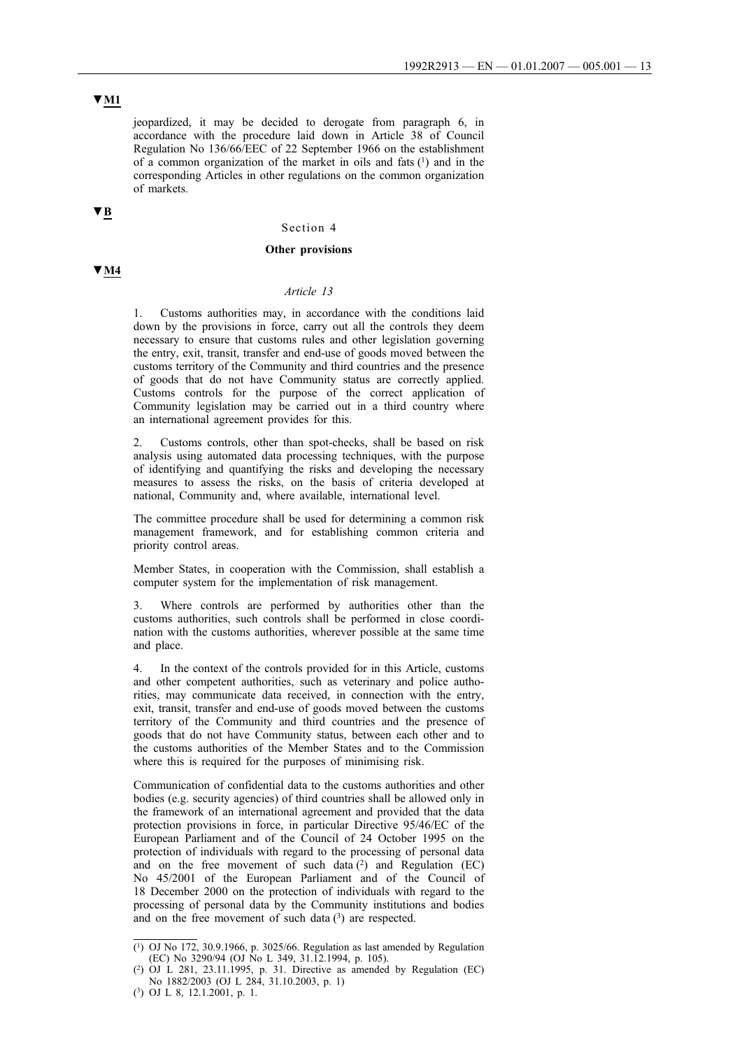# **▼M1**

jeopardized, it may be decided to derogate from paragraph 6, in accordance with the procedure laid down in Article 38 of Council Regulation No 136/66/EEC of 22 September 1966 on the establishment of a common organization of the market in oils and fats  $(1)$  and in the corresponding Articles in other regulations on the common organization of markets.

### Section 4

### **Other provisions**

**▼M4**

**▼B**

### *Article 13*

1. Customs authorities may, in accordance with the conditions laid down by the provisions in force, carry out all the controls they deem necessary to ensure that customs rules and other legislation governing the entry, exit, transit, transfer and end-use of goods moved between the customs territory of the Community and third countries and the presence of goods that do not have Community status are correctly applied. Customs controls for the purpose of the correct application of Community legislation may be carried out in a third country where an international agreement provides for this.

2. Customs controls, other than spot-checks, shall be based on risk analysis using automated data processing techniques, with the purpose of identifying and quantifying the risks and developing the necessary measures to assess the risks, on the basis of criteria developed at national, Community and, where available, international level.

The committee procedure shall be used for determining a common risk management framework, and for establishing common criteria and priority control areas.

Member States, in cooperation with the Commission, shall establish a computer system for the implementation of risk management.

3. Where controls are performed by authorities other than the customs authorities, such controls shall be performed in close coordination with the customs authorities, wherever possible at the same time and place.

4. In the context of the controls provided for in this Article, customs and other competent authorities, such as veterinary and police authorities, may communicate data received, in connection with the entry, exit, transit, transfer and end-use of goods moved between the customs territory of the Community and third countries and the presence of goods that do not have Community status, between each other and to the customs authorities of the Member States and to the Commission where this is required for the purposes of minimising risk.

Communication of confidential data to the customs authorities and other bodies (e.g. security agencies) of third countries shall be allowed only in the framework of an international agreement and provided that the data protection provisions in force, in particular Directive 95/46/EC of the European Parliament and of the Council of 24 October 1995 on the protection of individuals with regard to the processing of personal data and on the free movement of such data  $(2)$  and Regulation (EC) No 45/2001 of the European Parliament and of the Council of 18 December 2000 on the protection of individuals with regard to the processing of personal data by the Community institutions and bodies and on the free movement of such data  $(3)$  are respected.

 $(1)$  OJ No 172, 30.9.1966, p. 3025/66. Regulation as last amended by Regulation (EC) No 3290/94 (OJ No L 349, 31.12.1994, p. 105).

<sup>(2)</sup> OJ L 281, 23.11.1995, p. 31. Directive as amended by Regulation (EC) No 1882/2003 (OJ L 284, 31.10.2003, p. 1)

<sup>(3)</sup> OJ L 8, 12.1.2001, p. 1.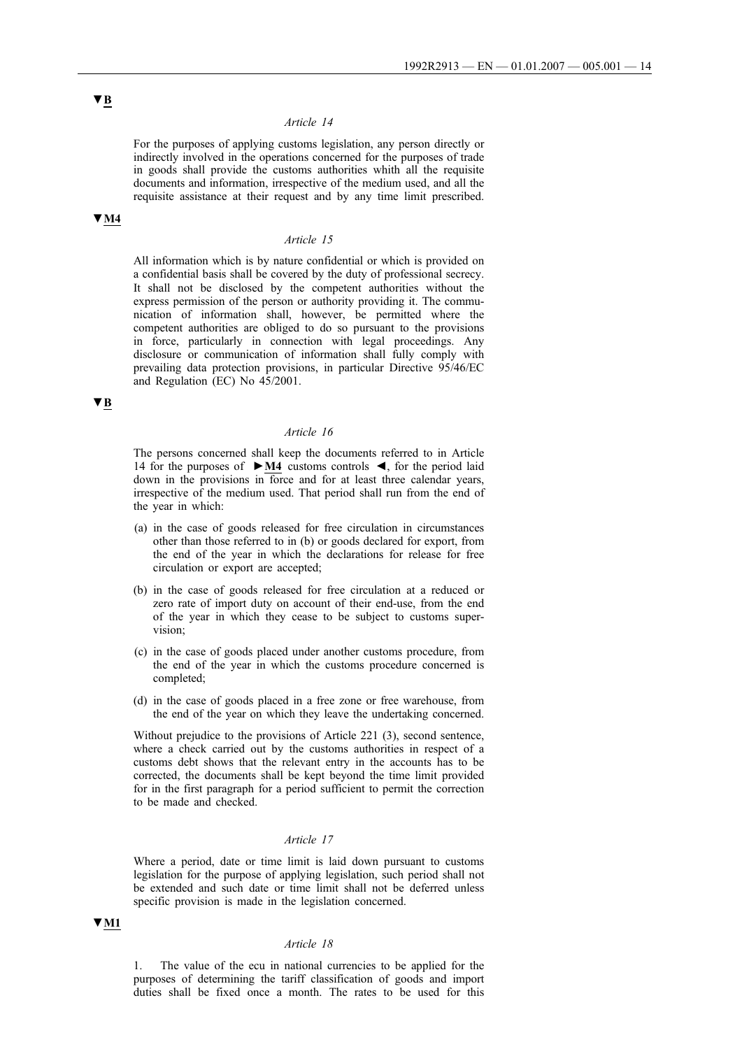For the purposes of applying customs legislation, any person directly or indirectly involved in the operations concerned for the purposes of trade in goods shall provide the customs authorities whith all the requisite documents and information, irrespective of the medium used, and all the requisite assistance at their request and by any time limit prescribed.

# **▼M4**

### *Article 15*

All information which is by nature confidential or which is provided on a confidential basis shall be covered by the duty of professional secrecy. It shall not be disclosed by the competent authorities without the express permission of the person or authority providing it. The communication of information shall, however, be permitted where the competent authorities are obliged to do so pursuant to the provisions in force, particularly in connection with legal proceedings. Any disclosure or communication of information shall fully comply with prevailing data protection provisions, in particular Directive 95/46/EC and Regulation (EC) No 45/2001.

### **▼B**

### *Article 16*

The persons concerned shall keep the documents referred to in Article 14 for the purposes of **►M4** customs controls ◄, for the period laid down in the provisions in force and for at least three calendar years, irrespective of the medium used. That period shall run from the end of the year in which:

- (a) in the case of goods released for free circulation in circumstances other than those referred to in (b) or goods declared for export, from the end of the year in which the declarations for release for free circulation or export are accepted;
- (b) in the case of goods released for free circulation at a reduced or zero rate of import duty on account of their end-use, from the end of the year in which they cease to be subject to customs supervision;
- (c) in the case of goods placed under another customs procedure, from the end of the year in which the customs procedure concerned is completed;
- (d) in the case of goods placed in a free zone or free warehouse, from the end of the year on which they leave the undertaking concerned.

Without prejudice to the provisions of Article 221 (3), second sentence, where a check carried out by the customs authorities in respect of a customs debt shows that the relevant entry in the accounts has to be corrected, the documents shall be kept beyond the time limit provided for in the first paragraph for a period sufficient to permit the correction to be made and checked.

### *Article 17*

Where a period, date or time limit is laid down pursuant to customs legislation for the purpose of applying legislation, such period shall not be extended and such date or time limit shall not be deferred unless specific provision is made in the legislation concerned.

### **▼M1**

### *Article 18*

1. The value of the ecu in national currencies to be applied for the purposes of determining the tariff classification of goods and import duties shall be fixed once a month. The rates to be used for this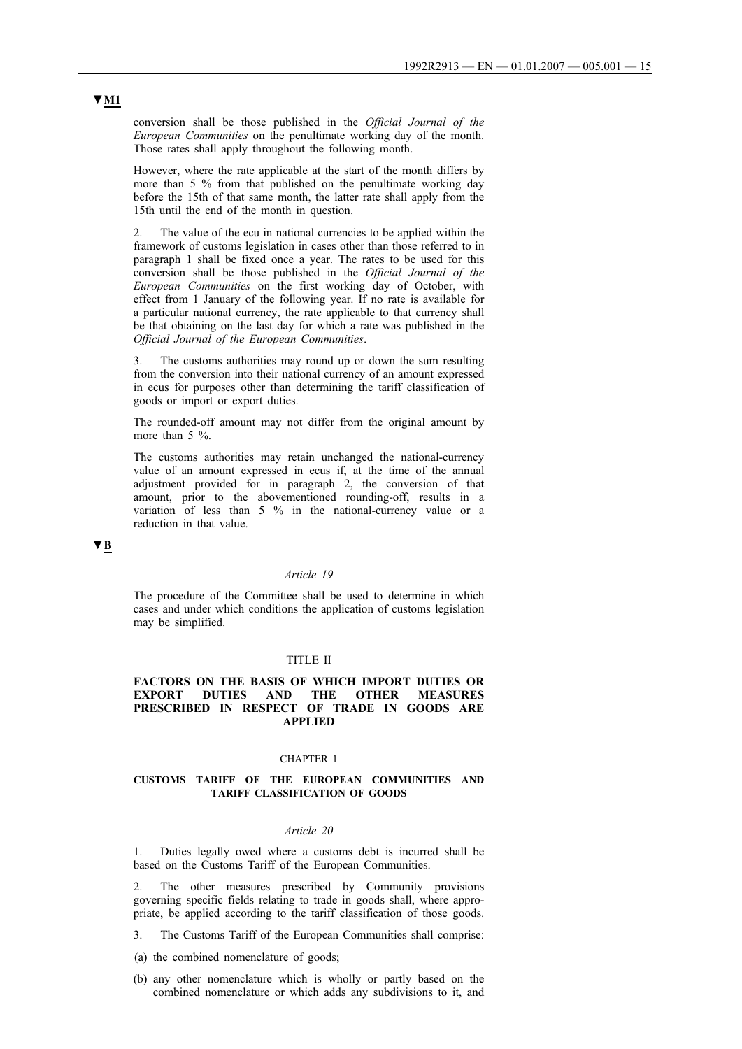conversion shall be those published in the *Official Journal of the European Communities* on the penultimate working day of the month. Those rates shall apply throughout the following month.

However, where the rate applicable at the start of the month differs by more than 5 % from that published on the penultimate working day before the 15th of that same month, the latter rate shall apply from the 15th until the end of the month in question.

2. The value of the ecu in national currencies to be applied within the framework of customs legislation in cases other than those referred to in paragraph 1 shall be fixed once a year. The rates to be used for this conversion shall be those published in the *Official Journal of the European Communities* on the first working day of October, with effect from 1 January of the following year. If no rate is available for a particular national currency, the rate applicable to that currency shall be that obtaining on the last day for which a rate was published in the *Official Journal of the European Communities*.

3. The customs authorities may round up or down the sum resulting from the conversion into their national currency of an amount expressed in ecus for purposes other than determining the tariff classification of goods or import or export duties.

The rounded-off amount may not differ from the original amount by more than 5 %.

The customs authorities may retain unchanged the national-currency value of an amount expressed in ecus if, at the time of the annual adjustment provided for in paragraph 2, the conversion of that amount, prior to the abovementioned rounding-off, results in a variation of less than 5 % in the national-currency value or a reduction in that value.

### **▼B**

### *Article 19*

The procedure of the Committee shall be used to determine in which cases and under which conditions the application of customs legislation may be simplified.

#### TITLE II

### **FACTORS ON THE BASIS OF WHICH IMPORT DUTIES OR EXPORT DUTIES AND THE OTHER MEASURES PRESCRIBED IN RESPECT OF TRADE IN GOODS ARE APPLIED**

#### CHAPTER 1

#### **CUSTOMS TARIFF OF THE EUROPEAN COMMUNITIES AND TARIFF CLASSIFICATION OF GOODS**

#### *Article 20*

1. Duties legally owed where a customs debt is incurred shall be based on the Customs Tariff of the European Communities.

The other measures prescribed by Community provisions governing specific fields relating to trade in goods shall, where appropriate, be applied according to the tariff classification of those goods.

3. The Customs Tariff of the European Communities shall comprise:

(a) the combined nomenclature of goods;

(b) any other nomenclature which is wholly or partly based on the combined nomenclature or which adds any subdivisions to it, and

# **▼M1**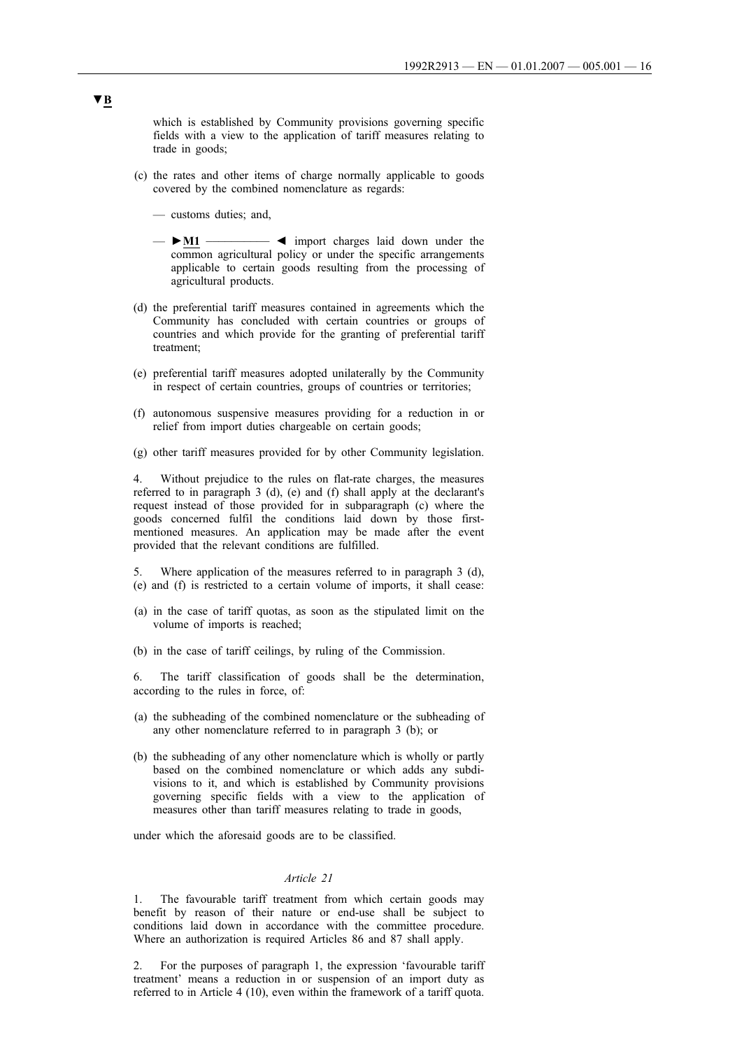which is established by Community provisions governing specific fields with a view to the application of tariff measures relating to trade in goods;

- (c) the rates and other items of charge normally applicable to goods covered by the combined nomenclature as regards:
	- customs duties; and,
	- **►M1** \_\_\_\_\_\_\_\_\_\_ ◄ import charges laid down under the common agricultural policy or under the specific arrangements applicable to certain goods resulting from the processing of agricultural products.
- (d) the preferential tariff measures contained in agreements which the Community has concluded with certain countries or groups of countries and which provide for the granting of preferential tariff treatment;
- (e) preferential tariff measures adopted unilaterally by the Community in respect of certain countries, groups of countries or territories;
- (f) autonomous suspensive measures providing for a reduction in or relief from import duties chargeable on certain goods;
- (g) other tariff measures provided for by other Community legislation.

Without prejudice to the rules on flat-rate charges, the measures referred to in paragraph 3 (d), (e) and (f) shall apply at the declarant's request instead of those provided for in subparagraph (c) where the goods concerned fulfil the conditions laid down by those firstmentioned measures. An application may be made after the event provided that the relevant conditions are fulfilled.

Where application of the measures referred to in paragraph 3 (d), (e) and (f) is restricted to a certain volume of imports, it shall cease:

- (a) in the case of tariff quotas, as soon as the stipulated limit on the volume of imports is reached;
- (b) in the case of tariff ceilings, by ruling of the Commission.

6. The tariff classification of goods shall be the determination, according to the rules in force, of:

- (a) the subheading of the combined nomenclature or the subheading of any other nomenclature referred to in paragraph 3 (b); or
- (b) the subheading of any other nomenclature which is wholly or partly based on the combined nomenclature or which adds any subdivisions to it, and which is established by Community provisions governing specific fields with a view to the application of measures other than tariff measures relating to trade in goods,

under which the aforesaid goods are to be classified.

### *Article 21*

1. The favourable tariff treatment from which certain goods may benefit by reason of their nature or end-use shall be subject to conditions laid down in accordance with the committee procedure. Where an authorization is required Articles 86 and 87 shall apply.

2. For the purposes of paragraph 1, the expression 'favourable tariff treatment' means a reduction in or suspension of an import duty as referred to in Article 4 (10), even within the framework of a tariff quota.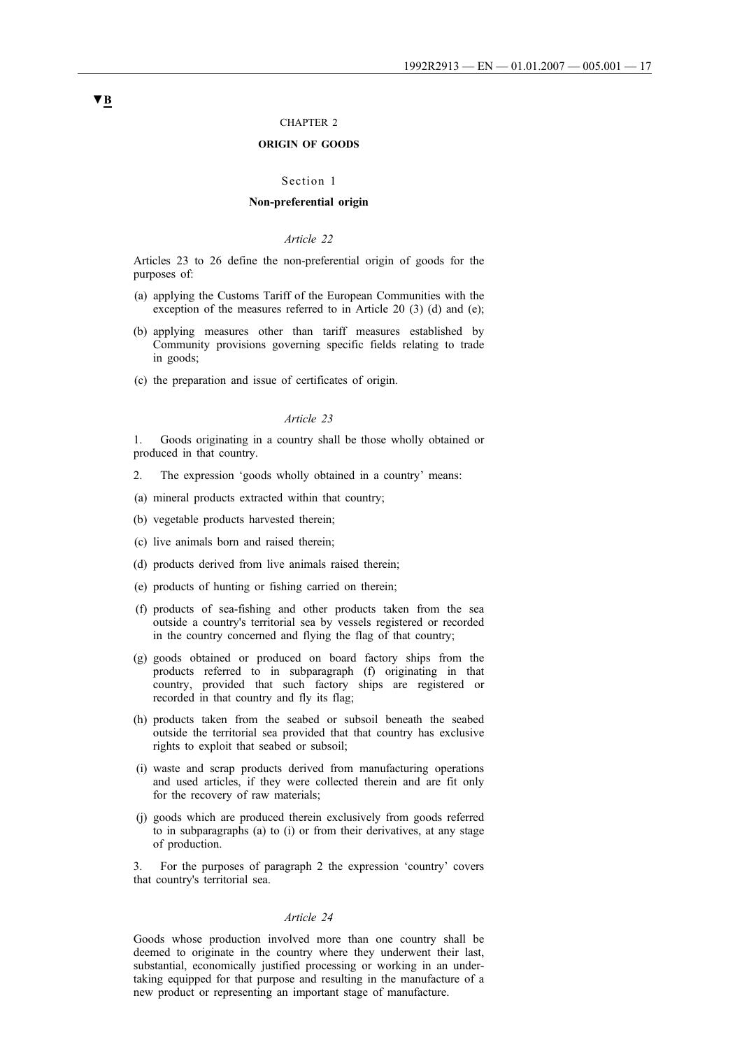### CHAPTER 2

### **ORIGIN OF GOODS**

#### Section 1

### **Non-preferential origin**

### *Article 22*

Articles 23 to 26 define the non-preferential origin of goods for the purposes of:

- (a) applying the Customs Tariff of the European Communities with the exception of the measures referred to in Article 20 (3) (d) and (e);
- (b) applying measures other than tariff measures established by Community provisions governing specific fields relating to trade in goods;
- (c) the preparation and issue of certificates of origin.

### *Article 23*

1. Goods originating in a country shall be those wholly obtained or produced in that country.

- 2. The expression 'goods wholly obtained in a country' means:
- (a) mineral products extracted within that country;
- (b) vegetable products harvested therein;
- (c) live animals born and raised therein;
- (d) products derived from live animals raised therein;
- (e) products of hunting or fishing carried on therein;
- (f) products of sea-fishing and other products taken from the sea outside a country's territorial sea by vessels registered or recorded in the country concerned and flying the flag of that country;
- (g) goods obtained or produced on board factory ships from the products referred to in subparagraph (f) originating in that country, provided that such factory ships are registered or recorded in that country and fly its flag;
- (h) products taken from the seabed or subsoil beneath the seabed outside the territorial sea provided that that country has exclusive rights to exploit that seabed or subsoil;
- (i) waste and scrap products derived from manufacturing operations and used articles, if they were collected therein and are fit only for the recovery of raw materials;
- (j) goods which are produced therein exclusively from goods referred to in subparagraphs (a) to (i) or from their derivatives, at any stage of production.

3. For the purposes of paragraph 2 the expression 'country' covers that country's territorial sea.

#### *Article 24*

Goods whose production involved more than one country shall be deemed to originate in the country where they underwent their last, substantial, economically justified processing or working in an undertaking equipped for that purpose and resulting in the manufacture of a new product or representing an important stage of manufacture.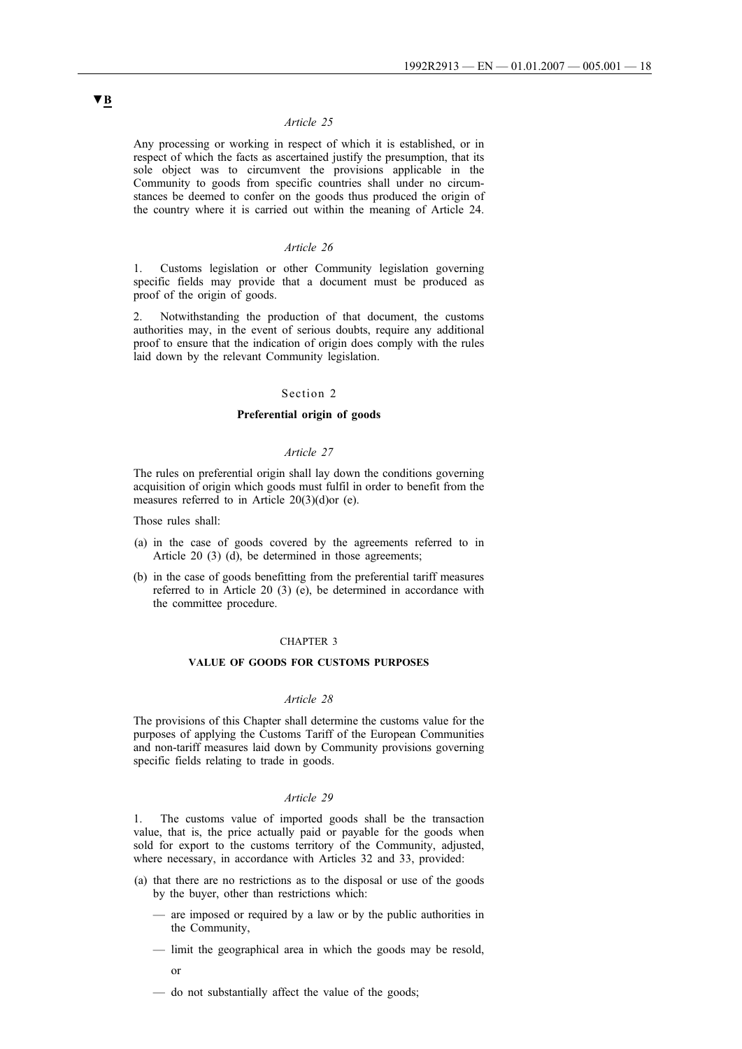Any processing or working in respect of which it is established, or in respect of which the facts as ascertained justify the presumption, that its sole object was to circumvent the provisions applicable in the Community to goods from specific countries shall under no circumstances be deemed to confer on the goods thus produced the origin of the country where it is carried out within the meaning of Article 24.

#### *Article 26*

1. Customs legislation or other Community legislation governing specific fields may provide that a document must be produced as proof of the origin of goods.

2. Notwithstanding the production of that document, the customs authorities may, in the event of serious doubts, require any additional proof to ensure that the indication of origin does comply with the rules laid down by the relevant Community legislation.

#### Section 2

### **Preferential origin of goods**

### *Article 27*

The rules on preferential origin shall lay down the conditions governing acquisition of origin which goods must fulfil in order to benefit from the measures referred to in Article 20(3)(d)or (e).

Those rules shall:

- (a) in the case of goods covered by the agreements referred to in Article 20 (3) (d), be determined in those agreements;
- (b) in the case of goods benefitting from the preferential tariff measures referred to in Article 20 (3) (e), be determined in accordance with the committee procedure.

#### CHAPTER 3

## **VALUE OF GOODS FOR CUSTOMS PURPOSES**

#### *Article 28*

The provisions of this Chapter shall determine the customs value for the purposes of applying the Customs Tariff of the European Communities and non-tariff measures laid down by Community provisions governing specific fields relating to trade in goods.

### *Article 29*

1. The customs value of imported goods shall be the transaction value, that is, the price actually paid or payable for the goods when sold for export to the customs territory of the Community, adjusted, where necessary, in accordance with Articles 32 and 33, provided:

- (a) that there are no restrictions as to the disposal or use of the goods by the buyer, other than restrictions which:
	- are imposed or required by a law or by the public authorities in the Community,
	- limit the geographical area in which the goods may be resold, or
	- do not substantially affect the value of the goods;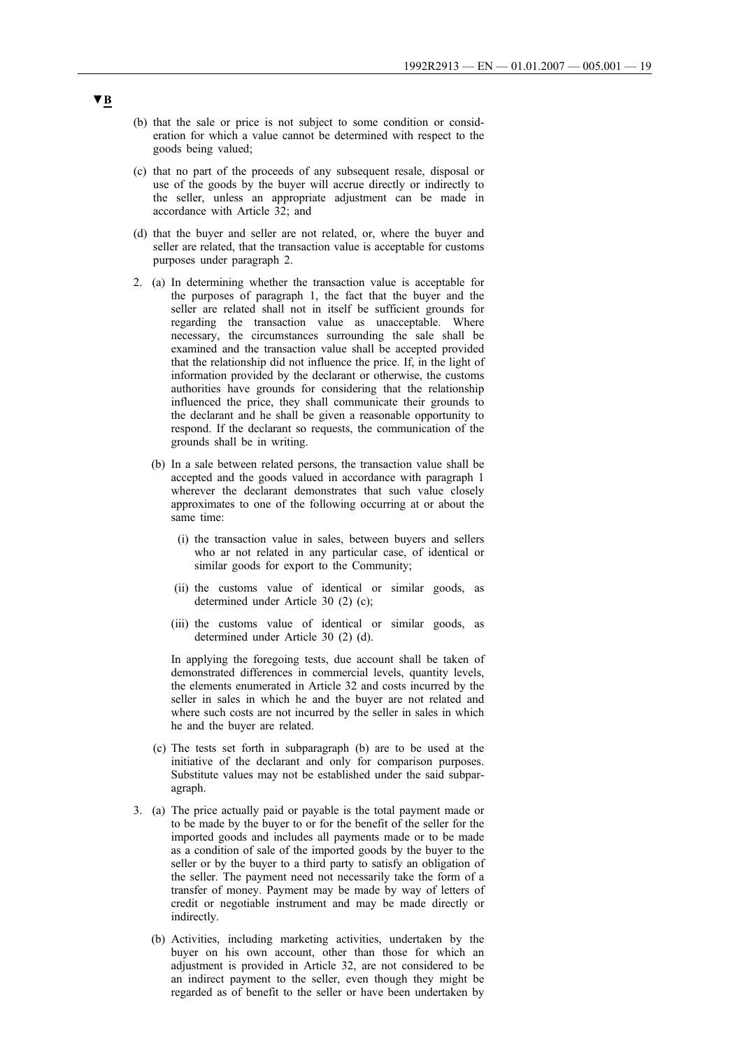- (b) that the sale or price is not subject to some condition or consideration for which a value cannot be determined with respect to the goods being valued;
- (c) that no part of the proceeds of any subsequent resale, disposal or use of the goods by the buyer will accrue directly or indirectly to the seller, unless an appropriate adjustment can be made in accordance with Article 32; and
- (d) that the buyer and seller are not related, or, where the buyer and seller are related, that the transaction value is acceptable for customs purposes under paragraph 2.
- 2. (a) In determining whether the transaction value is acceptable for the purposes of paragraph 1, the fact that the buyer and the seller are related shall not in itself be sufficient grounds for regarding the transaction value as unacceptable. Where necessary, the circumstances surrounding the sale shall be examined and the transaction value shall be accepted provided that the relationship did not influence the price. If, in the light of information provided by the declarant or otherwise, the customs authorities have grounds for considering that the relationship influenced the price, they shall communicate their grounds to the declarant and he shall be given a reasonable opportunity to respond. If the declarant so requests, the communication of the grounds shall be in writing.
	- (b) In a sale between related persons, the transaction value shall be accepted and the goods valued in accordance with paragraph 1 wherever the declarant demonstrates that such value closely approximates to one of the following occurring at or about the same time:
		- (i) the transaction value in sales, between buyers and sellers who ar not related in any particular case, of identical or similar goods for export to the Community;
		- (ii) the customs value of identical or similar goods, as determined under Article 30 (2) (c);
		- (iii) the customs value of identical or similar goods, as determined under Article 30 (2) (d).

In applying the foregoing tests, due account shall be taken of demonstrated differences in commercial levels, quantity levels, the elements enumerated in Article 32 and costs incurred by the seller in sales in which he and the buyer are not related and where such costs are not incurred by the seller in sales in which he and the buyer are related.

- (c) The tests set forth in subparagraph (b) are to be used at the initiative of the declarant and only for comparison purposes. Substitute values may not be established under the said subparagraph.
- 3. (a) The price actually paid or payable is the total payment made or to be made by the buyer to or for the benefit of the seller for the imported goods and includes all payments made or to be made as a condition of sale of the imported goods by the buyer to the seller or by the buyer to a third party to satisfy an obligation of the seller. The payment need not necessarily take the form of a transfer of money. Payment may be made by way of letters of credit or negotiable instrument and may be made directly or indirectly.
	- (b) Activities, including marketing activities, undertaken by the buyer on his own account, other than those for which an adjustment is provided in Article 32, are not considered to be an indirect payment to the seller, even though they might be regarded as of benefit to the seller or have been undertaken by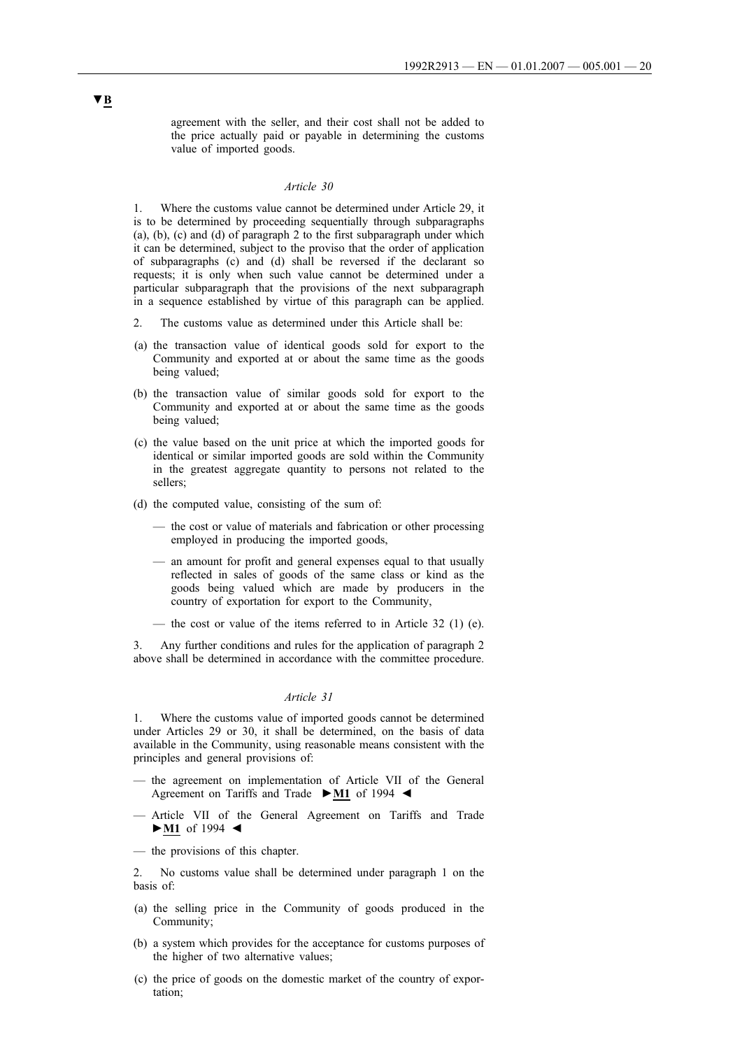agreement with the seller, and their cost shall not be added to the price actually paid or payable in determining the customs value of imported goods.

#### *Article 30*

1. Where the customs value cannot be determined under Article 29, it is to be determined by proceeding sequentially through subparagraphs (a), (b), (c) and (d) of paragraph 2 to the first subparagraph under which it can be determined, subject to the proviso that the order of application of subparagraphs (c) and (d) shall be reversed if the declarant so requests; it is only when such value cannot be determined under a particular subparagraph that the provisions of the next subparagraph in a sequence established by virtue of this paragraph can be applied.

- 2. The customs value as determined under this Article shall be:
- (a) the transaction value of identical goods sold for export to the Community and exported at or about the same time as the goods being valued;
- (b) the transaction value of similar goods sold for export to the Community and exported at or about the same time as the goods being valued;
- (c) the value based on the unit price at which the imported goods for identical or similar imported goods are sold within the Community in the greatest aggregate quantity to persons not related to the sellers;
- (d) the computed value, consisting of the sum of:
	- the cost or value of materials and fabrication or other processing employed in producing the imported goods,
	- an amount for profit and general expenses equal to that usually reflected in sales of goods of the same class or kind as the goods being valued which are made by producers in the country of exportation for export to the Community,
	- the cost or value of the items referred to in Article 32 (1) (e).

3. Any further conditions and rules for the application of paragraph 2 above shall be determined in accordance with the committee procedure.

#### *Article 31*

1. Where the customs value of imported goods cannot be determined under Articles 29 or 30, it shall be determined, on the basis of data available in the Community, using reasonable means consistent with the principles and general provisions of:

- the agreement on implementation of Article VII of the General Agreement on Tariffs and Trade **►M1** of 1994 ◄
- Article VII of the General Agreement on Tariffs and Trade **►M1** of 1994 ◄
- the provisions of this chapter.

2. No customs value shall be determined under paragraph 1 on the basis of:

- (a) the selling price in the Community of goods produced in the Community;
- (b) a system which provides for the acceptance for customs purposes of the higher of two alternative values;
- (c) the price of goods on the domestic market of the country of exportation;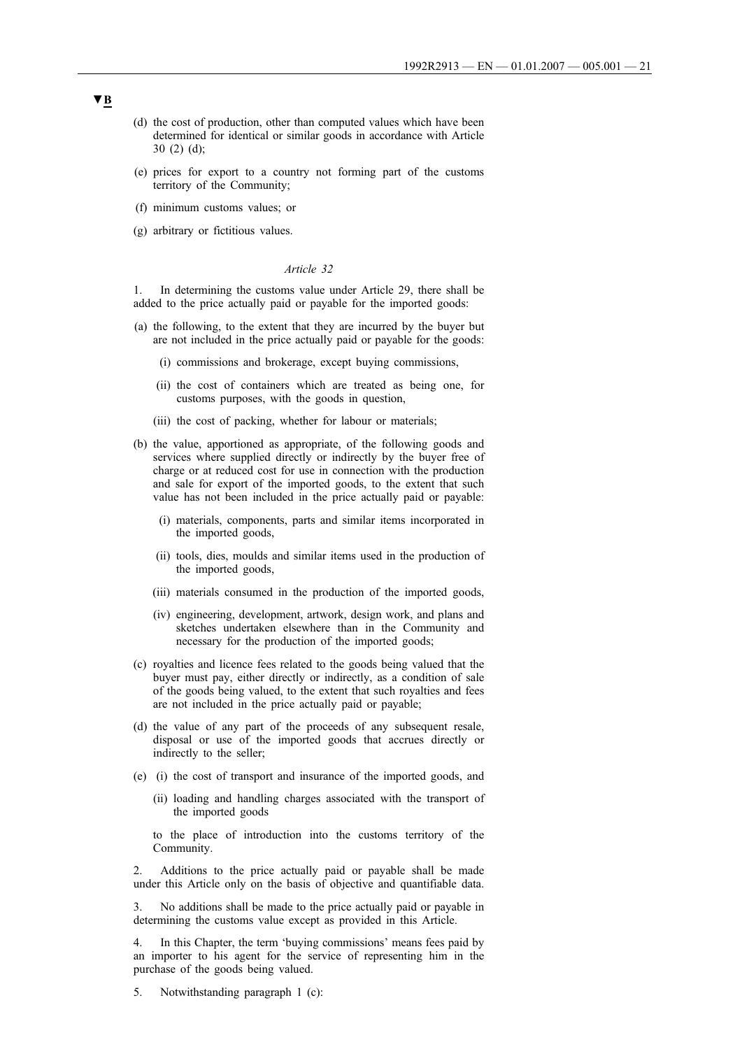- (d) the cost of production, other than computed values which have been determined for identical or similar goods in accordance with Article 30 (2) (d);
- (e) prices for export to a country not forming part of the customs territory of the Community;
- (f) minimum customs values; or
- (g) arbitrary or fictitious values.

1. In determining the customs value under Article 29, there shall be added to the price actually paid or payable for the imported goods:

- (a) the following, to the extent that they are incurred by the buyer but are not included in the price actually paid or payable for the goods:
	- (i) commissions and brokerage, except buying commissions,
	- (ii) the cost of containers which are treated as being one, for customs purposes, with the goods in question,
	- (iii) the cost of packing, whether for labour or materials;
- (b) the value, apportioned as appropriate, of the following goods and services where supplied directly or indirectly by the buyer free of charge or at reduced cost for use in connection with the production and sale for export of the imported goods, to the extent that such value has not been included in the price actually paid or payable:
	- (i) materials, components, parts and similar items incorporated in the imported goods,
	- (ii) tools, dies, moulds and similar items used in the production of the imported goods,
	- (iii) materials consumed in the production of the imported goods,
	- (iv) engineering, development, artwork, design work, and plans and sketches undertaken elsewhere than in the Community and necessary for the production of the imported goods;
- (c) royalties and licence fees related to the goods being valued that the buyer must pay, either directly or indirectly, as a condition of sale of the goods being valued, to the extent that such royalties and fees are not included in the price actually paid or payable;
- (d) the value of any part of the proceeds of any subsequent resale, disposal or use of the imported goods that accrues directly or indirectly to the seller;
- (e) (i) the cost of transport and insurance of the imported goods, and
	- (ii) loading and handling charges associated with the transport of the imported goods

to the place of introduction into the customs territory of the Community.

2. Additions to the price actually paid or payable shall be made under this Article only on the basis of objective and quantifiable data.

3. No additions shall be made to the price actually paid or payable in determining the customs value except as provided in this Article.

In this Chapter, the term 'buying commissions' means fees paid by an importer to his agent for the service of representing him in the purchase of the goods being valued.

5. Notwithstanding paragraph 1 (c):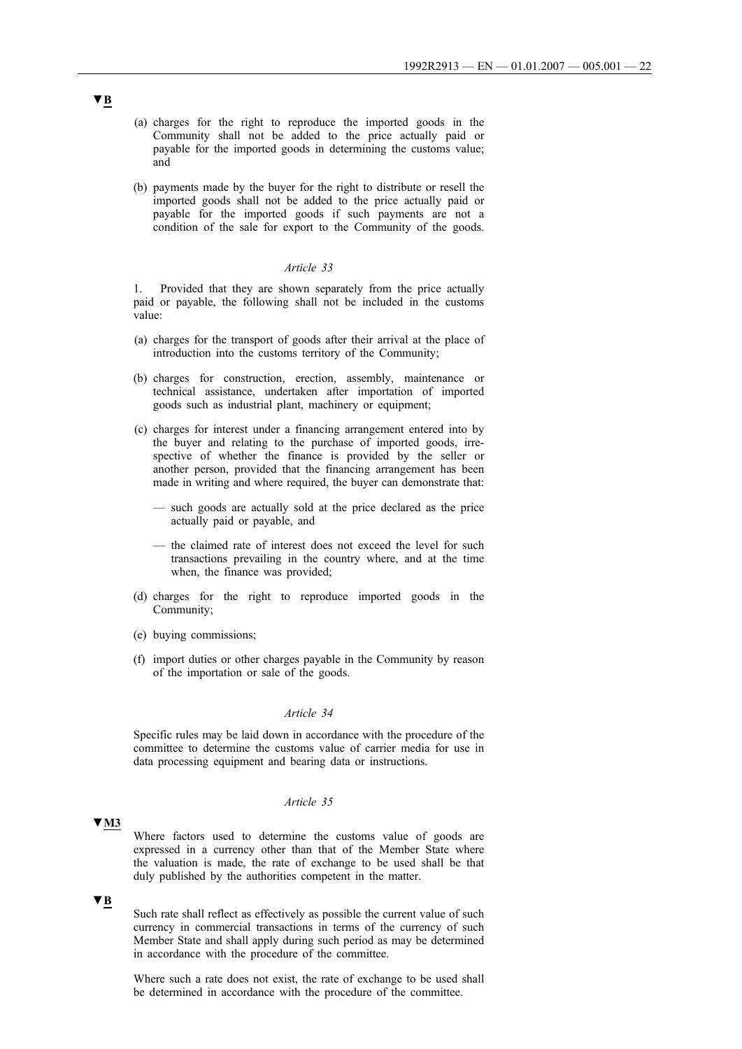- (a) charges for the right to reproduce the imported goods in the Community shall not be added to the price actually paid or payable for the imported goods in determining the customs value; and
- (b) payments made by the buyer for the right to distribute or resell the imported goods shall not be added to the price actually paid or payable for the imported goods if such payments are not a condition of the sale for export to the Community of the goods.

1. Provided that they are shown separately from the price actually paid or payable, the following shall not be included in the customs value:

- (a) charges for the transport of goods after their arrival at the place of introduction into the customs territory of the Community;
- (b) charges for construction, erection, assembly, maintenance or technical assistance, undertaken after importation of imported goods such as industrial plant, machinery or equipment;
- (c) charges for interest under a financing arrangement entered into by the buyer and relating to the purchase of imported goods, irrespective of whether the finance is provided by the seller or another person, provided that the financing arrangement has been made in writing and where required, the buyer can demonstrate that:
	- such goods are actually sold at the price declared as the price actually paid or payable, and
	- the claimed rate of interest does not exceed the level for such transactions prevailing in the country where, and at the time when, the finance was provided;
- (d) charges for the right to reproduce imported goods in the Community;
- (e) buying commissions;
- (f) import duties or other charges payable in the Community by reason of the importation or sale of the goods.

#### *Article 34*

Specific rules may be laid down in accordance with the procedure of the committee to determine the customs value of carrier media for use in data processing equipment and bearing data or instructions.

#### *Article 35*

#### **▼M3**

Where factors used to determine the customs value of goods are expressed in a currency other than that of the Member State where the valuation is made, the rate of exchange to be used shall be that duly published by the authorities competent in the matter.

### **▼B**

Such rate shall reflect as effectively as possible the current value of such currency in commercial transactions in terms of the currency of such Member State and shall apply during such period as may be determined in accordance with the procedure of the committee.

Where such a rate does not exist, the rate of exchange to be used shall be determined in accordance with the procedure of the committee.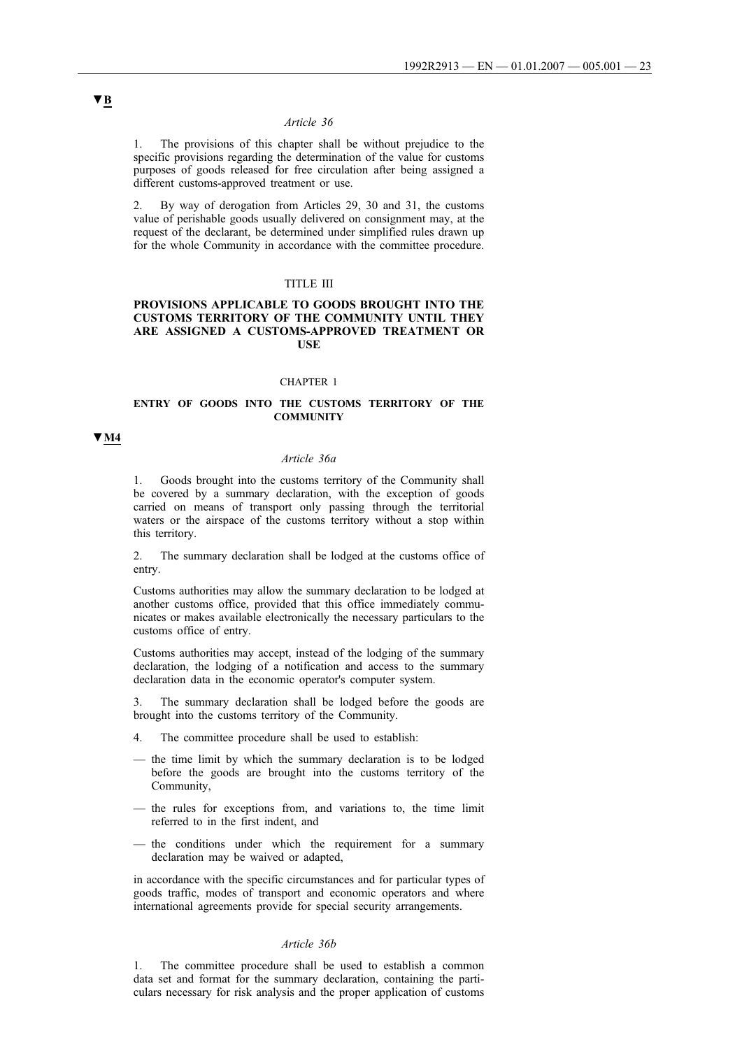The provisions of this chapter shall be without prejudice to the specific provisions regarding the determination of the value for customs purposes of goods released for free circulation after being assigned a different customs-approved treatment or use.

2. By way of derogation from Articles 29, 30 and 31, the customs value of perishable goods usually delivered on consignment may, at the request of the declarant, be determined under simplified rules drawn up for the whole Community in accordance with the committee procedure.

#### TITLE III

### **PROVISIONS APPLICABLE TO GOODS BROUGHT INTO THE CUSTOMS TERRITORY OF THE COMMUNITY UNTIL THEY ARE ASSIGNED A CUSTOMS-APPROVED TREATMENT OR USE**

### CHAPTER 1

### **ENTRY OF GOODS INTO THE CUSTOMS TERRITORY OF THE COMMUNITY**

### **▼M4**

### *Article 36a*

1. Goods brought into the customs territory of the Community shall be covered by a summary declaration, with the exception of goods carried on means of transport only passing through the territorial waters or the airspace of the customs territory without a stop within this territory.

2. The summary declaration shall be lodged at the customs office of entry.

Customs authorities may allow the summary declaration to be lodged at another customs office, provided that this office immediately communicates or makes available electronically the necessary particulars to the customs office of entry.

Customs authorities may accept, instead of the lodging of the summary declaration, the lodging of a notification and access to the summary declaration data in the economic operator's computer system.

The summary declaration shall be lodged before the goods are brought into the customs territory of the Community.

- The committee procedure shall be used to establish:
- the time limit by which the summary declaration is to be lodged before the goods are brought into the customs territory of the Community,
- the rules for exceptions from, and variations to, the time limit referred to in the first indent, and
- the conditions under which the requirement for a summary declaration may be waived or adapted,

in accordance with the specific circumstances and for particular types of goods traffic, modes of transport and economic operators and where international agreements provide for special security arrangements.

#### *Article 36b*

1. The committee procedure shall be used to establish a common data set and format for the summary declaration, containing the particulars necessary for risk analysis and the proper application of customs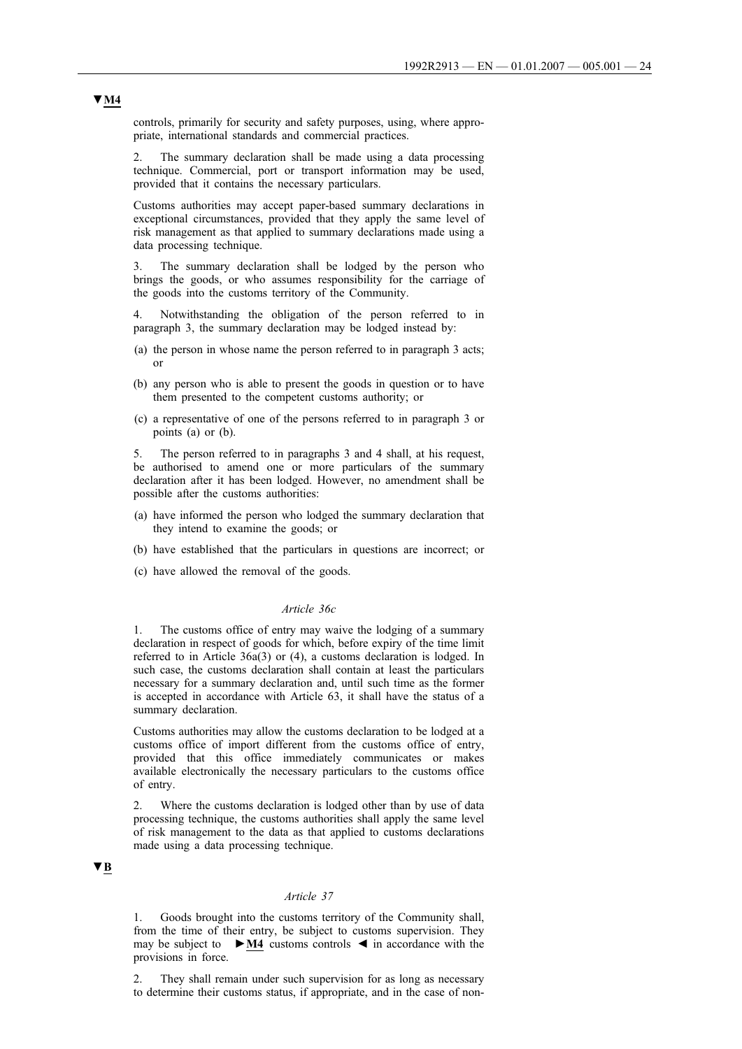controls, primarily for security and safety purposes, using, where appropriate, international standards and commercial practices.

2. The summary declaration shall be made using a data processing technique. Commercial, port or transport information may be used, provided that it contains the necessary particulars.

Customs authorities may accept paper-based summary declarations in exceptional circumstances, provided that they apply the same level of risk management as that applied to summary declarations made using a data processing technique.

3. The summary declaration shall be lodged by the person who brings the goods, or who assumes responsibility for the carriage of the goods into the customs territory of the Community.

4. Notwithstanding the obligation of the person referred to in paragraph 3, the summary declaration may be lodged instead by:

- (a) the person in whose name the person referred to in paragraph 3 acts; or
- (b) any person who is able to present the goods in question or to have them presented to the competent customs authority; or
- (c) a representative of one of the persons referred to in paragraph 3 or points (a) or (b).

5. The person referred to in paragraphs 3 and 4 shall, at his request, be authorised to amend one or more particulars of the summary declaration after it has been lodged. However, no amendment shall be possible after the customs authorities:

- (a) have informed the person who lodged the summary declaration that they intend to examine the goods; or
- (b) have established that the particulars in questions are incorrect; or
- (c) have allowed the removal of the goods.

#### *Article 36c*

1. The customs office of entry may waive the lodging of a summary declaration in respect of goods for which, before expiry of the time limit referred to in Article 36a(3) or (4), a customs declaration is lodged. In such case, the customs declaration shall contain at least the particulars necessary for a summary declaration and, until such time as the former is accepted in accordance with Article 63, it shall have the status of a summary declaration.

Customs authorities may allow the customs declaration to be lodged at a customs office of import different from the customs office of entry, provided that this office immediately communicates or makes available electronically the necessary particulars to the customs office of entry.

2. Where the customs declaration is lodged other than by use of data processing technique, the customs authorities shall apply the same level of risk management to the data as that applied to customs declarations made using a data processing technique.

### **▼B**

### *Article 37*

1. Goods brought into the customs territory of the Community shall, from the time of their entry, be subject to customs supervision. They may be subject to **►M4** customs controls ◄ in accordance with the provisions in force.

2. They shall remain under such supervision for as long as necessary to determine their customs status, if appropriate, and in the case of non-

# **▼M4**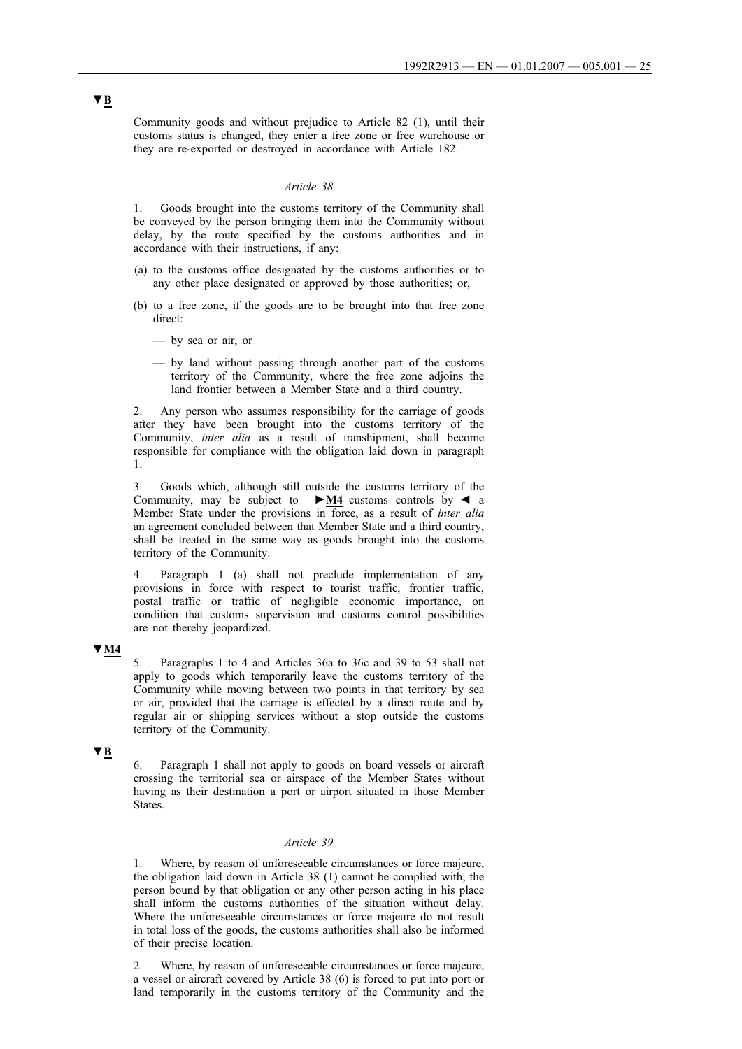Community goods and without prejudice to Article 82 (1), until their customs status is changed, they enter a free zone or free warehouse or they are re-exported or destroyed in accordance with Article 182.

#### *Article 38*

1. Goods brought into the customs territory of the Community shall be conveyed by the person bringing them into the Community without delay, by the route specified by the customs authorities and in accordance with their instructions, if any:

- (a) to the customs office designated by the customs authorities or to any other place designated or approved by those authorities; or,
- (b) to a free zone, if the goods are to be brought into that free zone direct:
	- by sea or air, or
	- by land without passing through another part of the customs territory of the Community, where the free zone adjoins the land frontier between a Member State and a third country.

2. Any person who assumes responsibility for the carriage of goods after they have been brought into the customs territory of the Community, *inter alia* as a result of transhipment, shall become responsible for compliance with the obligation laid down in paragraph 1.

3. Goods which, although still outside the customs territory of the Community, may be subject to **►M4** customs controls by ◄ a Member State under the provisions in force, as a result of *inter alia* an agreement concluded between that Member State and a third country, shall be treated in the same way as goods brought into the customs territory of the Community.

4. Paragraph 1 (a) shall not preclude implementation of any provisions in force with respect to tourist traffic, frontier traffic, postal traffic or traffic of negligible economic importance, on condition that customs supervision and customs control possibilities are not thereby jeopardized.

# **▼M4**

5. Paragraphs 1 to 4 and Articles 36a to 36c and 39 to 53 shall not apply to goods which temporarily leave the customs territory of the Community while moving between two points in that territory by sea or air, provided that the carriage is effected by a direct route and by regular air or shipping services without a stop outside the customs territory of the Community.

# **▼B**

6. Paragraph 1 shall not apply to goods on board vessels or aircraft crossing the territorial sea or airspace of the Member States without having as their destination a port or airport situated in those Member States.

#### *Article 39*

1. Where, by reason of unforeseeable circumstances or force majeure, the obligation laid down in Article 38 (1) cannot be complied with, the person bound by that obligation or any other person acting in his place shall inform the customs authorities of the situation without delay. Where the unforeseeable circumstances or force majeure do not result in total loss of the goods, the customs authorities shall also be informed of their precise location.

2. Where, by reason of unforeseeable circumstances or force majeure, a vessel or aircraft covered by Article 38 (6) is forced to put into port or land temporarily in the customs territory of the Community and the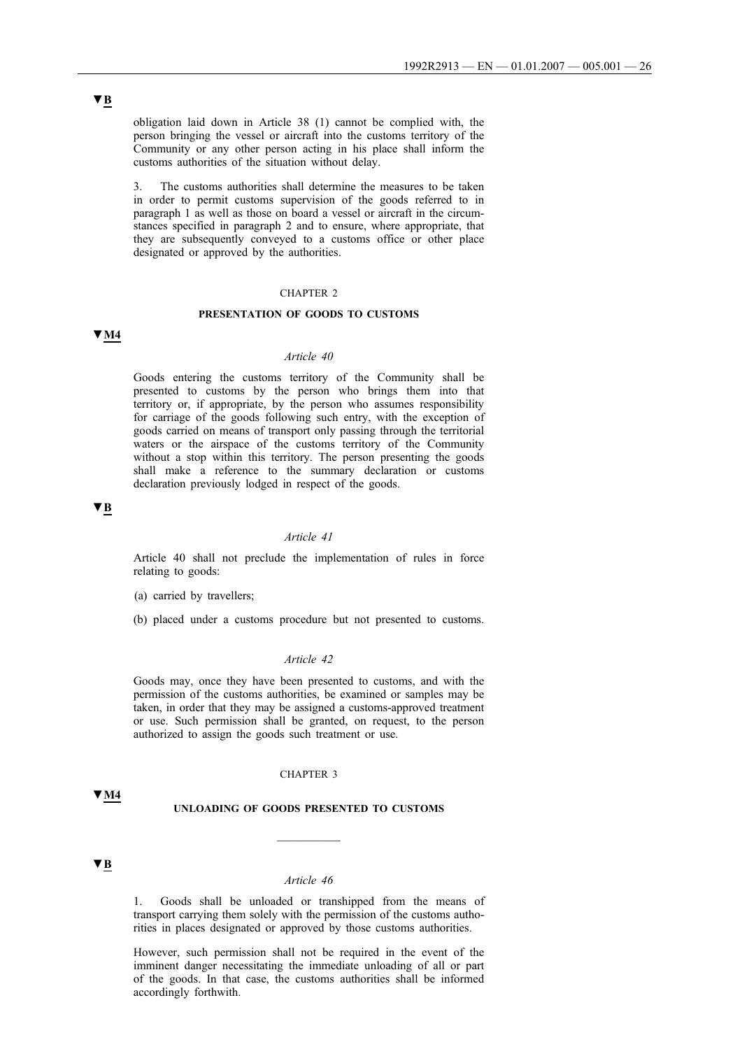obligation laid down in Article 38 (1) cannot be complied with, the person bringing the vessel or aircraft into the customs territory of the Community or any other person acting in his place shall inform the customs authorities of the situation without delay.

3. The customs authorities shall determine the measures to be taken in order to permit customs supervision of the goods referred to in paragraph 1 as well as those on board a vessel or aircraft in the circumstances specified in paragraph 2 and to ensure, where appropriate, that they are subsequently conveyed to a customs office or other place designated or approved by the authorities.

### CHAPTER 2

#### **PRESENTATION OF GOODS TO CUSTOMS**

### **▼M4**

#### *Article 40*

Goods entering the customs territory of the Community shall be presented to customs by the person who brings them into that territory or, if appropriate, by the person who assumes responsibility for carriage of the goods following such entry, with the exception of goods carried on means of transport only passing through the territorial waters or the airspace of the customs territory of the Community without a stop within this territory. The person presenting the goods shall make a reference to the summary declaration or customs declaration previously lodged in respect of the goods.

# **▼B**

### *Article 41*

Article 40 shall not preclude the implementation of rules in force relating to goods:

- (a) carried by travellers;
- (b) placed under a customs procedure but not presented to customs.

#### *Article 42*

Goods may, once they have been presented to customs, and with the permission of the customs authorities, be examined or samples may be taken, in order that they may be assigned a customs-approved treatment or use. Such permission shall be granted, on request, to the person authorized to assign the goods such treatment or use.

#### CHAPTER 3

### **▼M4**

### **UNLOADING OF GOODS PRESENTED TO CUSTOMS**

 $\overline{\phantom{a}}$ 

# **▼B**

#### *Article 46*

1. Goods shall be unloaded or transhipped from the means of transport carrying them solely with the permission of the customs authorities in places designated or approved by those customs authorities.

However, such permission shall not be required in the event of the imminent danger necessitating the immediate unloading of all or part of the goods. In that case, the customs authorities shall be informed accordingly forthwith.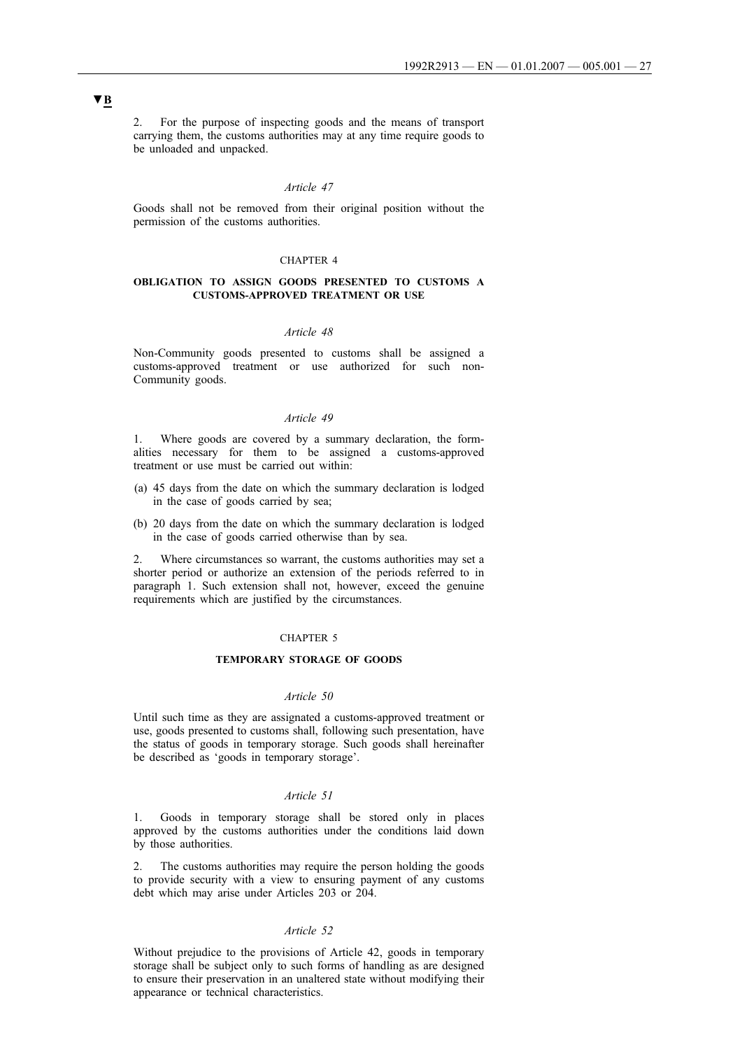2. For the purpose of inspecting goods and the means of transport carrying them, the customs authorities may at any time require goods to be unloaded and unpacked.

#### *Article 47*

Goods shall not be removed from their original position without the permission of the customs authorities.

#### CHAPTER 4

### **OBLIGATION TO ASSIGN GOODS PRESENTED TO CUSTOMS A CUSTOMS-APPROVED TREATMENT OR USE**

#### *Article 48*

Non-Community goods presented to customs shall be assigned a customs-approved treatment or use authorized for such non-Community goods.

#### *Article 49*

Where goods are covered by a summary declaration, the formalities necessary for them to be assigned a customs-approved treatment or use must be carried out within:

- (a) 45 days from the date on which the summary declaration is lodged in the case of goods carried by sea;
- (b) 20 days from the date on which the summary declaration is lodged in the case of goods carried otherwise than by sea.

2. Where circumstances so warrant, the customs authorities may set a shorter period or authorize an extension of the periods referred to in paragraph 1. Such extension shall not, however, exceed the genuine requirements which are justified by the circumstances.

#### CHAPTER 5

### **TEMPORARY STORAGE OF GOODS**

#### *Article 50*

Until such time as they are assignated a customs-approved treatment or use, goods presented to customs shall, following such presentation, have the status of goods in temporary storage. Such goods shall hereinafter be described as 'goods in temporary storage'.

#### *Article 51*

1. Goods in temporary storage shall be stored only in places approved by the customs authorities under the conditions laid down by those authorities.

2. The customs authorities may require the person holding the goods to provide security with a view to ensuring payment of any customs debt which may arise under Articles 203 or 204.

### *Article 52*

Without prejudice to the provisions of Article 42, goods in temporary storage shall be subject only to such forms of handling as are designed to ensure their preservation in an unaltered state without modifying their appearance or technical characteristics.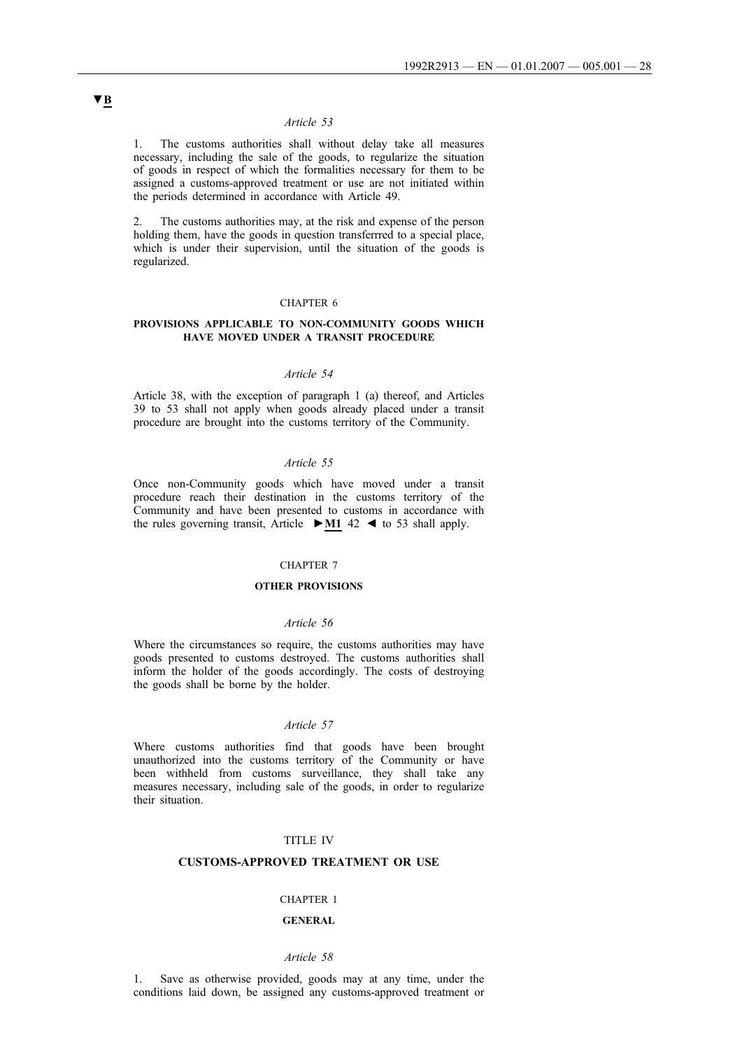1. The customs authorities shall without delay take all measures necessary, including the sale of the goods, to regularize the situation of goods in respect of which the formalities necessary for them to be assigned a customs-approved treatment or use are not initiated within the periods determined in accordance with Article 49.

The customs authorities may, at the risk and expense of the person holding them, have the goods in question transferrred to a special place, which is under their supervision, until the situation of the goods is regularized.

#### CHAPTER 6

### **PROVISIONS APPLICABLE TO NON-COMMUNITY GOODS WHICH HAVE MOVED UNDER A TRANSIT PROCEDURE**

### *Article 54*

Article 38, with the exception of paragraph 1 (a) thereof, and Articles 39 to 53 shall not apply when goods already placed under a transit procedure are brought into the customs territory of the Community.

### *Article 55*

Once non-Community goods which have moved under a transit procedure reach their destination in the customs territory of the Community and have been presented to customs in accordance with the rules governing transit, Article **►M1** 42 ◄ to 53 shall apply.

#### CHAPTER 7

#### **OTHER PROVISIONS**

### *Article 56*

Where the circumstances so require, the customs authorities may have goods presented to customs destroyed. The customs authorities shall inform the holder of the goods accordingly. The costs of destroying the goods shall be borne by the holder.

#### *Article 57*

Where customs authorities find that goods have been brought unauthorized into the customs territory of the Community or have been withheld from customs surveillance, they shall take any measures necessary, including sale of the goods, in order to regularize their situation.

### TITLE IV

### **CUSTOMS-APPROVED TREATMENT OR USE**

### CHAPTER 1

### **GENERAL**

#### *Article 58*

1. Save as otherwise provided, goods may at any time, under the conditions laid down, be assigned any customs-approved treatment or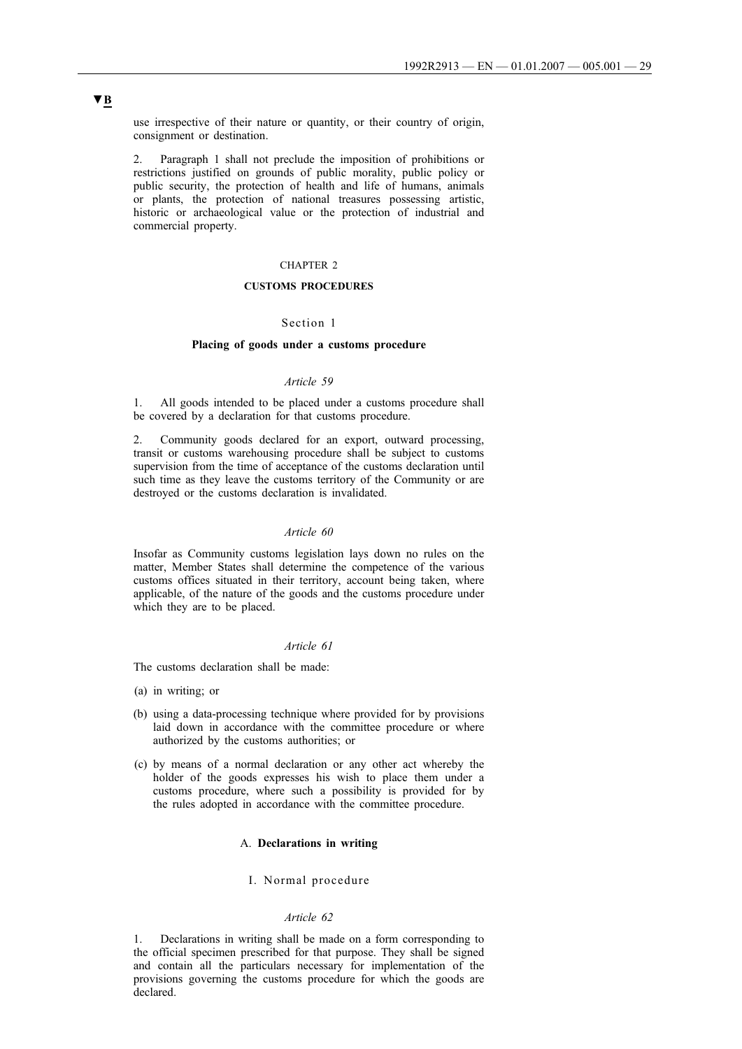use irrespective of their nature or quantity, or their country of origin, consignment or destination.

2. Paragraph 1 shall not preclude the imposition of prohibitions or restrictions justified on grounds of public morality, public policy or public security, the protection of health and life of humans, animals or plants, the protection of national treasures possessing artistic, historic or archaeological value or the protection of industrial and commercial property.

### CHAPTER 2

### **CUSTOMS PROCEDURES**

### Section 1

#### **Placing of goods under a customs procedure**

### *Article 59*

1. All goods intended to be placed under a customs procedure shall be covered by a declaration for that customs procedure.

2. Community goods declared for an export, outward processing, transit or customs warehousing procedure shall be subject to customs supervision from the time of acceptance of the customs declaration until such time as they leave the customs territory of the Community or are destroyed or the customs declaration is invalidated.

#### *Article 60*

Insofar as Community customs legislation lays down no rules on the matter, Member States shall determine the competence of the various customs offices situated in their territory, account being taken, where applicable, of the nature of the goods and the customs procedure under which they are to be placed.

#### *Article 61*

The customs declaration shall be made:

- (a) in writing; or
- (b) using a data-processing technique where provided for by provisions laid down in accordance with the committee procedure or where authorized by the customs authorities; or
- (c) by means of a normal declaration or any other act whereby the holder of the goods expresses his wish to place them under a customs procedure, where such a possibility is provided for by the rules adopted in accordance with the committee procedure.

### A. **Declarations in writing**

### I. Normal procedure

#### *Article 62*

1. Declarations in writing shall be made on a form corresponding to the official specimen prescribed for that purpose. They shall be signed and contain all the particulars necessary for implementation of the provisions governing the customs procedure for which the goods are declared.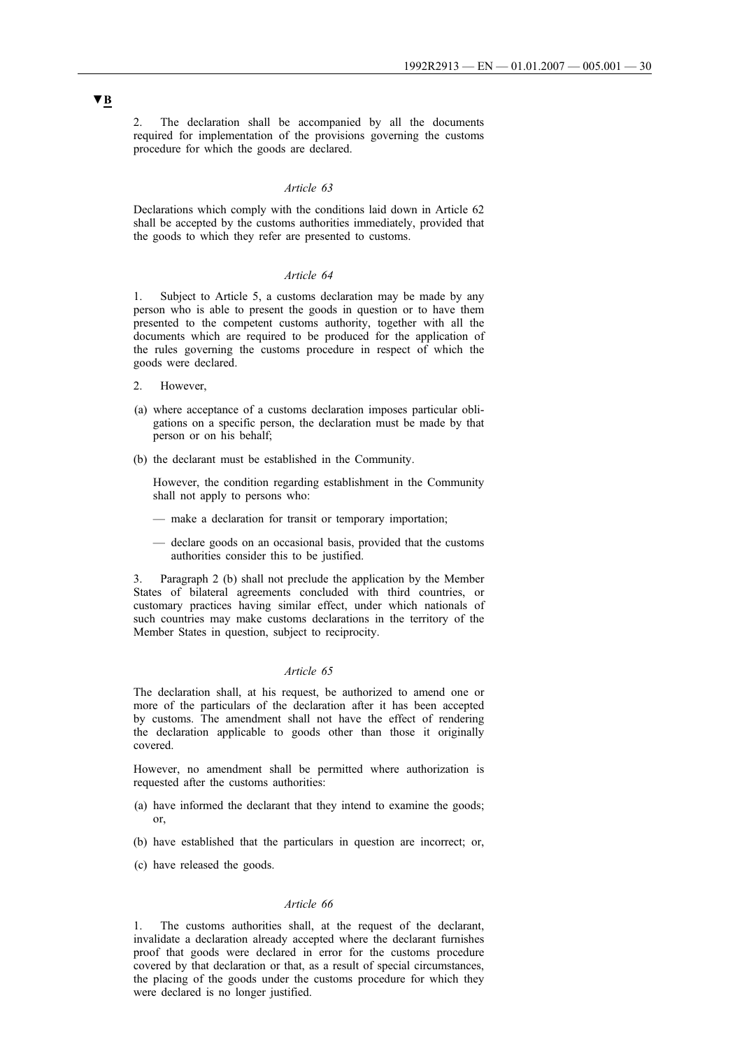2. The declaration shall be accompanied by all the documents required for implementation of the provisions governing the customs procedure for which the goods are declared.

#### *Article 63*

Declarations which comply with the conditions laid down in Article 62 shall be accepted by the customs authorities immediately, provided that the goods to which they refer are presented to customs.

#### *Article 64*

Subject to Article 5, a customs declaration may be made by any person who is able to present the goods in question or to have them presented to the competent customs authority, together with all the documents which are required to be produced for the application of the rules governing the customs procedure in respect of which the goods were declared.

- 2. However,
- (a) where acceptance of a customs declaration imposes particular obligations on a specific person, the declaration must be made by that person or on his behalf;
- (b) the declarant must be established in the Community.

However, the condition regarding establishment in the Community shall not apply to persons who:

- make a declaration for transit or temporary importation;
- declare goods on an occasional basis, provided that the customs authorities consider this to be justified.

3. Paragraph 2 (b) shall not preclude the application by the Member States of bilateral agreements concluded with third countries, or customary practices having similar effect, under which nationals of such countries may make customs declarations in the territory of the Member States in question, subject to reciprocity.

### *Article 65*

The declaration shall, at his request, be authorized to amend one or more of the particulars of the declaration after it has been accepted by customs. The amendment shall not have the effect of rendering the declaration applicable to goods other than those it originally covered.

However, no amendment shall be permitted where authorization is requested after the customs authorities:

- (a) have informed the declarant that they intend to examine the goods; or,
- (b) have established that the particulars in question are incorrect; or,
- (c) have released the goods.

#### *Article 66*

1. The customs authorities shall, at the request of the declarant, invalidate a declaration already accepted where the declarant furnishes proof that goods were declared in error for the customs procedure covered by that declaration or that, as a result of special circumstances, the placing of the goods under the customs procedure for which they were declared is no longer justified.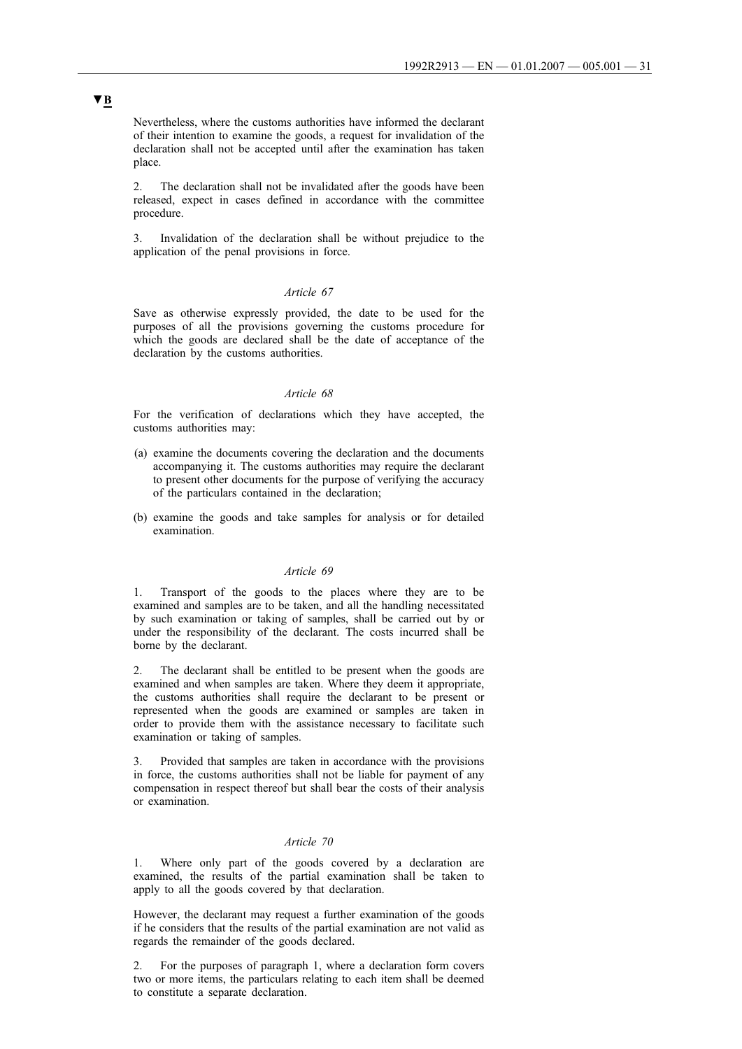Nevertheless, where the customs authorities have informed the declarant of their intention to examine the goods, a request for invalidation of the declaration shall not be accepted until after the examination has taken place.

2. The declaration shall not be invalidated after the goods have been released, expect in cases defined in accordance with the committee procedure.

3. Invalidation of the declaration shall be without prejudice to the application of the penal provisions in force.

### *Article 67*

Save as otherwise expressly provided, the date to be used for the purposes of all the provisions governing the customs procedure for which the goods are declared shall be the date of acceptance of the declaration by the customs authorities.

#### *Article 68*

For the verification of declarations which they have accepted, the customs authorities may:

- (a) examine the documents covering the declaration and the documents accompanying it. The customs authorities may require the declarant to present other documents for the purpose of verifying the accuracy of the particulars contained in the declaration;
- (b) examine the goods and take samples for analysis or for detailed examination.

### *Article 69*

1. Transport of the goods to the places where they are to be examined and samples are to be taken, and all the handling necessitated by such examination or taking of samples, shall be carried out by or under the responsibility of the declarant. The costs incurred shall be borne by the declarant.

The declarant shall be entitled to be present when the goods are examined and when samples are taken. Where they deem it appropriate, the customs authorities shall require the declarant to be present or represented when the goods are examined or samples are taken in order to provide them with the assistance necessary to facilitate such examination or taking of samples.

3. Provided that samples are taken in accordance with the provisions in force, the customs authorities shall not be liable for payment of any compensation in respect thereof but shall bear the costs of their analysis or examination.

### *Article 70*

1. Where only part of the goods covered by a declaration are examined, the results of the partial examination shall be taken to apply to all the goods covered by that declaration.

However, the declarant may request a further examination of the goods if he considers that the results of the partial examination are not valid as regards the remainder of the goods declared.

2. For the purposes of paragraph 1, where a declaration form covers two or more items, the particulars relating to each item shall be deemed to constitute a separate declaration.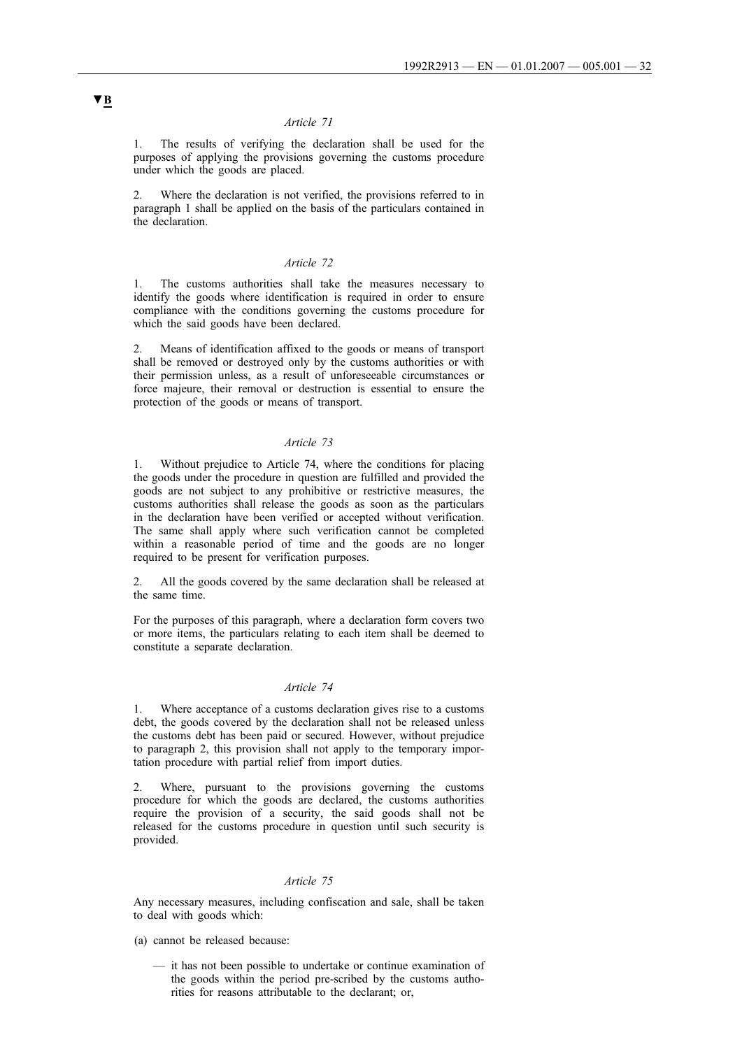The results of verifying the declaration shall be used for the purposes of applying the provisions governing the customs procedure under which the goods are placed.

Where the declaration is not verified, the provisions referred to in paragraph 1 shall be applied on the basis of the particulars contained in the declaration.

### *Article 72*

1. The customs authorities shall take the measures necessary to identify the goods where identification is required in order to ensure compliance with the conditions governing the customs procedure for which the said goods have been declared.

2. Means of identification affixed to the goods or means of transport shall be removed or destroyed only by the customs authorities or with their permission unless, as a result of unforeseeable circumstances or force majeure, their removal or destruction is essential to ensure the protection of the goods or means of transport.

#### *Article 73*

1. Without prejudice to Article 74, where the conditions for placing the goods under the procedure in question are fulfilled and provided the goods are not subject to any prohibitive or restrictive measures, the customs authorities shall release the goods as soon as the particulars in the declaration have been verified or accepted without verification. The same shall apply where such verification cannot be completed within a reasonable period of time and the goods are no longer required to be present for verification purposes.

2. All the goods covered by the same declaration shall be released at the same time.

For the purposes of this paragraph, where a declaration form covers two or more items, the particulars relating to each item shall be deemed to constitute a separate declaration.

### *Article 74*

1. Where acceptance of a customs declaration gives rise to a customs debt, the goods covered by the declaration shall not be released unless the customs debt has been paid or secured. However, without prejudice to paragraph 2, this provision shall not apply to the temporary importation procedure with partial relief from import duties.

2. Where, pursuant to the provisions governing the customs procedure for which the goods are declared, the customs authorities require the provision of a security, the said goods shall not be released for the customs procedure in question until such security is provided.

### *Article 75*

Any necessary measures, including confiscation and sale, shall be taken to deal with goods which:

(a) cannot be released because:

— it has not been possible to undertake or continue examination of the goods within the period pre-scribed by the customs authorities for reasons attributable to the declarant; or,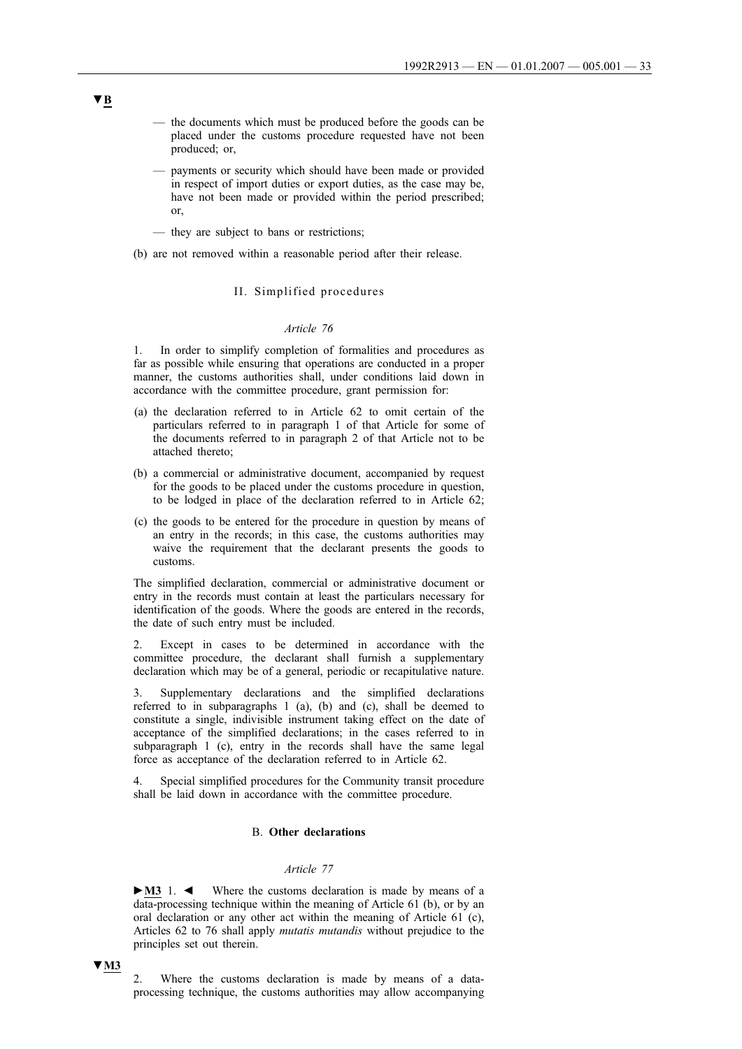- the documents which must be produced before the goods can be placed under the customs procedure requested have not been produced; or,
- payments or security which should have been made or provided in respect of import duties or export duties, as the case may be, have not been made or provided within the period prescribed; or,
- they are subject to bans or restrictions;
- (b) are not removed within a reasonable period after their release.

### II. Simplified procedures

#### *Article 76*

1. In order to simplify completion of formalities and procedures as far as possible while ensuring that operations are conducted in a proper manner, the customs authorities shall, under conditions laid down in accordance with the committee procedure, grant permission for:

- (a) the declaration referred to in Article 62 to omit certain of the particulars referred to in paragraph 1 of that Article for some of the documents referred to in paragraph 2 of that Article not to be attached thereto;
- (b) a commercial or administrative document, accompanied by request for the goods to be placed under the customs procedure in question, to be lodged in place of the declaration referred to in Article 62;
- (c) the goods to be entered for the procedure in question by means of an entry in the records; in this case, the customs authorities may waive the requirement that the declarant presents the goods to customs.

The simplified declaration, commercial or administrative document or entry in the records must contain at least the particulars necessary for identification of the goods. Where the goods are entered in the records, the date of such entry must be included.

2. Except in cases to be determined in accordance with the committee procedure, the declarant shall furnish a supplementary declaration which may be of a general, periodic or recapitulative nature.

3. Supplementary declarations and the simplified declarations referred to in subparagraphs 1 (a), (b) and (c), shall be deemed to constitute a single, indivisible instrument taking effect on the date of acceptance of the simplified declarations; in the cases referred to in subparagraph 1 (c), entry in the records shall have the same legal force as acceptance of the declaration referred to in Article 62.

Special simplified procedures for the Community transit procedure shall be laid down in accordance with the committee procedure.

### B. **Other declarations**

### *Article 77*

**►M3** 1. ◄ Where the customs declaration is made by means of a data-processing technique within the meaning of Article 61 (b), or by an oral declaration or any other act within the meaning of Article 61 (c), Articles 62 to 76 shall apply *mutatis mutandis* without prejudice to the principles set out therein.

2. Where the customs declaration is made by means of a dataprocessing technique, the customs authorities may allow accompanying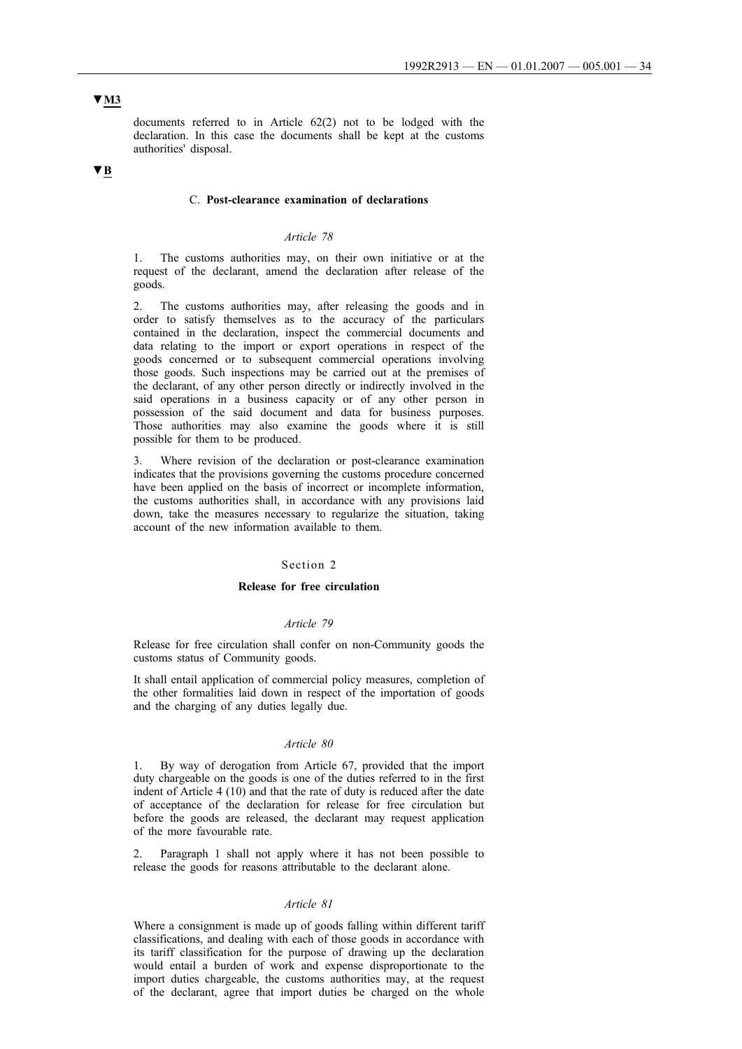documents referred to in Article 62(2) not to be lodged with the declaration. In this case the documents shall be kept at the customs authorities' disposal.

#### C. **Post-clearance examination of declarations**

### *Article 78*

1. The customs authorities may, on their own initiative or at the request of the declarant, amend the declaration after release of the goods.

2. The customs authorities may, after releasing the goods and in order to satisfy themselves as to the accuracy of the particulars contained in the declaration, inspect the commercial documents and data relating to the import or export operations in respect of the goods concerned or to subsequent commercial operations involving those goods. Such inspections may be carried out at the premises of the declarant, of any other person directly or indirectly involved in the said operations in a business capacity or of any other person in possession of the said document and data for business purposes. Those authorities may also examine the goods where it is still possible for them to be produced.

3. Where revision of the declaration or post-clearance examination indicates that the provisions governing the customs procedure concerned have been applied on the basis of incorrect or incomplete information, the customs authorities shall, in accordance with any provisions laid down, take the measures necessary to regularize the situation, taking account of the new information available to them.

### Section 2

### **Release for free circulation**

#### *Article 79*

Release for free circulation shall confer on non-Community goods the customs status of Community goods.

It shall entail application of commercial policy measures, completion of the other formalities laid down in respect of the importation of goods and the charging of any duties legally due.

#### *Article 80*

1. By way of derogation from Article 67, provided that the import duty chargeable on the goods is one of the duties referred to in the first indent of Article 4 (10) and that the rate of duty is reduced after the date of acceptance of the declaration for release for free circulation but before the goods are released, the declarant may request application of the more favourable rate.

2. Paragraph 1 shall not apply where it has not been possible to release the goods for reasons attributable to the declarant alone.

#### *Article 81*

Where a consignment is made up of goods falling within different tariff classifications, and dealing with each of those goods in accordance with its tariff classification for the purpose of drawing up the declaration would entail a burden of work and expense disproportionate to the import duties chargeable, the customs authorities may, at the request of the declarant, agree that import duties be charged on the whole

# **▼M3**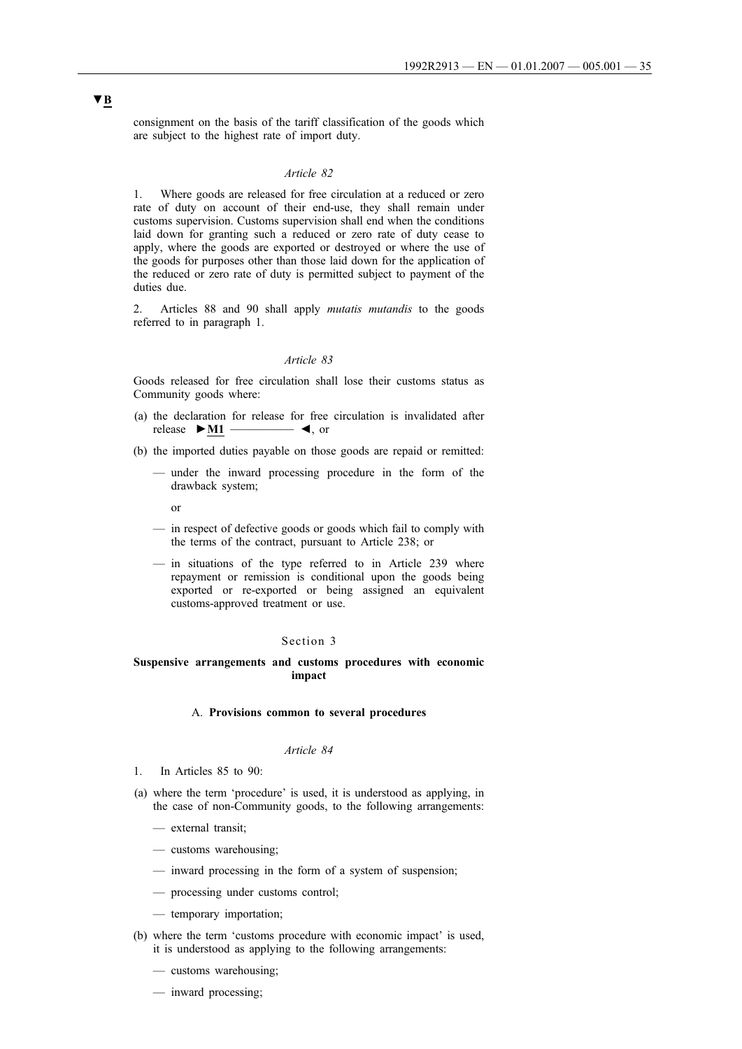consignment on the basis of the tariff classification of the goods which are subject to the highest rate of import duty.

### *Article 82*

1. Where goods are released for free circulation at a reduced or zero rate of duty on account of their end-use, they shall remain under customs supervision. Customs supervision shall end when the conditions laid down for granting such a reduced or zero rate of duty cease to apply, where the goods are exported or destroyed or where the use of the goods for purposes other than those laid down for the application of the reduced or zero rate of duty is permitted subject to payment of the duties due.

2. Articles 88 and 90 shall apply *mutatis mutandis* to the goods referred to in paragraph 1.

#### *Article 83*

Goods released for free circulation shall lose their customs status as Community goods where:

- (a) the declaration for release for free circulation is invalidated after release  $\blacktriangleright$  **M1**  $\longrightarrow$   $\blacktriangleleft$ , or
- (b) the imported duties payable on those goods are repaid or remitted:
	- under the inward processing procedure in the form of the drawback system;

or

- in respect of defective goods or goods which fail to comply with the terms of the contract, pursuant to Article 238; or
- in situations of the type referred to in Article 239 where repayment or remission is conditional upon the goods being exported or re-exported or being assigned an equivalent customs-approved treatment or use.

#### Section 3

### **Suspensive arrangements and customs procedures with economic impact**

#### A. **Provisions common to several procedures**

### *Article 84*

- 1. In Articles 85 to 90:
- (a) where the term 'procedure' is used, it is understood as applying, in the case of non-Community goods, to the following arrangements:
	- external transit;
	- customs warehousing;
	- inward processing in the form of a system of suspension;
	- processing under customs control;
	- temporary importation;
- (b) where the term 'customs procedure with economic impact' is used, it is understood as applying to the following arrangements:
	- customs warehousing;
	- inward processing;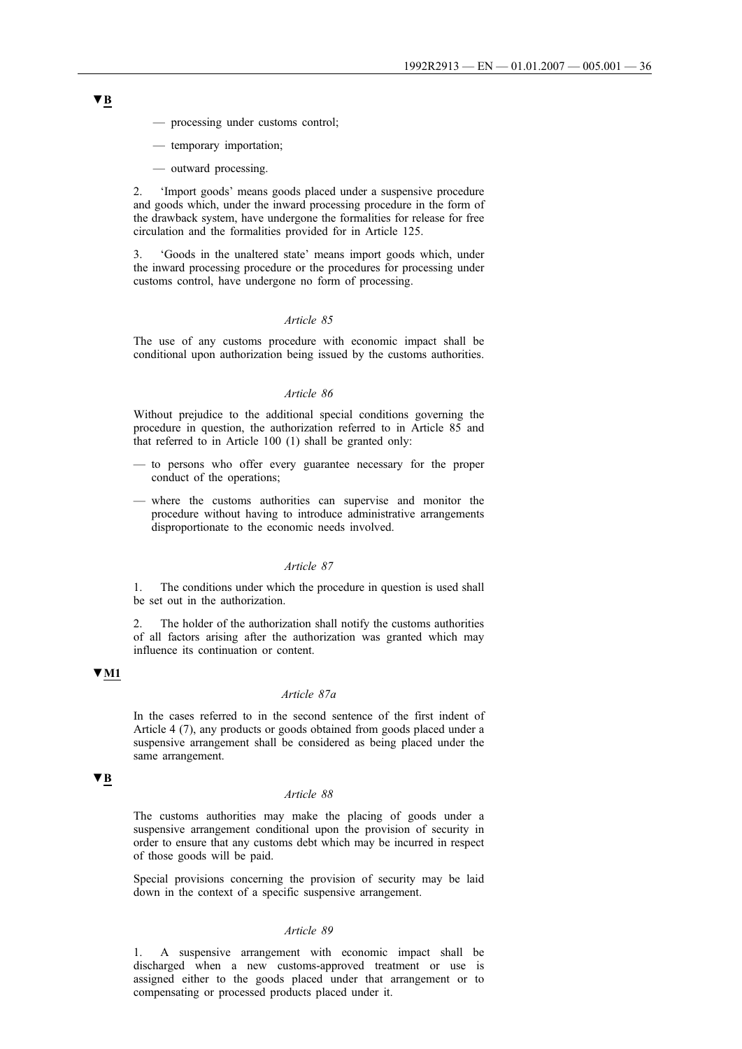- processing under customs control;
- temporary importation;
- outward processing.

2. 'Import goods' means goods placed under a suspensive procedure and goods which, under the inward processing procedure in the form of the drawback system, have undergone the formalities for release for free circulation and the formalities provided for in Article 125.

3. 'Goods in the unaltered state' means import goods which, under the inward processing procedure or the procedures for processing under customs control, have undergone no form of processing.

### *Article 85*

The use of any customs procedure with economic impact shall be conditional upon authorization being issued by the customs authorities.

### *Article 86*

Without prejudice to the additional special conditions governing the procedure in question, the authorization referred to in Article 85 and that referred to in Article 100 (1) shall be granted only:

- to persons who offer every guarantee necessary for the proper conduct of the operations;
- where the customs authorities can supervise and monitor the procedure without having to introduce administrative arrangements disproportionate to the economic needs involved.

### *Article 87*

1. The conditions under which the procedure in question is used shall be set out in the authorization.

2. The holder of the authorization shall notify the customs authorities of all factors arising after the authorization was granted which may influence its continuation or content.

# **▼M1**

#### *Article 87a*

In the cases referred to in the second sentence of the first indent of Article 4 (7), any products or goods obtained from goods placed under a suspensive arrangement shall be considered as being placed under the same arrangement.

### **▼B**

### *Article 88*

The customs authorities may make the placing of goods under a suspensive arrangement conditional upon the provision of security in order to ensure that any customs debt which may be incurred in respect of those goods will be paid.

Special provisions concerning the provision of security may be laid down in the context of a specific suspensive arrangement.

#### *Article 89*

1. A suspensive arrangement with economic impact shall be discharged when a new customs-approved treatment or use is assigned either to the goods placed under that arrangement or to compensating or processed products placed under it.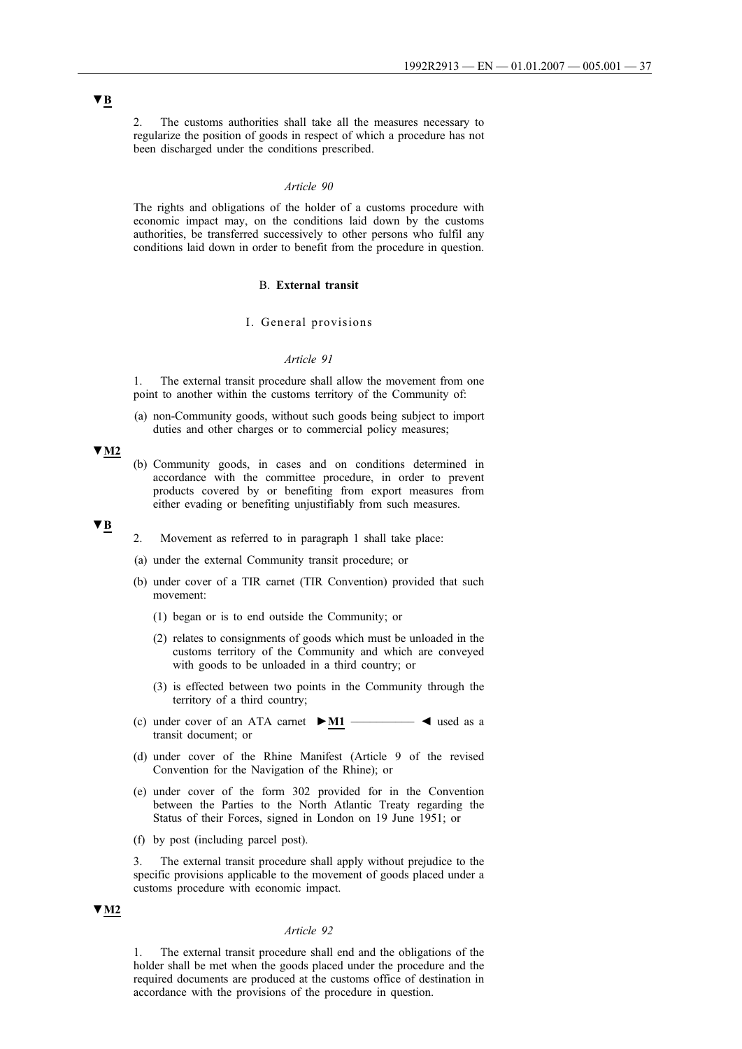2. The customs authorities shall take all the measures necessary to regularize the position of goods in respect of which a procedure has not been discharged under the conditions prescribed.

#### *Article 90*

The rights and obligations of the holder of a customs procedure with economic impact may, on the conditions laid down by the customs authorities, be transferred successively to other persons who fulfil any conditions laid down in order to benefit from the procedure in question.

#### B. **External transit**

## I. General provisions

#### *Article 91*

1. The external transit procedure shall allow the movement from one point to another within the customs territory of the Community of:

(a) non-Community goods, without such goods being subject to import duties and other charges or to commercial policy measures;

# **▼M2**

(b) Community goods, in cases and on conditions determined in accordance with the committee procedure, in order to prevent products covered by or benefiting from export measures from either evading or benefiting unjustifiably from such measures.

# **▼B**

- 2. Movement as referred to in paragraph 1 shall take place:
- (a) under the external Community transit procedure; or
- (b) under cover of a TIR carnet (TIR Convention) provided that such movement:
	- (1) began or is to end outside the Community; or
	- (2) relates to consignments of goods which must be unloaded in the customs territory of the Community and which are conveyed with goods to be unloaded in a third country; or
	- (3) is effected between two points in the Community through the territory of a third country;
- (c) under cover of an ATA carnet **►M1** \_\_\_\_\_\_\_\_\_\_ ◄ used as a transit document; or
- (d) under cover of the Rhine Manifest (Article 9 of the revised Convention for the Navigation of the Rhine); or
- (e) under cover of the form 302 provided for in the Convention between the Parties to the North Atlantic Treaty regarding the Status of their Forces, signed in London on 19 June 1951; or
- (f) by post (including parcel post).

3. The external transit procedure shall apply without prejudice to the specific provisions applicable to the movement of goods placed under a customs procedure with economic impact.

# **▼M2**

## *Article 92*

1. The external transit procedure shall end and the obligations of the holder shall be met when the goods placed under the procedure and the required documents are produced at the customs office of destination in accordance with the provisions of the procedure in question.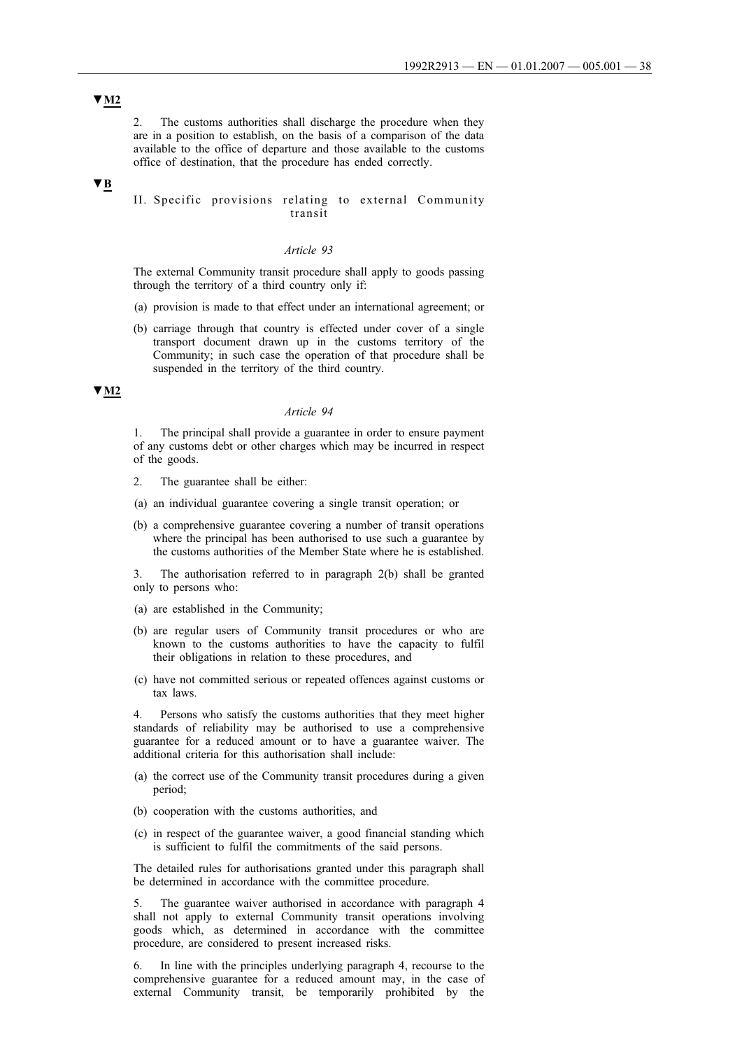2. The customs authorities shall discharge the procedure when they are in a position to establish, on the basis of a comparison of the data available to the office of departure and those available to the customs office of destination, that the procedure has ended correctly.

## **▼B**

II. Specific provisions relating to external Community transit

## *Article 93*

The external Community transit procedure shall apply to goods passing through the territory of a third country only if:

- (a) provision is made to that effect under an international agreement; or
- (b) carriage through that country is effected under cover of a single transport document drawn up in the customs territory of the Community; in such case the operation of that procedure shall be suspended in the territory of the third country.

# **▼M2**

#### *Article 94*

1. The principal shall provide a guarantee in order to ensure payment of any customs debt or other charges which may be incurred in respect of the goods.

- 2. The guarantee shall be either:
- (a) an individual guarantee covering a single transit operation; or
- (b) a comprehensive guarantee covering a number of transit operations where the principal has been authorised to use such a guarantee by the customs authorities of the Member State where he is established.

The authorisation referred to in paragraph  $2(b)$  shall be granted only to persons who:

- (a) are established in the Community;
- (b) are regular users of Community transit procedures or who are known to the customs authorities to have the capacity to fulfil their obligations in relation to these procedures, and
- (c) have not committed serious or repeated offences against customs or tax laws.

4. Persons who satisfy the customs authorities that they meet higher standards of reliability may be authorised to use a comprehensive guarantee for a reduced amount or to have a guarantee waiver. The additional criteria for this authorisation shall include:

- (a) the correct use of the Community transit procedures during a given period;
- (b) cooperation with the customs authorities, and
- (c) in respect of the guarantee waiver, a good financial standing which is sufficient to fulfil the commitments of the said persons.

The detailed rules for authorisations granted under this paragraph shall be determined in accordance with the committee procedure.

5. The guarantee waiver authorised in accordance with paragraph 4 shall not apply to external Community transit operations involving goods which, as determined in accordance with the committee procedure, are considered to present increased risks.

6. In line with the principles underlying paragraph 4, recourse to the comprehensive guarantee for a reduced amount may, in the case of external Community transit, be temporarily prohibited by the

# **▼M2**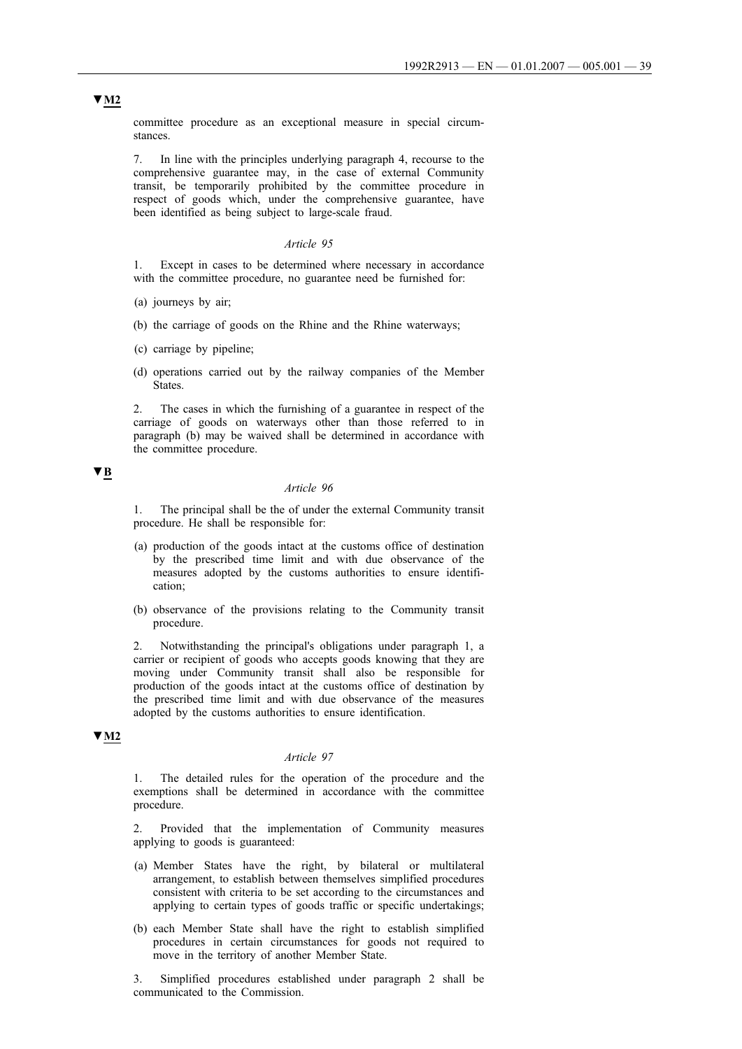committee procedure as an exceptional measure in special circumstances.

7. In line with the principles underlying paragraph 4, recourse to the comprehensive guarantee may, in the case of external Community transit, be temporarily prohibited by the committee procedure in respect of goods which, under the comprehensive guarantee, have been identified as being subject to large-scale fraud.

#### *Article 95*

1. Except in cases to be determined where necessary in accordance with the committee procedure, no guarantee need be furnished for:

- (a) journeys by air;
- (b) the carriage of goods on the Rhine and the Rhine waterways;
- (c) carriage by pipeline;
- (d) operations carried out by the railway companies of the Member States.

2. The cases in which the furnishing of a guarantee in respect of the carriage of goods on waterways other than those referred to in paragraph (b) may be waived shall be determined in accordance with the committee procedure.

# **▼B**

## *Article 96*

The principal shall be the of under the external Community transit procedure. He shall be responsible for:

- (a) production of the goods intact at the customs office of destination by the prescribed time limit and with due observance of the measures adopted by the customs authorities to ensure identification;
- (b) observance of the provisions relating to the Community transit procedure.

2. Notwithstanding the principal's obligations under paragraph 1, a carrier or recipient of goods who accepts goods knowing that they are moving under Community transit shall also be responsible for production of the goods intact at the customs office of destination by the prescribed time limit and with due observance of the measures adopted by the customs authorities to ensure identification.

## **▼M2**

## *Article 97*

1. The detailed rules for the operation of the procedure and the exemptions shall be determined in accordance with the committee procedure.

2. Provided that the implementation of Community measures applying to goods is guaranteed:

- (a) Member States have the right, by bilateral or multilateral arrangement, to establish between themselves simplified procedures consistent with criteria to be set according to the circumstances and applying to certain types of goods traffic or specific undertakings;
- (b) each Member State shall have the right to establish simplified procedures in certain circumstances for goods not required to move in the territory of another Member State.

3. Simplified procedures established under paragraph 2 shall be communicated to the Commission.

# **▼M2**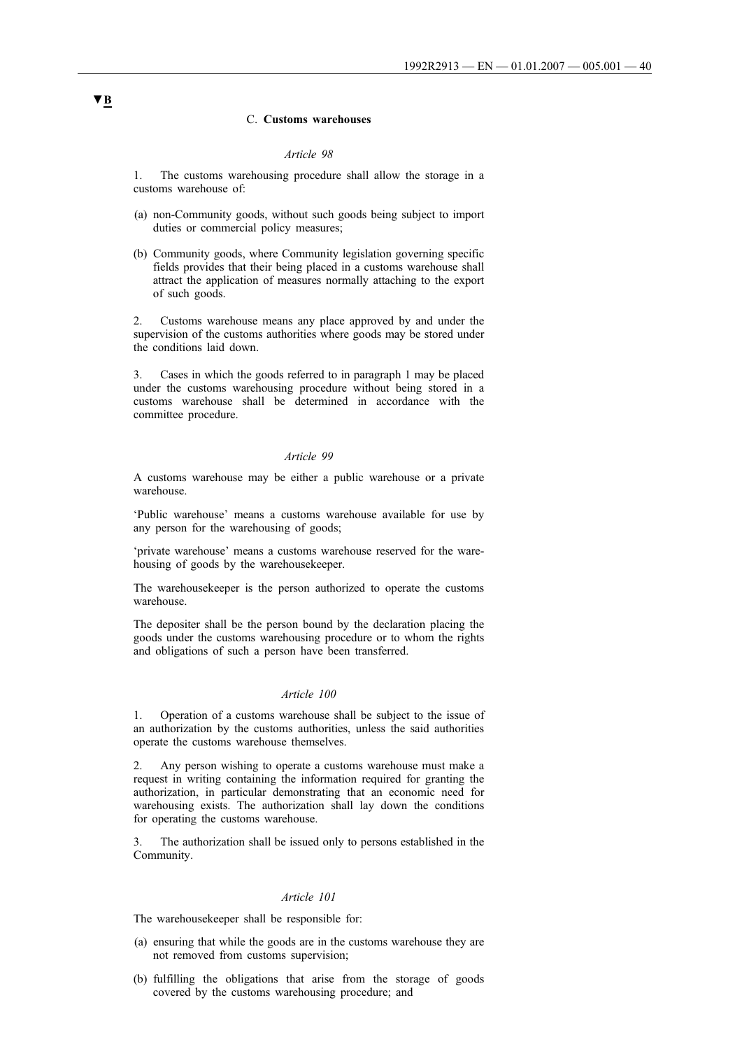## C. **Customs warehouses**

#### *Article 98*

1. The customs warehousing procedure shall allow the storage in a customs warehouse of:

- (a) non-Community goods, without such goods being subject to import duties or commercial policy measures;
- (b) Community goods, where Community legislation governing specific fields provides that their being placed in a customs warehouse shall attract the application of measures normally attaching to the export of such goods.

2. Customs warehouse means any place approved by and under the supervision of the customs authorities where goods may be stored under the conditions laid down.

3. Cases in which the goods referred to in paragraph 1 may be placed under the customs warehousing procedure without being stored in a customs warehouse shall be determined in accordance with the committee procedure.

## *Article 99*

A customs warehouse may be either a public warehouse or a private warehouse.

'Public warehouse' means a customs warehouse available for use by any person for the warehousing of goods;

'private warehouse' means a customs warehouse reserved for the warehousing of goods by the warehousekeeper.

The warehousekeeper is the person authorized to operate the customs warehouse.

The depositer shall be the person bound by the declaration placing the goods under the customs warehousing procedure or to whom the rights and obligations of such a person have been transferred.

#### *Article 100*

1. Operation of a customs warehouse shall be subject to the issue of an authorization by the customs authorities, unless the said authorities operate the customs warehouse themselves.

2. Any person wishing to operate a customs warehouse must make a request in writing containing the information required for granting the authorization, in particular demonstrating that an economic need for warehousing exists. The authorization shall lay down the conditions for operating the customs warehouse.

The authorization shall be issued only to persons established in the Community.

## *Article 101*

The warehousekeeper shall be responsible for:

- (a) ensuring that while the goods are in the customs warehouse they are not removed from customs supervision;
- (b) fulfilling the obligations that arise from the storage of goods covered by the customs warehousing procedure; and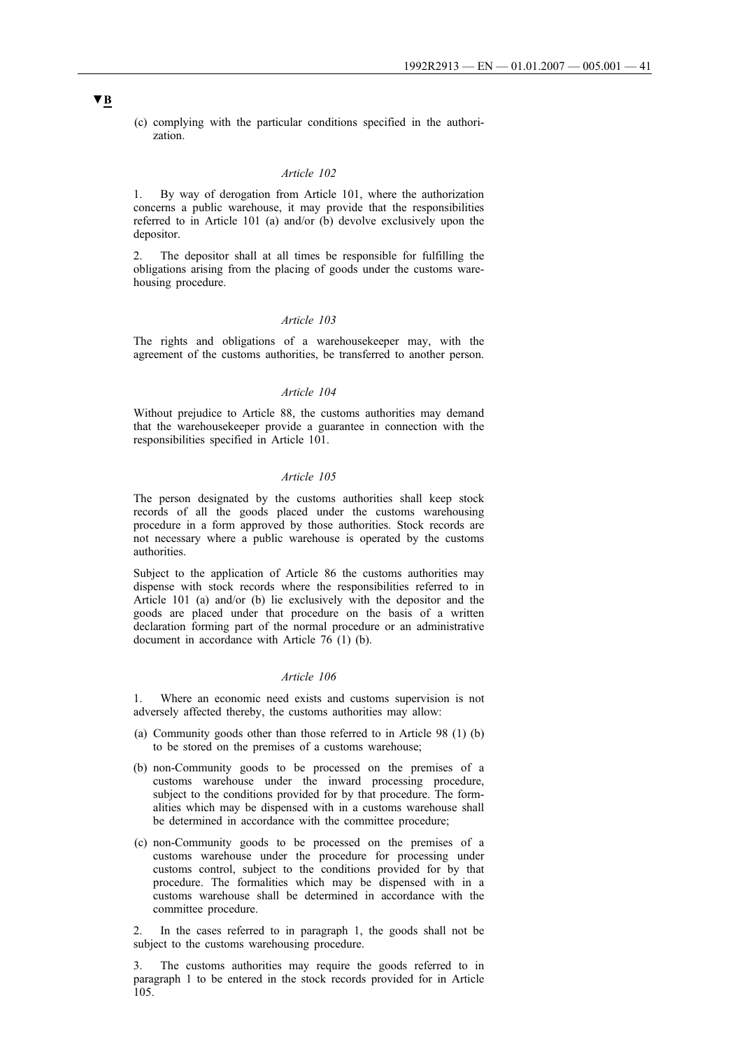(c) complying with the particular conditions specified in the authorization.

# *Article 102*

1. By way of derogation from Article 101, where the authorization concerns a public warehouse, it may provide that the responsibilities referred to in Article 101 (a) and/or (b) devolve exclusively upon the depositor.

The depositor shall at all times be responsible for fulfilling the obligations arising from the placing of goods under the customs warehousing procedure.

# *Article 103*

The rights and obligations of a warehousekeeper may, with the agreement of the customs authorities, be transferred to another person.

## *Article 104*

Without prejudice to Article 88, the customs authorities may demand that the warehousekeeper provide a guarantee in connection with the responsibilities specified in Article 101.

#### *Article 105*

The person designated by the customs authorities shall keep stock records of all the goods placed under the customs warehousing procedure in a form approved by those authorities. Stock records are not necessary where a public warehouse is operated by the customs authorities.

Subject to the application of Article 86 the customs authorities may dispense with stock records where the responsibilities referred to in Article 101 (a) and/or (b) lie exclusively with the depositor and the goods are placed under that procedure on the basis of a written declaration forming part of the normal procedure or an administrative document in accordance with Article 76 (1) (b).

## *Article 106*

1. Where an economic need exists and customs supervision is not adversely affected thereby, the customs authorities may allow:

- (a) Community goods other than those referred to in Article 98 (1) (b) to be stored on the premises of a customs warehouse;
- (b) non-Community goods to be processed on the premises of a customs warehouse under the inward processing procedure, subject to the conditions provided for by that procedure. The formalities which may be dispensed with in a customs warehouse shall be determined in accordance with the committee procedure;
- (c) non-Community goods to be processed on the premises of a customs warehouse under the procedure for processing under customs control, subject to the conditions provided for by that procedure. The formalities which may be dispensed with in a customs warehouse shall be determined in accordance with the committee procedure.

2. In the cases referred to in paragraph 1, the goods shall not be subject to the customs warehousing procedure.

3. The customs authorities may require the goods referred to in paragraph 1 to be entered in the stock records provided for in Article 105.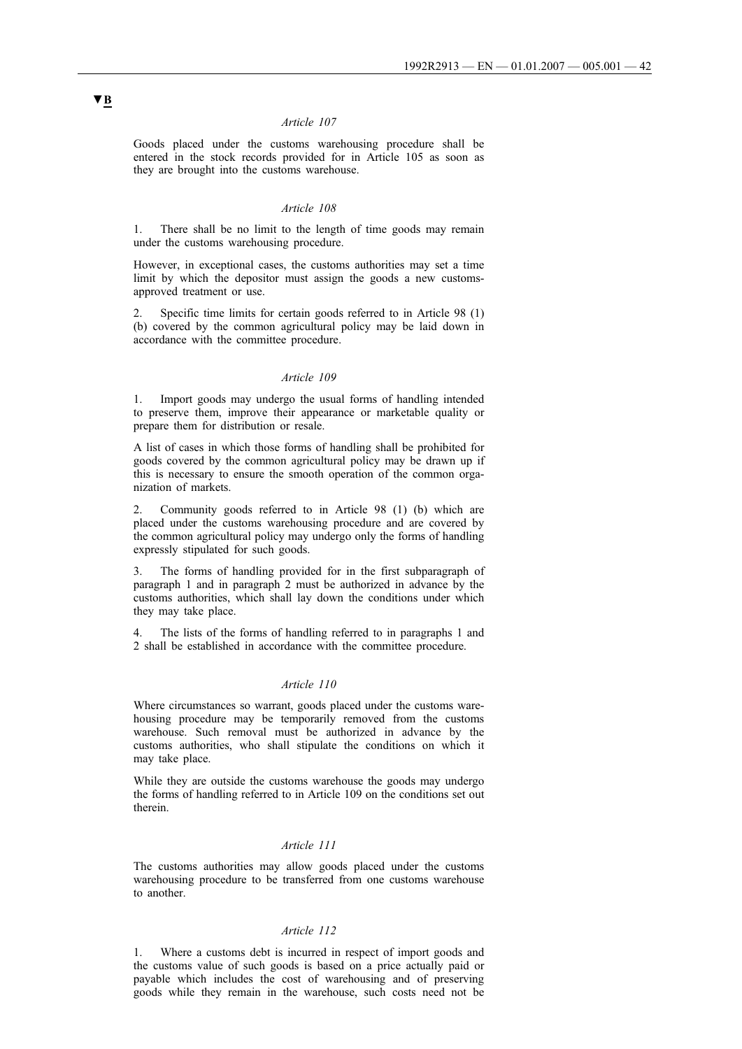Goods placed under the customs warehousing procedure shall be entered in the stock records provided for in Article 105 as soon as they are brought into the customs warehouse.

#### *Article 108*

1. There shall be no limit to the length of time goods may remain under the customs warehousing procedure.

However, in exceptional cases, the customs authorities may set a time limit by which the depositor must assign the goods a new customsapproved treatment or use.

2. Specific time limits for certain goods referred to in Article 98 (1) (b) covered by the common agricultural policy may be laid down in accordance with the committee procedure.

## *Article 109*

1. Import goods may undergo the usual forms of handling intended to preserve them, improve their appearance or marketable quality or prepare them for distribution or resale.

A list of cases in which those forms of handling shall be prohibited for goods covered by the common agricultural policy may be drawn up if this is necessary to ensure the smooth operation of the common organization of markets.

2. Community goods referred to in Article 98 (1) (b) which are placed under the customs warehousing procedure and are covered by the common agricultural policy may undergo only the forms of handling expressly stipulated for such goods.

3. The forms of handling provided for in the first subparagraph of paragraph 1 and in paragraph 2 must be authorized in advance by the customs authorities, which shall lay down the conditions under which they may take place.

The lists of the forms of handling referred to in paragraphs 1 and 2 shall be established in accordance with the committee procedure.

#### *Article 110*

Where circumstances so warrant, goods placed under the customs warehousing procedure may be temporarily removed from the customs warehouse. Such removal must be authorized in advance by the customs authorities, who shall stipulate the conditions on which it may take place.

While they are outside the customs warehouse the goods may undergo the forms of handling referred to in Article 109 on the conditions set out therein.

## *Article 111*

The customs authorities may allow goods placed under the customs warehousing procedure to be transferred from one customs warehouse to another.

### *Article 112*

1. Where a customs debt is incurred in respect of import goods and the customs value of such goods is based on a price actually paid or payable which includes the cost of warehousing and of preserving goods while they remain in the warehouse, such costs need not be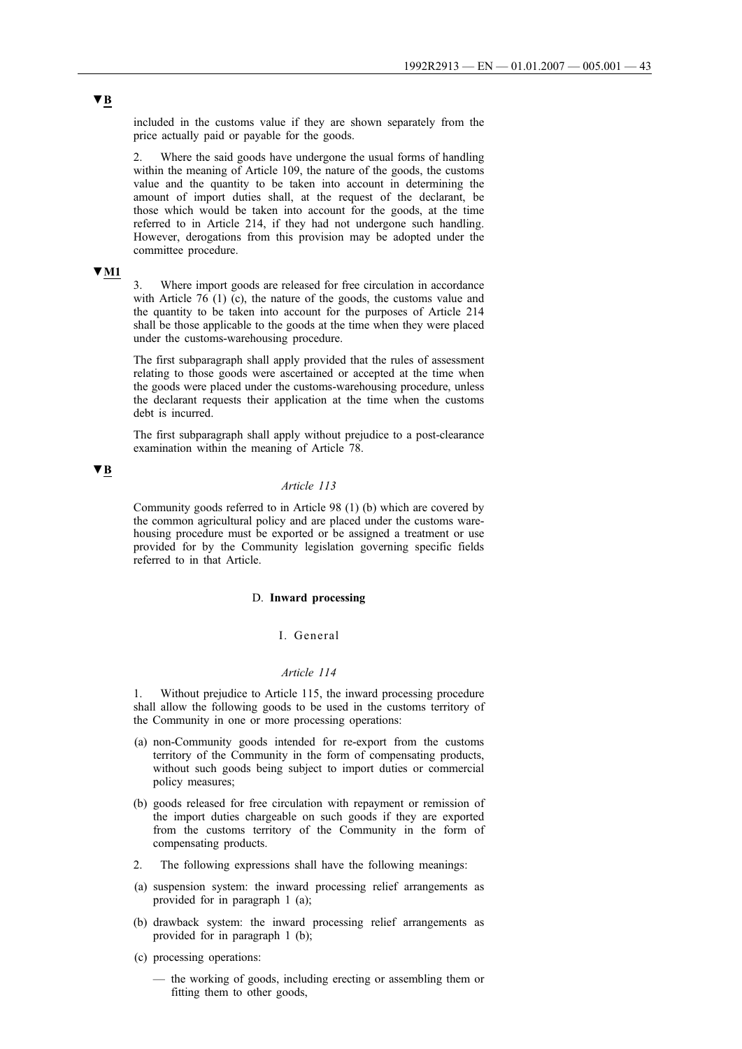included in the customs value if they are shown separately from the price actually paid or payable for the goods.

Where the said goods have undergone the usual forms of handling within the meaning of Article 109, the nature of the goods, the customs value and the quantity to be taken into account in determining the amount of import duties shall, at the request of the declarant, be those which would be taken into account for the goods, at the time referred to in Article 214, if they had not undergone such handling. However, derogations from this provision may be adopted under the committee procedure.

# **▼M1**

3. Where import goods are released for free circulation in accordance with Article 76 (1) (c), the nature of the goods, the customs value and the quantity to be taken into account for the purposes of Article 214 shall be those applicable to the goods at the time when they were placed under the customs-warehousing procedure.

The first subparagraph shall apply provided that the rules of assessment relating to those goods were ascertained or accepted at the time when the goods were placed under the customs-warehousing procedure, unless the declarant requests their application at the time when the customs debt is incurred.

The first subparagraph shall apply without prejudice to a post-clearance examination within the meaning of Article 78.

# **▼B**

## *Article 113*

Community goods referred to in Article 98 (1) (b) which are covered by the common agricultural policy and are placed under the customs warehousing procedure must be exported or be assigned a treatment or use provided for by the Community legislation governing specific fields referred to in that Article.

### D. **Inward processing**

# I. General

#### *Article 114*

1. Without prejudice to Article 115, the inward processing procedure shall allow the following goods to be used in the customs territory of the Community in one or more processing operations:

- (a) non-Community goods intended for re-export from the customs territory of the Community in the form of compensating products, without such goods being subject to import duties or commercial policy measures;
- (b) goods released for free circulation with repayment or remission of the import duties chargeable on such goods if they are exported from the customs territory of the Community in the form of compensating products.
- 2. The following expressions shall have the following meanings:
- (a) suspension system: the inward processing relief arrangements as provided for in paragraph 1 (a);
- (b) drawback system: the inward processing relief arrangements as provided for in paragraph 1 (b);
- (c) processing operations:
	- the working of goods, including erecting or assembling them or fitting them to other goods,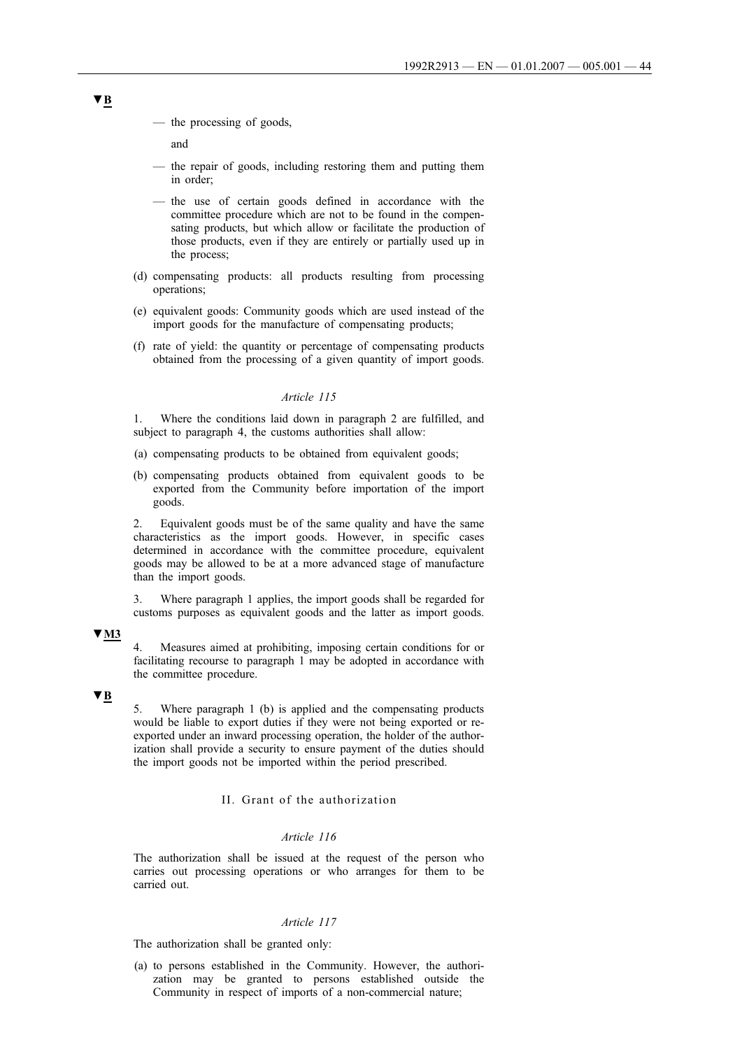— the processing of goods,

and

- the repair of goods, including restoring them and putting them in order;
- the use of certain goods defined in accordance with the committee procedure which are not to be found in the compensating products, but which allow or facilitate the production of those products, even if they are entirely or partially used up in the process;
- (d) compensating products: all products resulting from processing operations;
- (e) equivalent goods: Community goods which are used instead of the import goods for the manufacture of compensating products;
- (f) rate of yield: the quantity or percentage of compensating products obtained from the processing of a given quantity of import goods.

## *Article 115*

1. Where the conditions laid down in paragraph 2 are fulfilled, and subject to paragraph 4, the customs authorities shall allow:

- (a) compensating products to be obtained from equivalent goods;
- (b) compensating products obtained from equivalent goods to be exported from the Community before importation of the import goods.

2. Equivalent goods must be of the same quality and have the same characteristics as the import goods. However, in specific cases determined in accordance with the committee procedure, equivalent goods may be allowed to be at a more advanced stage of manufacture than the import goods.

3. Where paragraph 1 applies, the import goods shall be regarded for customs purposes as equivalent goods and the latter as import goods.

# **▼M3**

4. Measures aimed at prohibiting, imposing certain conditions for or facilitating recourse to paragraph 1 may be adopted in accordance with the committee procedure.

## **▼B**

5. Where paragraph 1 (b) is applied and the compensating products would be liable to export duties if they were not being exported or reexported under an inward processing operation, the holder of the authorization shall provide a security to ensure payment of the duties should the import goods not be imported within the period prescribed.

# II. Grant of the authorization

## *Article 116*

The authorization shall be issued at the request of the person who carries out processing operations or who arranges for them to be carried out.

## *Article 117*

The authorization shall be granted only:

(a) to persons established in the Community. However, the authorization may be granted to persons established outside the Community in respect of imports of a non-commercial nature;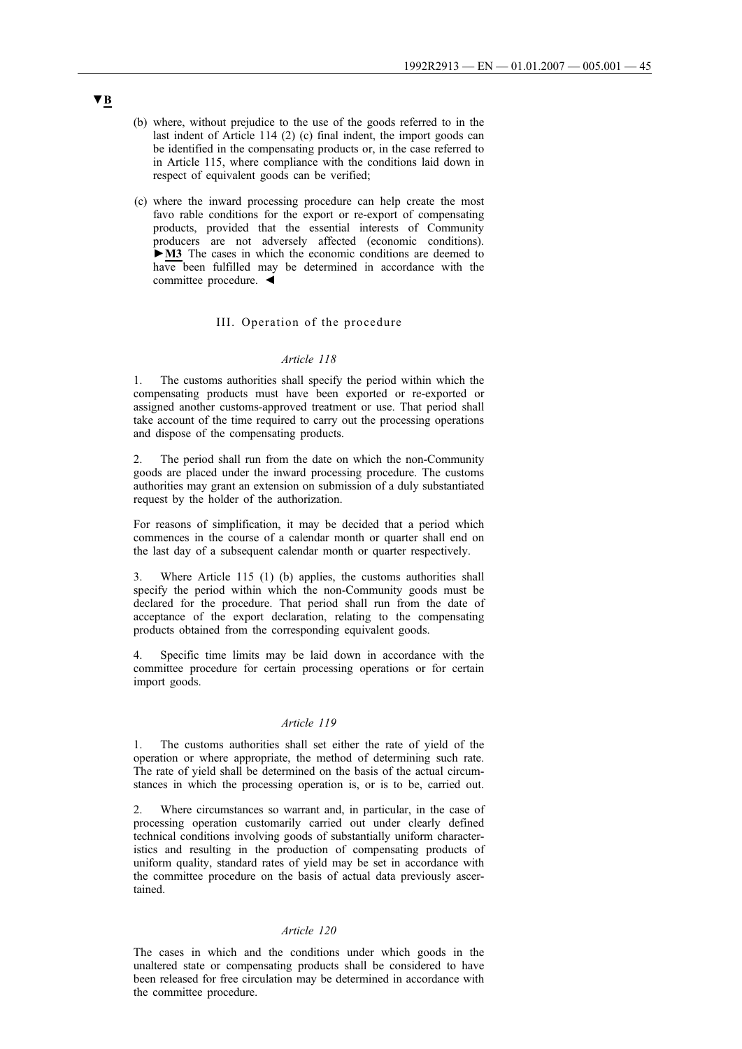- (b) where, without prejudice to the use of the goods referred to in the last indent of Article 114 (2) (c) final indent, the import goods can be identified in the compensating products or, in the case referred to in Article 115, where compliance with the conditions laid down in respect of equivalent goods can be verified;
- (c) where the inward processing procedure can help create the most favo rable conditions for the export or re-export of compensating products, provided that the essential interests of Community producers are not adversely affected (economic conditions). **►M3** The cases in which the economic conditions are deemed to have been fulfilled may be determined in accordance with the committee procedure. ◄

## III. Operation of the procedure

## *Article 118*

The customs authorities shall specify the period within which the compensating products must have been exported or re-exported or assigned another customs-approved treatment or use. That period shall take account of the time required to carry out the processing operations and dispose of the compensating products.

2. The period shall run from the date on which the non-Community goods are placed under the inward processing procedure. The customs authorities may grant an extension on submission of a duly substantiated request by the holder of the authorization.

For reasons of simplification, it may be decided that a period which commences in the course of a calendar month or quarter shall end on the last day of a subsequent calendar month or quarter respectively.

3. Where Article 115 (1) (b) applies, the customs authorities shall specify the period within which the non-Community goods must be declared for the procedure. That period shall run from the date of acceptance of the export declaration, relating to the compensating products obtained from the corresponding equivalent goods.

Specific time limits may be laid down in accordance with the committee procedure for certain processing operations or for certain import goods.

## *Article 119*

1. The customs authorities shall set either the rate of yield of the operation or where appropriate, the method of determining such rate. The rate of yield shall be determined on the basis of the actual circumstances in which the processing operation is, or is to be, carried out.

2. Where circumstances so warrant and, in particular, in the case of processing operation customarily carried out under clearly defined technical conditions involving goods of substantially uniform characteristics and resulting in the production of compensating products of uniform quality, standard rates of yield may be set in accordance with the committee procedure on the basis of actual data previously ascertained.

### *Article 120*

The cases in which and the conditions under which goods in the unaltered state or compensating products shall be considered to have been released for free circulation may be determined in accordance with the committee procedure.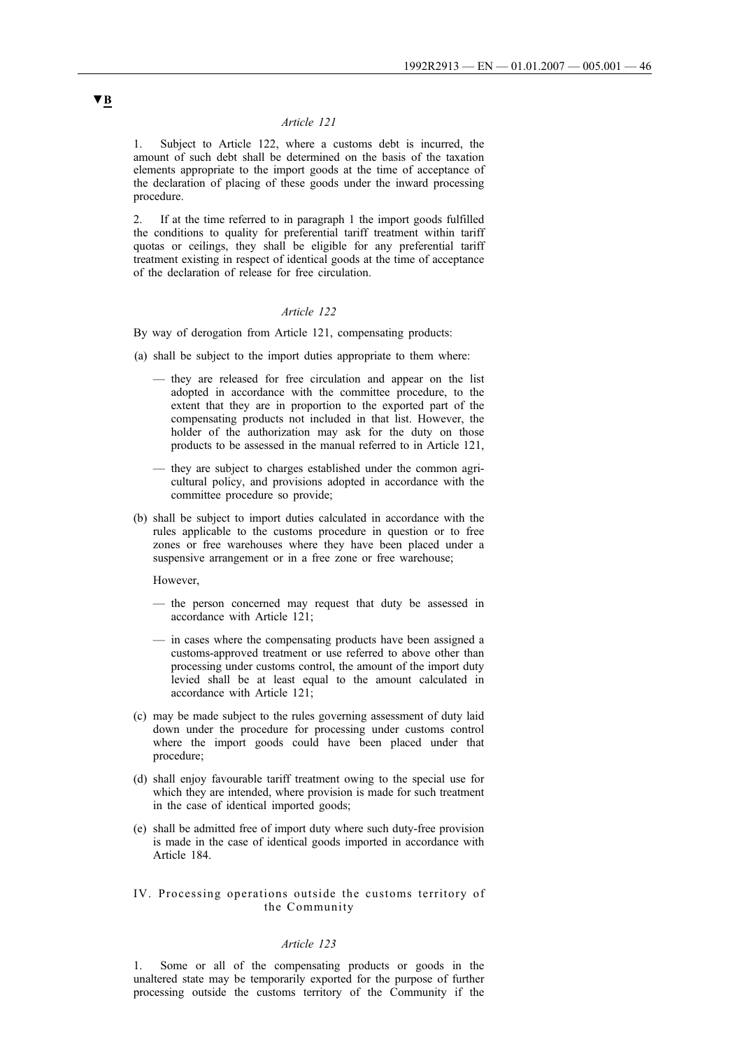Subject to Article 122, where a customs debt is incurred, the amount of such debt shall be determined on the basis of the taxation elements appropriate to the import goods at the time of acceptance of the declaration of placing of these goods under the inward processing procedure.

2. If at the time referred to in paragraph 1 the import goods fulfilled the conditions to quality for preferential tariff treatment within tariff quotas or ceilings, they shall be eligible for any preferential tariff treatment existing in respect of identical goods at the time of acceptance of the declaration of release for free circulation.

# *Article 122*

By way of derogation from Article 121, compensating products:

- (a) shall be subject to the import duties appropriate to them where:
	- they are released for free circulation and appear on the list adopted in accordance with the committee procedure, to the extent that they are in proportion to the exported part of the compensating products not included in that list. However, the holder of the authorization may ask for the duty on those products to be assessed in the manual referred to in Article 121,
	- they are subject to charges established under the common agricultural policy, and provisions adopted in accordance with the committee procedure so provide;
- (b) shall be subject to import duties calculated in accordance with the rules applicable to the customs procedure in question or to free zones or free warehouses where they have been placed under a suspensive arrangement or in a free zone or free warehouse;

However,

- the person concerned may request that duty be assessed in accordance with Article 121;
- in cases where the compensating products have been assigned a customs-approved treatment or use referred to above other than processing under customs control, the amount of the import duty levied shall be at least equal to the amount calculated in accordance with Article 121;
- (c) may be made subject to the rules governing assessment of duty laid down under the procedure for processing under customs control where the import goods could have been placed under that procedure;
- (d) shall enjoy favourable tariff treatment owing to the special use for which they are intended, where provision is made for such treatment in the case of identical imported goods;
- (e) shall be admitted free of import duty where such duty-free provision is made in the case of identical goods imported in accordance with Article 184.
- IV. Processing operations outside the customs territory of the Community

## *Article 123*

1. Some or all of the compensating products or goods in the unaltered state may be temporarily exported for the purpose of further processing outside the customs territory of the Community if the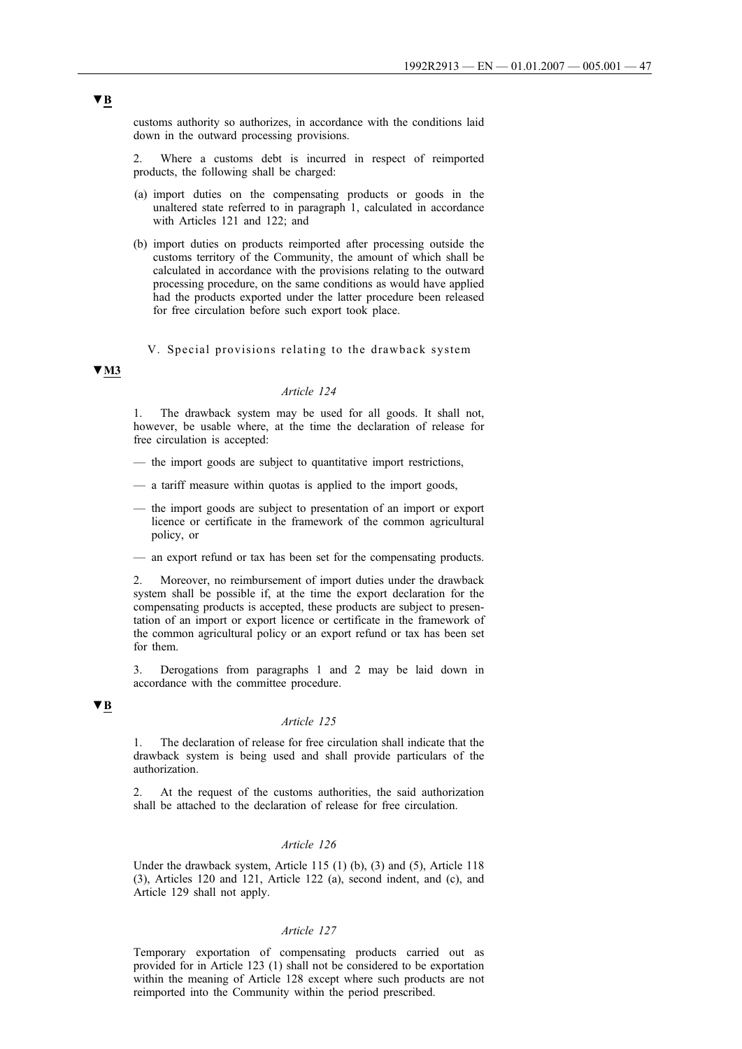customs authority so authorizes, in accordance with the conditions laid down in the outward processing provisions.

2. Where a customs debt is incurred in respect of reimported products, the following shall be charged:

- (a) import duties on the compensating products or goods in the unaltered state referred to in paragraph 1, calculated in accordance with Articles 121 and 122; and
- (b) import duties on products reimported after processing outside the customs territory of the Community, the amount of which shall be calculated in accordance with the provisions relating to the outward processing procedure, on the same conditions as would have applied had the products exported under the latter procedure been released for free circulation before such export took place.

V. Special provisions relating to the drawback system

## **▼M3**

#### *Article 124*

1. The drawback system may be used for all goods. It shall not, however, be usable where, at the time the declaration of release for free circulation is accepted:

- the import goods are subject to quantitative import restrictions,
- a tariff measure within quotas is applied to the import goods,
- the import goods are subject to presentation of an import or export licence or certificate in the framework of the common agricultural policy, or
- an export refund or tax has been set for the compensating products.

2. Moreover, no reimbursement of import duties under the drawback system shall be possible if, at the time the export declaration for the compensating products is accepted, these products are subject to presentation of an import or export licence or certificate in the framework of the common agricultural policy or an export refund or tax has been set for them.

3. Derogations from paragraphs 1 and 2 may be laid down in accordance with the committee procedure.

# **▼B**

## *Article 125*

1. The declaration of release for free circulation shall indicate that the drawback system is being used and shall provide particulars of the authorization.

2. At the request of the customs authorities, the said authorization shall be attached to the declaration of release for free circulation.

## *Article 126*

Under the drawback system, Article 115 (1) (b), (3) and (5), Article 118 (3), Articles 120 and 121, Article 122 (a), second indent, and (c), and Article 129 shall not apply.

### *Article 127*

Temporary exportation of compensating products carried out as provided for in Article 123 (1) shall not be considered to be exportation within the meaning of Article 128 except where such products are not reimported into the Community within the period prescribed.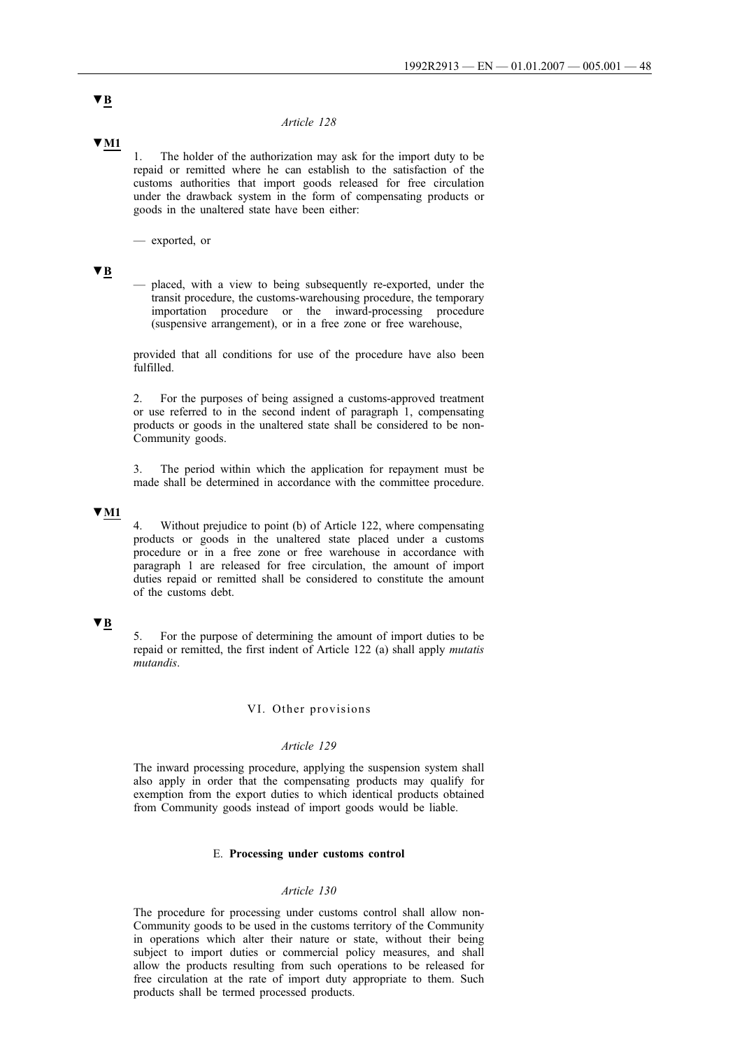**▼M1**

1. The holder of the authorization may ask for the import duty to be repaid or remitted where he can establish to the satisfaction of the customs authorities that import goods released for free circulation under the drawback system in the form of compensating products or goods in the unaltered state have been either:

— exported, or

# **▼B**

— placed, with a view to being subsequently re-exported, under the transit procedure, the customs-warehousing procedure, the temporary importation procedure or the inward-processing procedure (suspensive arrangement), or in a free zone or free warehouse,

provided that all conditions for use of the procedure have also been fulfilled.

2. For the purposes of being assigned a customs-approved treatment or use referred to in the second indent of paragraph 1, compensating products or goods in the unaltered state shall be considered to be non-Community goods.

3. The period within which the application for repayment must be made shall be determined in accordance with the committee procedure.

# **▼M1**

4. Without prejudice to point (b) of Article 122, where compensating products or goods in the unaltered state placed under a customs procedure or in a free zone or free warehouse in accordance with paragraph 1 are released for free circulation, the amount of import duties repaid or remitted shall be considered to constitute the amount of the customs debt.

# **▼B**

5. For the purpose of determining the amount of import duties to be repaid or remitted, the first indent of Article 122 (a) shall apply *mutatis mutandis*.

### VI. Other provisions

## *Article 129*

The inward processing procedure, applying the suspension system shall also apply in order that the compensating products may qualify for exemption from the export duties to which identical products obtained from Community goods instead of import goods would be liable.

## E. **Processing under customs control**

## *Article 130*

The procedure for processing under customs control shall allow non-Community goods to be used in the customs territory of the Community in operations which alter their nature or state, without their being subject to import duties or commercial policy measures, and shall allow the products resulting from such operations to be released for free circulation at the rate of import duty appropriate to them. Such products shall be termed processed products.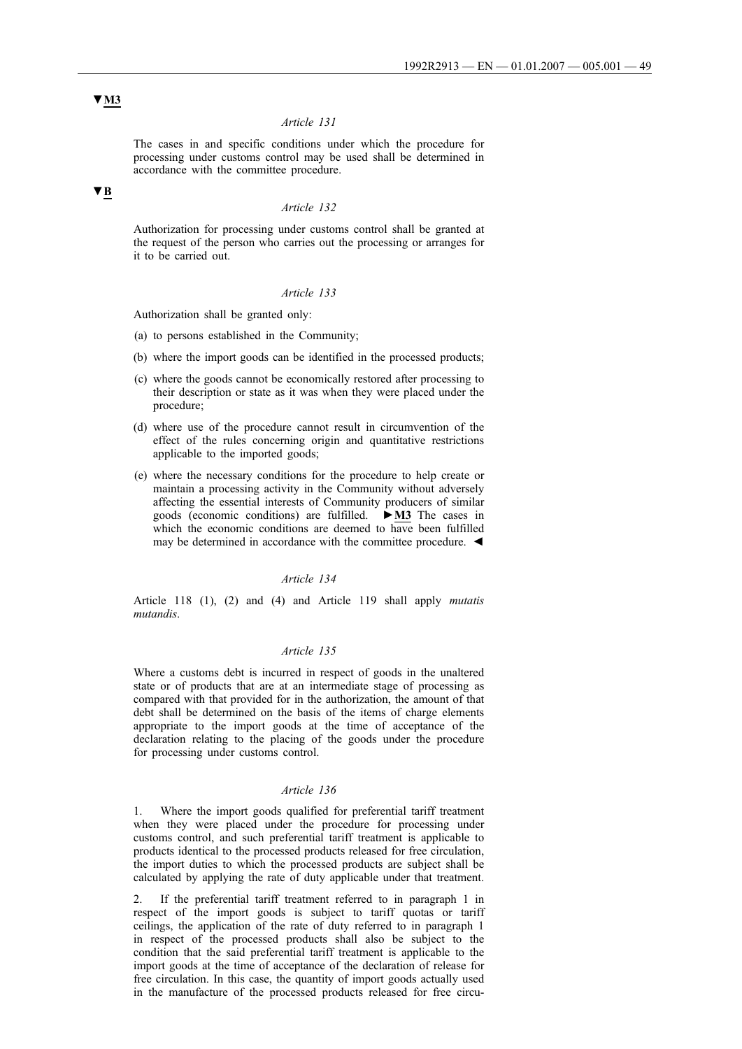The cases in and specific conditions under which the procedure for processing under customs control may be used shall be determined in accordance with the committee procedure.

# **▼B**

### *Article 132*

Authorization for processing under customs control shall be granted at the request of the person who carries out the processing or arranges for it to be carried out.

#### *Article 133*

Authorization shall be granted only:

- (a) to persons established in the Community;
- (b) where the import goods can be identified in the processed products;
- (c) where the goods cannot be economically restored after processing to their description or state as it was when they were placed under the procedure;
- (d) where use of the procedure cannot result in circumvention of the effect of the rules concerning origin and quantitative restrictions applicable to the imported goods;
- (e) where the necessary conditions for the procedure to help create or maintain a processing activity in the Community without adversely affecting the essential interests of Community producers of similar goods (economic conditions) are fulfilled. **►M3** The cases in which the economic conditions are deemed to have been fulfilled may be determined in accordance with the committee procedure. ◄

## *Article 134*

Article 118 (1), (2) and (4) and Article 119 shall apply *mutatis mutandis*.

## *Article 135*

Where a customs debt is incurred in respect of goods in the unaltered state or of products that are at an intermediate stage of processing as compared with that provided for in the authorization, the amount of that debt shall be determined on the basis of the items of charge elements appropriate to the import goods at the time of acceptance of the declaration relating to the placing of the goods under the procedure for processing under customs control.

#### *Article 136*

1. Where the import goods qualified for preferential tariff treatment when they were placed under the procedure for processing under customs control, and such preferential tariff treatment is applicable to products identical to the processed products released for free circulation, the import duties to which the processed products are subject shall be calculated by applying the rate of duty applicable under that treatment.

2. If the preferential tariff treatment referred to in paragraph 1 in respect of the import goods is subject to tariff quotas or tariff ceilings, the application of the rate of duty referred to in paragraph 1 in respect of the processed products shall also be subject to the condition that the said preferential tariff treatment is applicable to the import goods at the time of acceptance of the declaration of release for free circulation. In this case, the quantity of import goods actually used in the manufacture of the processed products released for free circu-

# **▼M3**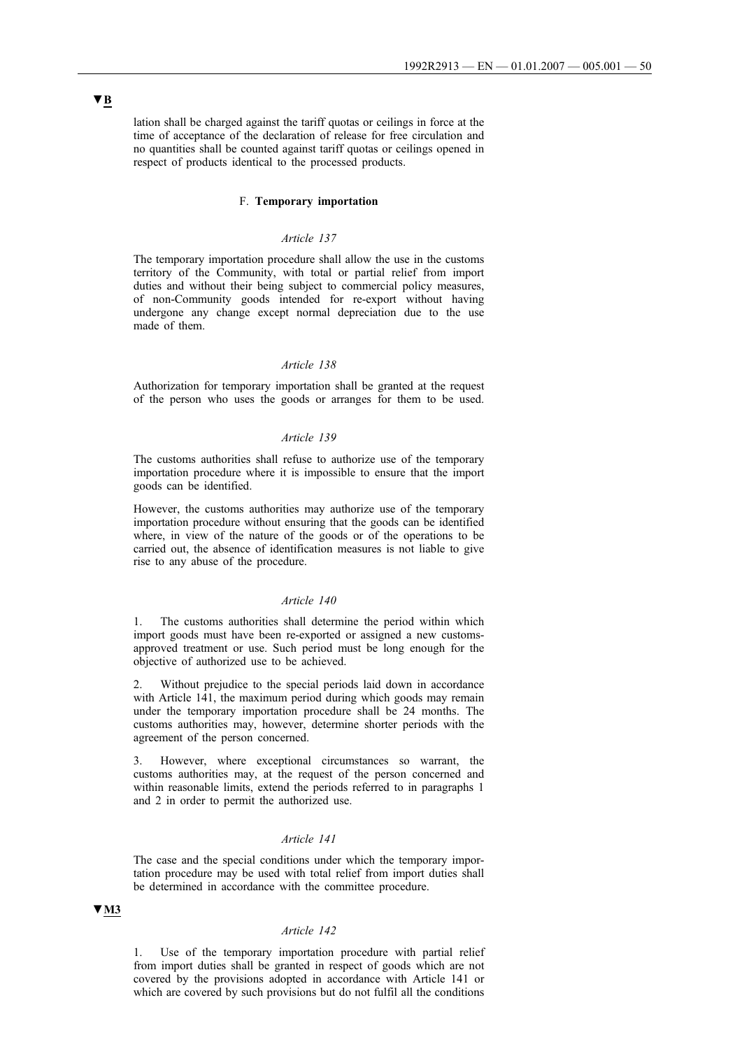lation shall be charged against the tariff quotas or ceilings in force at the time of acceptance of the declaration of release for free circulation and no quantities shall be counted against tariff quotas or ceilings opened in respect of products identical to the processed products.

## F. **Temporary importation**

## *Article 137*

The temporary importation procedure shall allow the use in the customs territory of the Community, with total or partial relief from import duties and without their being subject to commercial policy measures, of non-Community goods intended for re-export without having undergone any change except normal depreciation due to the use made of them.

### *Article 138*

Authorization for temporary importation shall be granted at the request of the person who uses the goods or arranges for them to be used.

#### *Article 139*

The customs authorities shall refuse to authorize use of the temporary importation procedure where it is impossible to ensure that the import goods can be identified.

However, the customs authorities may authorize use of the temporary importation procedure without ensuring that the goods can be identified where, in view of the nature of the goods or of the operations to be carried out, the absence of identification measures is not liable to give rise to any abuse of the procedure.

## *Article 140*

1. The customs authorities shall determine the period within which import goods must have been re-exported or assigned a new customsapproved treatment or use. Such period must be long enough for the objective of authorized use to be achieved.

Without prejudice to the special periods laid down in accordance with Article 141, the maximum period during which goods may remain under the temporary importation procedure shall be 24 months. The customs authorities may, however, determine shorter periods with the agreement of the person concerned.

3. However, where exceptional circumstances so warrant, the customs authorities may, at the request of the person concerned and within reasonable limits, extend the periods referred to in paragraphs 1 and 2 in order to permit the authorized use.

## *Article 141*

The case and the special conditions under which the temporary importation procedure may be used with total relief from import duties shall be determined in accordance with the committee procedure.

# **▼M3**

## *Article 142*

1. Use of the temporary importation procedure with partial relief from import duties shall be granted in respect of goods which are not covered by the provisions adopted in accordance with Article 141 or which are covered by such provisions but do not fulfil all the conditions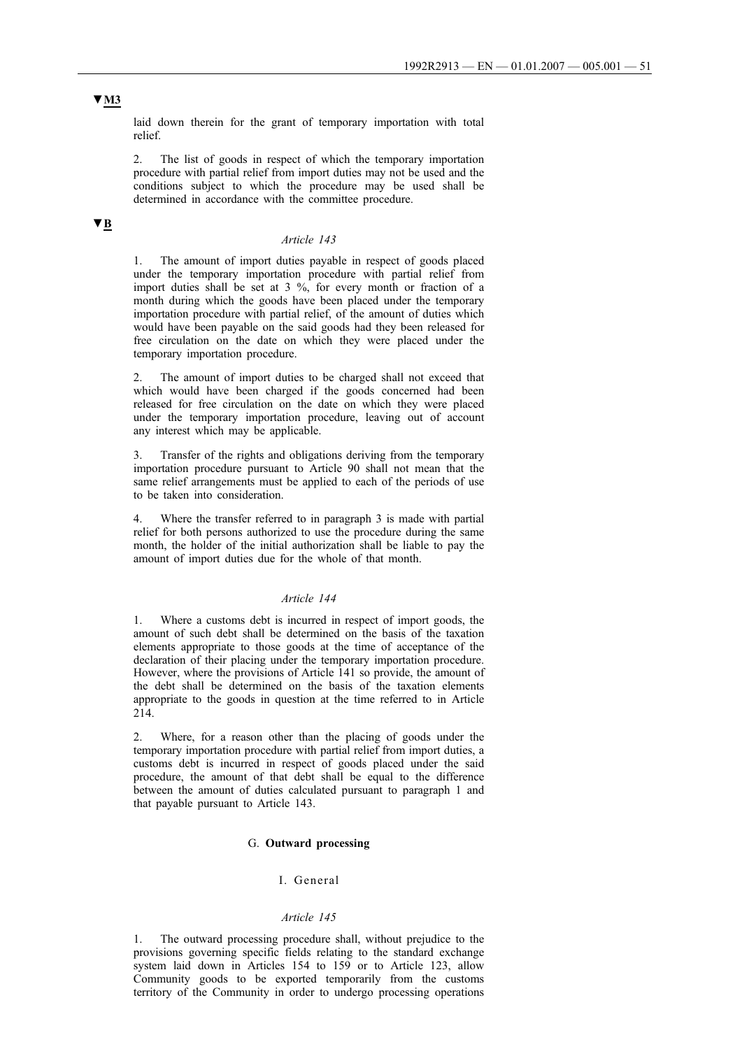# **▼M3**

laid down therein for the grant of temporary importation with total relief.

2. The list of goods in respect of which the temporary importation procedure with partial relief from import duties may not be used and the conditions subject to which the procedure may be used shall be determined in accordance with the committee procedure.

# **▼B**

## *Article 143*

1. The amount of import duties payable in respect of goods placed under the temporary importation procedure with partial relief from import duties shall be set at 3 %, for every month or fraction of a month during which the goods have been placed under the temporary importation procedure with partial relief, of the amount of duties which would have been payable on the said goods had they been released for free circulation on the date on which they were placed under the temporary importation procedure.

2. The amount of import duties to be charged shall not exceed that which would have been charged if the goods concerned had been released for free circulation on the date on which they were placed under the temporary importation procedure, leaving out of account any interest which may be applicable.

3. Transfer of the rights and obligations deriving from the temporary importation procedure pursuant to Article 90 shall not mean that the same relief arrangements must be applied to each of the periods of use to be taken into consideration.

4. Where the transfer referred to in paragraph 3 is made with partial relief for both persons authorized to use the procedure during the same month, the holder of the initial authorization shall be liable to pay the amount of import duties due for the whole of that month.

## *Article 144*

1. Where a customs debt is incurred in respect of import goods, the amount of such debt shall be determined on the basis of the taxation elements appropriate to those goods at the time of acceptance of the declaration of their placing under the temporary importation procedure. However, where the provisions of Article 141 so provide, the amount of the debt shall be determined on the basis of the taxation elements appropriate to the goods in question at the time referred to in Article 214.

2. Where, for a reason other than the placing of goods under the temporary importation procedure with partial relief from import duties, a customs debt is incurred in respect of goods placed under the said procedure, the amount of that debt shall be equal to the difference between the amount of duties calculated pursuant to paragraph 1 and that payable pursuant to Article 143.

## G. **Outward processing**

# I. General

#### *Article 145*

1. The outward processing procedure shall, without prejudice to the provisions governing specific fields relating to the standard exchange system laid down in Articles 154 to 159 or to Article 123, allow Community goods to be exported temporarily from the customs territory of the Community in order to undergo processing operations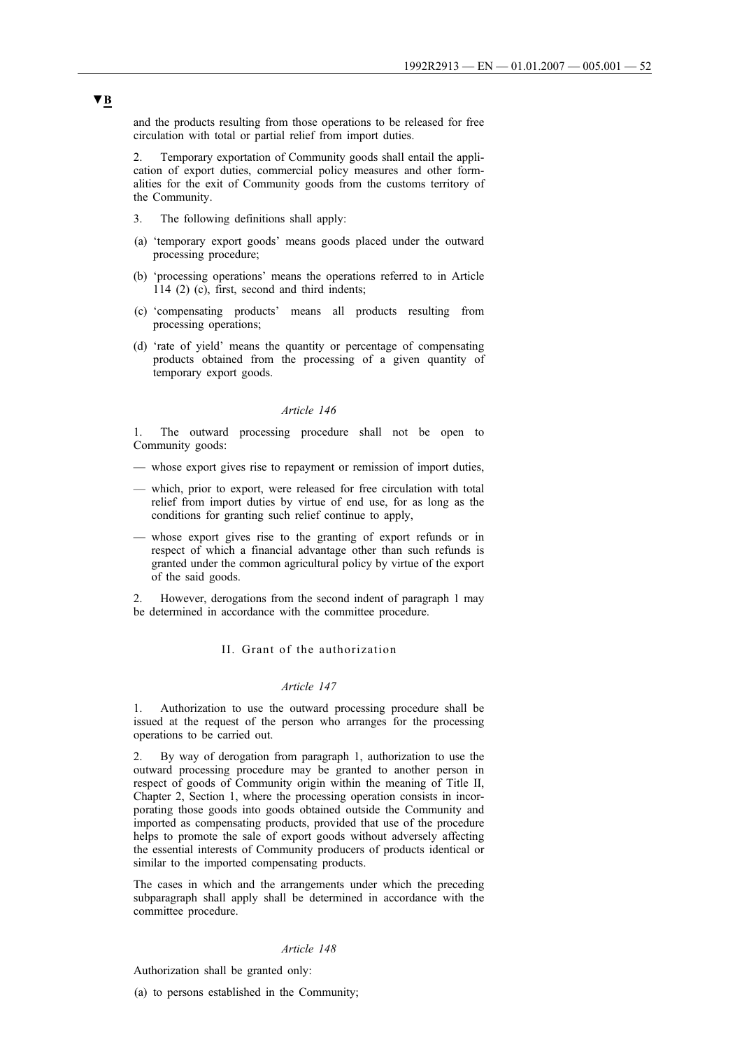and the products resulting from those operations to be released for free circulation with total or partial relief from import duties.

2. Temporary exportation of Community goods shall entail the application of export duties, commercial policy measures and other formalities for the exit of Community goods from the customs territory of the Community.

- 3. The following definitions shall apply:
- (a) 'temporary export goods' means goods placed under the outward processing procedure;
- (b) 'processing operations' means the operations referred to in Article 114 (2) (c), first, second and third indents;
- (c) 'compensating products' means all products resulting from processing operations;
- (d) 'rate of yield' means the quantity or percentage of compensating products obtained from the processing of a given quantity of temporary export goods.

## *Article 146*

1. The outward processing procedure shall not be open to Community goods:

- whose export gives rise to repayment or remission of import duties,
- which, prior to export, were released for free circulation with total relief from import duties by virtue of end use, for as long as the conditions for granting such relief continue to apply,
- whose export gives rise to the granting of export refunds or in respect of which a financial advantage other than such refunds is granted under the common agricultural policy by virtue of the export of the said goods.

2. However, derogations from the second indent of paragraph 1 may be determined in accordance with the committee procedure.

# II. Grant of the authorization

# *Article 147*

1. Authorization to use the outward processing procedure shall be issued at the request of the person who arranges for the processing operations to be carried out.

2. By way of derogation from paragraph 1, authorization to use the outward processing procedure may be granted to another person in respect of goods of Community origin within the meaning of Title II, Chapter 2, Section 1, where the processing operation consists in incorporating those goods into goods obtained outside the Community and imported as compensating products, provided that use of the procedure helps to promote the sale of export goods without adversely affecting the essential interests of Community producers of products identical or similar to the imported compensating products.

The cases in which and the arrangements under which the preceding subparagraph shall apply shall be determined in accordance with the committee procedure.

## *Article 148*

Authorization shall be granted only:

(a) to persons established in the Community;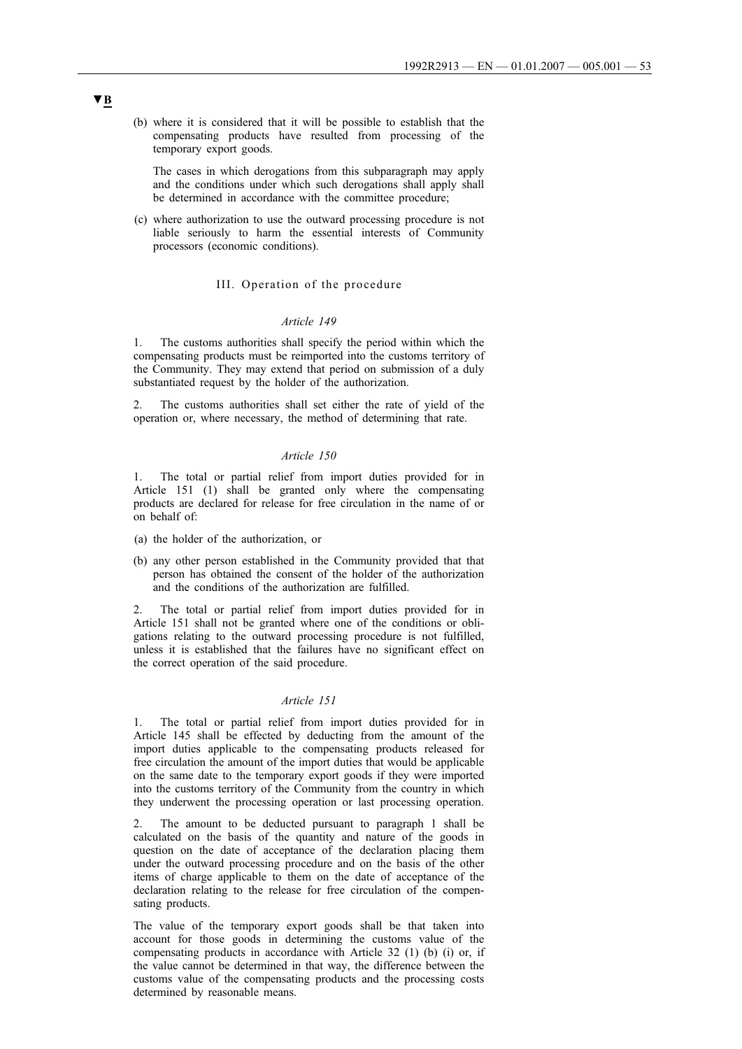(b) where it is considered that it will be possible to establish that the compensating products have resulted from processing of the temporary export goods.

The cases in which derogations from this subparagraph may apply and the conditions under which such derogations shall apply shall be determined in accordance with the committee procedure;

(c) where authorization to use the outward processing procedure is not liable seriously to harm the essential interests of Community processors (economic conditions).

# III. Operation of the procedure

## *Article 149*

1. The customs authorities shall specify the period within which the compensating products must be reimported into the customs territory of the Community. They may extend that period on submission of a duly substantiated request by the holder of the authorization.

2. The customs authorities shall set either the rate of yield of the operation or, where necessary, the method of determining that rate.

## *Article 150*

1. The total or partial relief from import duties provided for in Article 151 (1) shall be granted only where the compensating products are declared for release for free circulation in the name of or on behalf of:

- (a) the holder of the authorization, or
- (b) any other person established in the Community provided that that person has obtained the consent of the holder of the authorization and the conditions of the authorization are fulfilled.

2. The total or partial relief from import duties provided for in Article 151 shall not be granted where one of the conditions or obligations relating to the outward processing procedure is not fulfilled, unless it is established that the failures have no significant effect on the correct operation of the said procedure.

## *Article 151*

1. The total or partial relief from import duties provided for in Article 145 shall be effected by deducting from the amount of the import duties applicable to the compensating products released for free circulation the amount of the import duties that would be applicable on the same date to the temporary export goods if they were imported into the customs territory of the Community from the country in which they underwent the processing operation or last processing operation.

2. The amount to be deducted pursuant to paragraph 1 shall be calculated on the basis of the quantity and nature of the goods in question on the date of acceptance of the declaration placing them under the outward processing procedure and on the basis of the other items of charge applicable to them on the date of acceptance of the declaration relating to the release for free circulation of the compensating products.

The value of the temporary export goods shall be that taken into account for those goods in determining the customs value of the compensating products in accordance with Article 32 (1) (b) (i) or, if the value cannot be determined in that way, the difference between the customs value of the compensating products and the processing costs determined by reasonable means.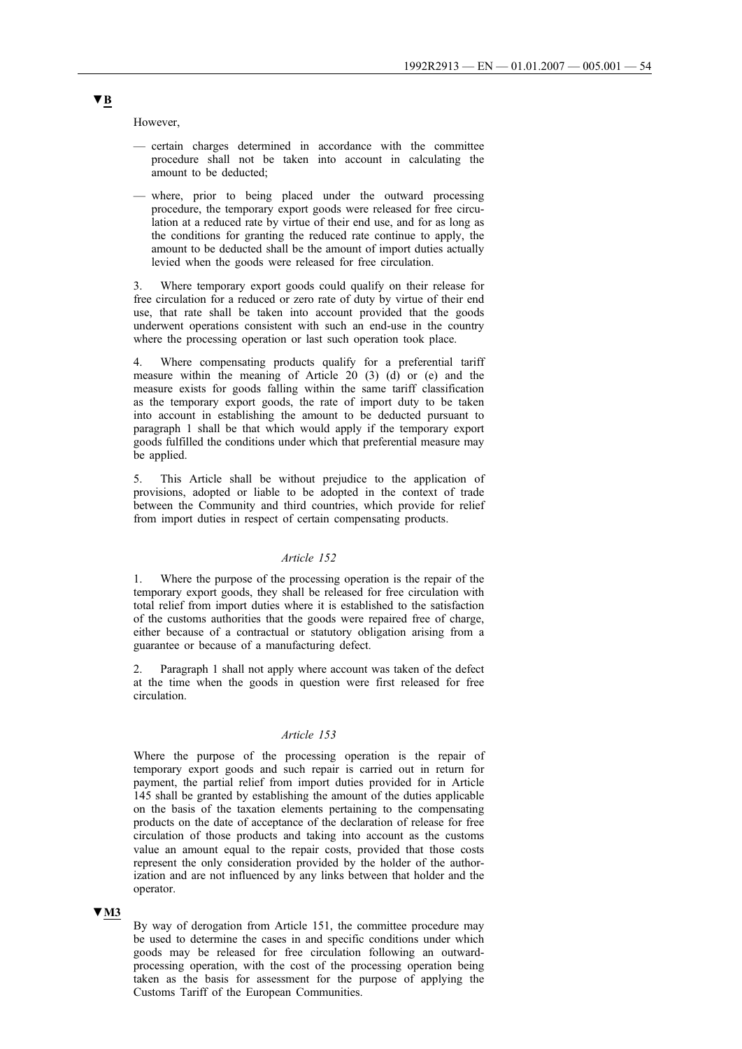However,

- certain charges determined in accordance with the committee procedure shall not be taken into account in calculating the amount to be deducted;
- where, prior to being placed under the outward processing procedure, the temporary export goods were released for free circulation at a reduced rate by virtue of their end use, and for as long as the conditions for granting the reduced rate continue to apply, the amount to be deducted shall be the amount of import duties actually levied when the goods were released for free circulation.

3. Where temporary export goods could qualify on their release for free circulation for a reduced or zero rate of duty by virtue of their end use, that rate shall be taken into account provided that the goods underwent operations consistent with such an end-use in the country where the processing operation or last such operation took place.

Where compensating products qualify for a preferential tariff measure within the meaning of Article 20 (3) (d) or (e) and the measure exists for goods falling within the same tariff classification as the temporary export goods, the rate of import duty to be taken into account in establishing the amount to be deducted pursuant to paragraph 1 shall be that which would apply if the temporary export goods fulfilled the conditions under which that preferential measure may be applied.

5. This Article shall be without prejudice to the application of provisions, adopted or liable to be adopted in the context of trade between the Community and third countries, which provide for relief from import duties in respect of certain compensating products.

#### *Article 152*

1. Where the purpose of the processing operation is the repair of the temporary export goods, they shall be released for free circulation with total relief from import duties where it is established to the satisfaction of the customs authorities that the goods were repaired free of charge, either because of a contractual or statutory obligation arising from a guarantee or because of a manufacturing defect.

2. Paragraph 1 shall not apply where account was taken of the defect at the time when the goods in question were first released for free circulation.

## *Article 153*

Where the purpose of the processing operation is the repair of temporary export goods and such repair is carried out in return for payment, the partial relief from import duties provided for in Article 145 shall be granted by establishing the amount of the duties applicable on the basis of the taxation elements pertaining to the compensating products on the date of acceptance of the declaration of release for free circulation of those products and taking into account as the customs value an amount equal to the repair costs, provided that those costs represent the only consideration provided by the holder of the authorization and are not influenced by any links between that holder and the operator.

### **▼M3**

By way of derogation from Article 151, the committee procedure may be used to determine the cases in and specific conditions under which goods may be released for free circulation following an outwardprocessing operation, with the cost of the processing operation being taken as the basis for assessment for the purpose of applying the Customs Tariff of the European Communities.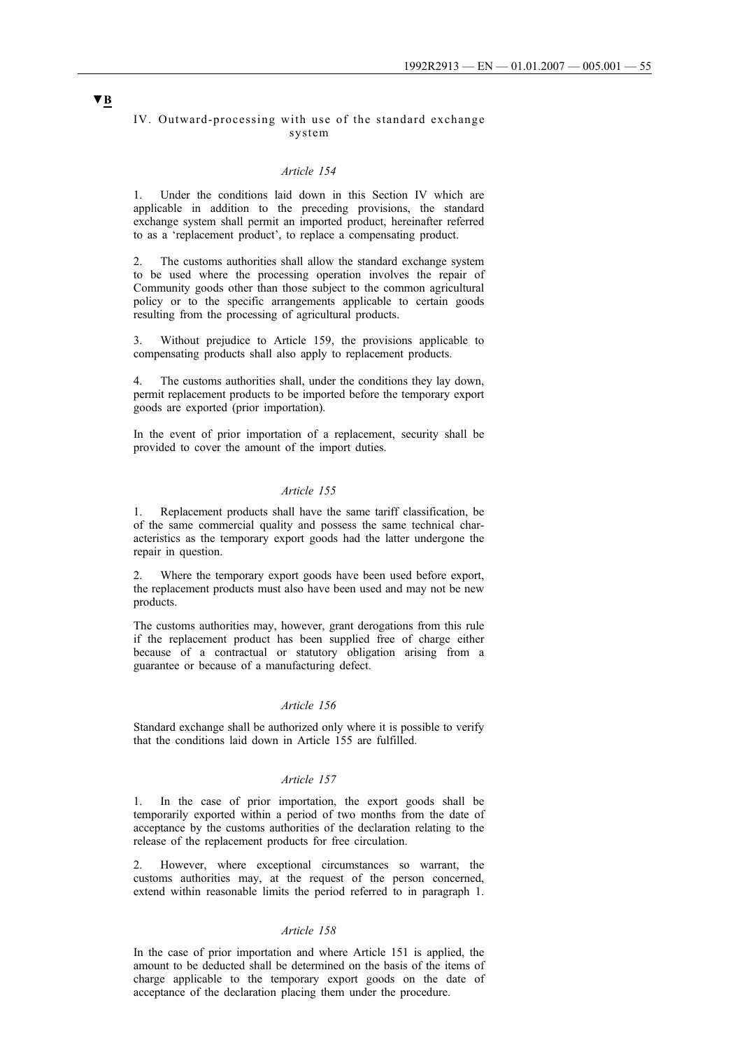## IV. Outward-processing with use of the standard exchange system

## *Article 154*

Under the conditions laid down in this Section IV which are applicable in addition to the preceding provisions, the standard exchange system shall permit an imported product, hereinafter referred to as a 'replacement product', to replace a compensating product.

2. The customs authorities shall allow the standard exchange system to be used where the processing operation involves the repair of Community goods other than those subject to the common agricultural policy or to the specific arrangements applicable to certain goods resulting from the processing of agricultural products.

3. Without prejudice to Article 159, the provisions applicable to compensating products shall also apply to replacement products.

The customs authorities shall, under the conditions they lay down, permit replacement products to be imported before the temporary export goods are exported (prior importation).

In the event of prior importation of a replacement, security shall be provided to cover the amount of the import duties.

## *Article 155*

1. Replacement products shall have the same tariff classification, be of the same commercial quality and possess the same technical characteristics as the temporary export goods had the latter undergone the repair in question.

2. Where the temporary export goods have been used before export, the replacement products must also have been used and may not be new products.

The customs authorities may, however, grant derogations from this rule if the replacement product has been supplied free of charge either because of a contractual or statutory obligation arising from a guarantee or because of a manufacturing defect.

#### *Article 156*

Standard exchange shall be authorized only where it is possible to verify that the conditions laid down in Article 155 are fulfilled.

### *Article 157*

In the case of prior importation, the export goods shall be temporarily exported within a period of two months from the date of acceptance by the customs authorities of the declaration relating to the release of the replacement products for free circulation.

2. However, where exceptional circumstances so warrant, the customs authorities may, at the request of the person concerned, extend within reasonable limits the period referred to in paragraph 1.

### *Article 158*

In the case of prior importation and where Article 151 is applied, the amount to be deducted shall be determined on the basis of the items of charge applicable to the temporary export goods on the date of acceptance of the declaration placing them under the procedure.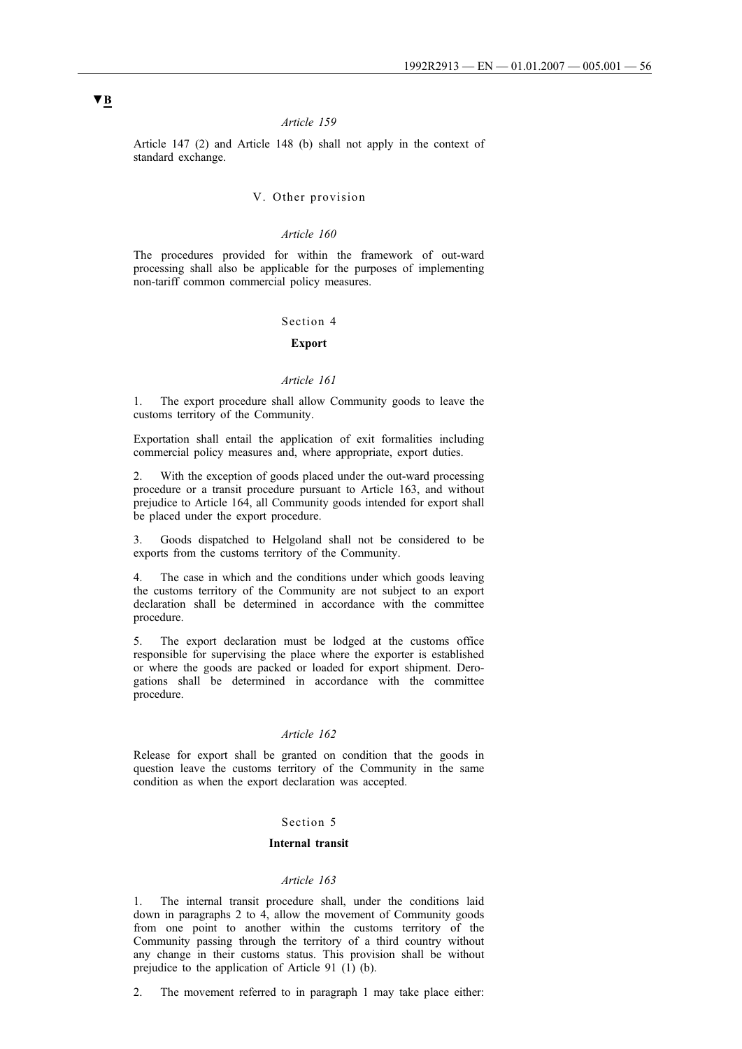Article 147 (2) and Article 148 (b) shall not apply in the context of standard exchange.

# V. Other provision

#### *Article 160*

The procedures provided for within the framework of out-ward processing shall also be applicable for the purposes of implementing non-tariff common commercial policy measures.

## Section 4

## **Export**

# *Article 161*

1. The export procedure shall allow Community goods to leave the customs territory of the Community.

Exportation shall entail the application of exit formalities including commercial policy measures and, where appropriate, export duties.

2. With the exception of goods placed under the out-ward processing procedure or a transit procedure pursuant to Article 163, and without prejudice to Article 164, all Community goods intended for export shall be placed under the export procedure.

3. Goods dispatched to Helgoland shall not be considered to be exports from the customs territory of the Community.

The case in which and the conditions under which goods leaving the customs territory of the Community are not subject to an export declaration shall be determined in accordance with the committee procedure.

5. The export declaration must be lodged at the customs office responsible for supervising the place where the exporter is established or where the goods are packed or loaded for export shipment. Derogations shall be determined in accordance with the committee procedure.

#### *Article 162*

Release for export shall be granted on condition that the goods in question leave the customs territory of the Community in the same condition as when the export declaration was accepted.

## Section 5

### **Internal transit**

### *Article 163*

1. The internal transit procedure shall, under the conditions laid down in paragraphs 2 to 4, allow the movement of Community goods from one point to another within the customs territory of the Community passing through the territory of a third country without any change in their customs status. This provision shall be without prejudice to the application of Article 91 (1) (b).

2. The movement referred to in paragraph 1 may take place either: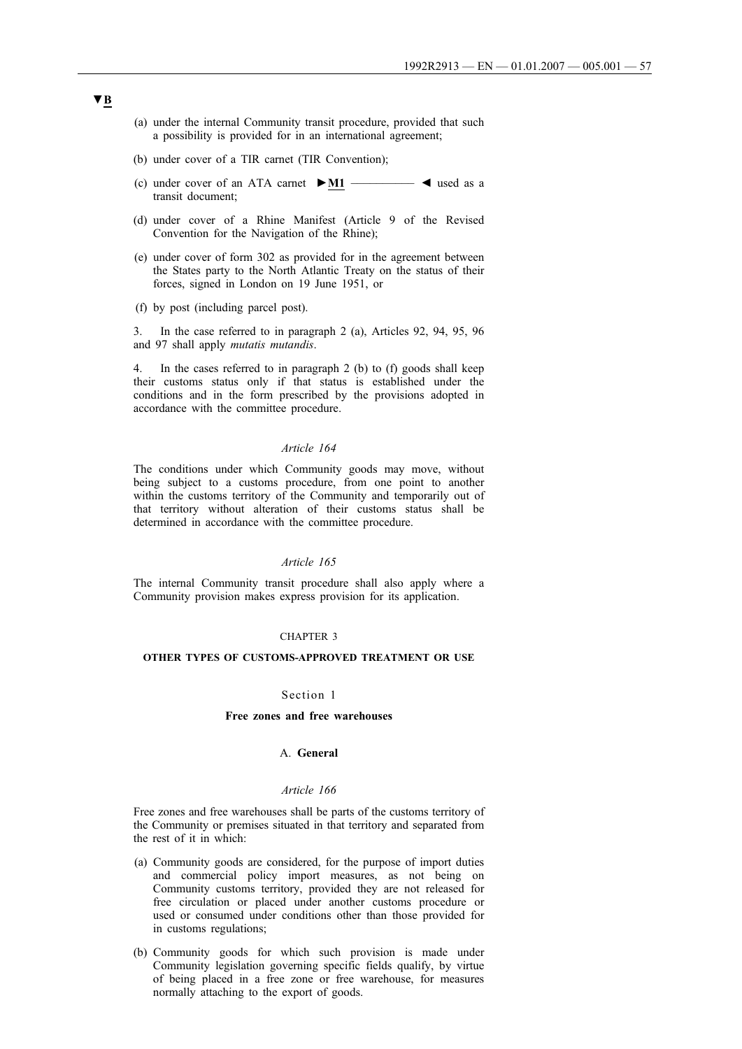- (a) under the internal Community transit procedure, provided that such a possibility is provided for in an international agreement;
- (b) under cover of a TIR carnet (TIR Convention);
- (c) under cover of an ATA carnet **►M1** \_\_\_\_\_\_\_\_\_\_ ◄ used as a transit document;
- (d) under cover of a Rhine Manifest (Article 9 of the Revised Convention for the Navigation of the Rhine);
- (e) under cover of form 302 as provided for in the agreement between the States party to the North Atlantic Treaty on the status of their forces, signed in London on 19 June 1951, or
- (f) by post (including parcel post).

3. In the case referred to in paragraph 2 (a), Articles 92, 94, 95, 96 and 97 shall apply *mutatis mutandis*.

4. In the cases referred to in paragraph 2 (b) to (f) goods shall keep their customs status only if that status is established under the conditions and in the form prescribed by the provisions adopted in accordance with the committee procedure.

#### *Article 164*

The conditions under which Community goods may move, without being subject to a customs procedure, from one point to another within the customs territory of the Community and temporarily out of that territory without alteration of their customs status shall be determined in accordance with the committee procedure.

#### *Article 165*

The internal Community transit procedure shall also apply where a Community provision makes express provision for its application.

## CHAPTER 3

## **OTHER TYPES OF CUSTOMS-APPROVED TREATMENT OR USE**

#### Section 1

## **Free zones and free warehouses**

## A. **General**

#### *Article 166*

Free zones and free warehouses shall be parts of the customs territory of the Community or premises situated in that territory and separated from the rest of it in which:

- (a) Community goods are considered, for the purpose of import duties and commercial policy import measures, as not being on Community customs territory, provided they are not released for free circulation or placed under another customs procedure or used or consumed under conditions other than those provided for in customs regulations;
- (b) Community goods for which such provision is made under Community legislation governing specific fields qualify, by virtue of being placed in a free zone or free warehouse, for measures normally attaching to the export of goods.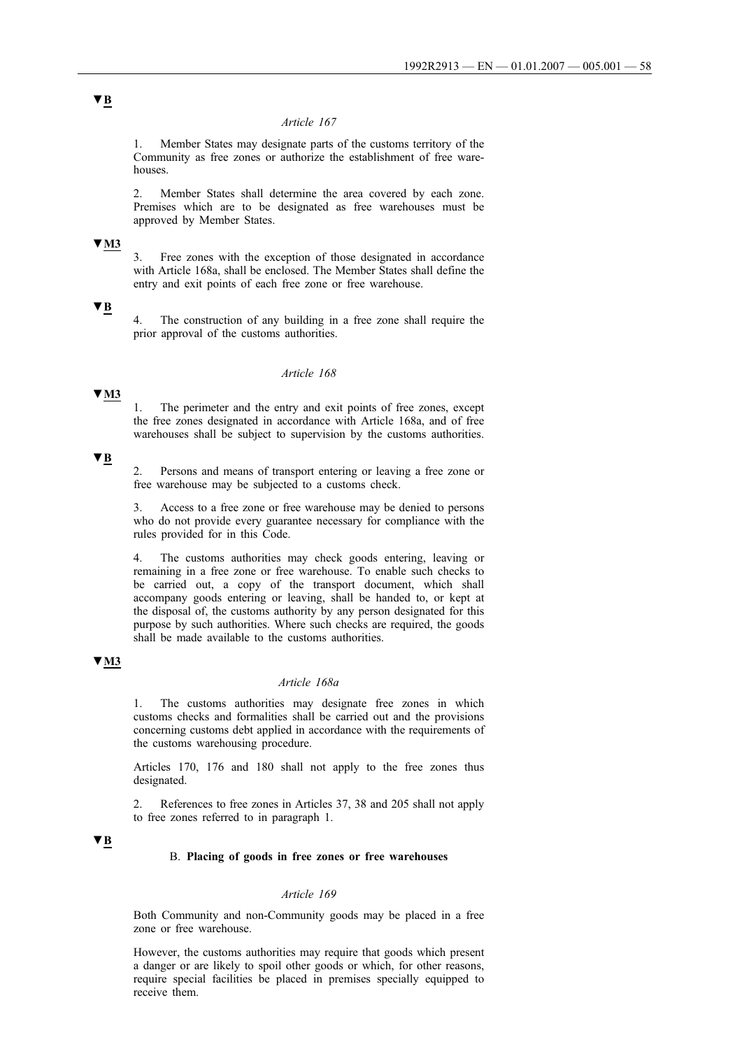Member States may designate parts of the customs territory of the Community as free zones or authorize the establishment of free warehouses.

Member States shall determine the area covered by each zone. Premises which are to be designated as free warehouses must be approved by Member States.

#### **▼M3**

Free zones with the exception of those designated in accordance with Article 168a, shall be enclosed. The Member States shall define the entry and exit points of each free zone or free warehouse.

# **▼B**

4. The construction of any building in a free zone shall require the prior approval of the customs authorities.

## *Article 168*

## **▼M3**

1. The perimeter and the entry and exit points of free zones, except the free zones designated in accordance with Article 168a, and of free warehouses shall be subject to supervision by the customs authorities.

# **▼B**

2. Persons and means of transport entering or leaving a free zone or free warehouse may be subjected to a customs check.

3. Access to a free zone or free warehouse may be denied to persons who do not provide every guarantee necessary for compliance with the rules provided for in this Code.

The customs authorities may check goods entering, leaving or remaining in a free zone or free warehouse. To enable such checks to be carried out, a copy of the transport document, which shall accompany goods entering or leaving, shall be handed to, or kept at the disposal of, the customs authority by any person designated for this purpose by such authorities. Where such checks are required, the goods shall be made available to the customs authorities.

# **▼M3**

### *Article 168a*

1. The customs authorities may designate free zones in which customs checks and formalities shall be carried out and the provisions concerning customs debt applied in accordance with the requirements of the customs warehousing procedure.

Articles 170, 176 and 180 shall not apply to the free zones thus designated.

2. References to free zones in Articles 37, 38 and 205 shall not apply to free zones referred to in paragraph 1.

# **▼B**

## B. **Placing of goods in free zones or free warehouses**

### *Article 169*

Both Community and non-Community goods may be placed in a free zone or free warehouse.

However, the customs authorities may require that goods which present a danger or are likely to spoil other goods or which, for other reasons, require special facilities be placed in premises specially equipped to receive them.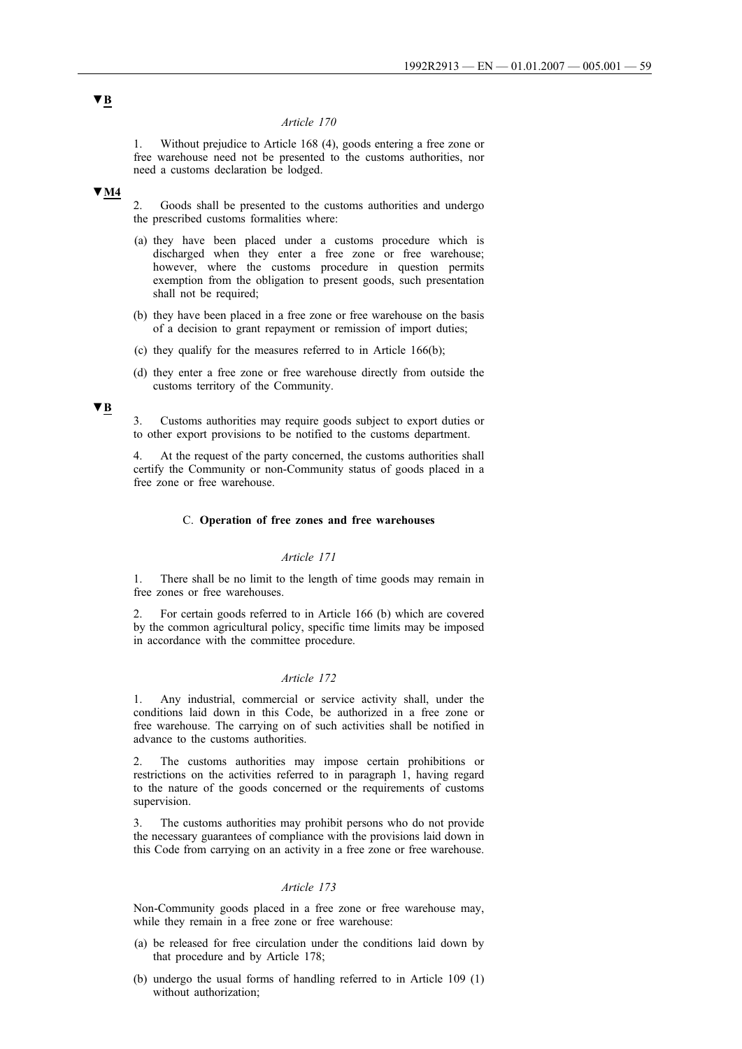1. Without prejudice to Article 168 (4), goods entering a free zone or free warehouse need not be presented to the customs authorities, nor need a customs declaration be lodged.

# **▼M4**

- 2. Goods shall be presented to the customs authorities and undergo the prescribed customs formalities where:
- (a) they have been placed under a customs procedure which is discharged when they enter a free zone or free warehouse; however, where the customs procedure in question permits exemption from the obligation to present goods, such presentation shall not be required;
- (b) they have been placed in a free zone or free warehouse on the basis of a decision to grant repayment or remission of import duties;
- (c) they qualify for the measures referred to in Article 166(b);
- (d) they enter a free zone or free warehouse directly from outside the customs territory of the Community.

## **▼B**

3. Customs authorities may require goods subject to export duties or to other export provisions to be notified to the customs department.

4. At the request of the party concerned, the customs authorities shall certify the Community or non-Community status of goods placed in a free zone or free warehouse.

#### C. **Operation of free zones and free warehouses**

#### *Article 171*

1. There shall be no limit to the length of time goods may remain in free zones or free warehouses.

2. For certain goods referred to in Article 166 (b) which are covered by the common agricultural policy, specific time limits may be imposed in accordance with the committee procedure.

## *Article 172*

1. Any industrial, commercial or service activity shall, under the conditions laid down in this Code, be authorized in a free zone or free warehouse. The carrying on of such activities shall be notified in advance to the customs authorities.

2. The customs authorities may impose certain prohibitions or restrictions on the activities referred to in paragraph 1, having regard to the nature of the goods concerned or the requirements of customs supervision.

3. The customs authorities may prohibit persons who do not provide the necessary guarantees of compliance with the provisions laid down in this Code from carrying on an activity in a free zone or free warehouse.

#### *Article 173*

Non-Community goods placed in a free zone or free warehouse may, while they remain in a free zone or free warehouse:

- (a) be released for free circulation under the conditions laid down by that procedure and by Article 178;
- (b) undergo the usual forms of handling referred to in Article 109 (1) without authorization;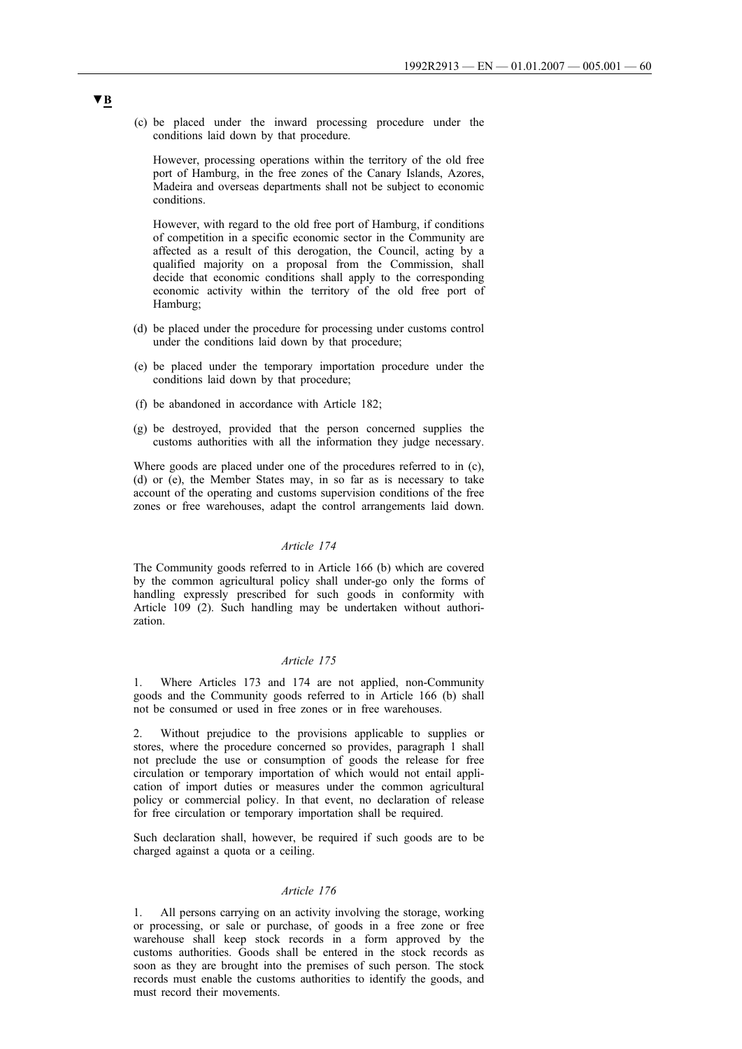(c) be placed under the inward processing procedure under the conditions laid down by that procedure.

However, processing operations within the territory of the old free port of Hamburg, in the free zones of the Canary Islands, Azores, Madeira and overseas departments shall not be subject to economic conditions.

However, with regard to the old free port of Hamburg, if conditions of competition in a specific economic sector in the Community are affected as a result of this derogation, the Council, acting by a qualified majority on a proposal from the Commission, shall decide that economic conditions shall apply to the corresponding economic activity within the territory of the old free port of Hamburg;

- (d) be placed under the procedure for processing under customs control under the conditions laid down by that procedure;
- (e) be placed under the temporary importation procedure under the conditions laid down by that procedure;
- (f) be abandoned in accordance with Article 182;
- (g) be destroyed, provided that the person concerned supplies the customs authorities with all the information they judge necessary.

Where goods are placed under one of the procedures referred to in (c), (d) or (e), the Member States may, in so far as is necessary to take account of the operating and customs supervision conditions of the free zones or free warehouses, adapt the control arrangements laid down.

## *Article 174*

The Community goods referred to in Article 166 (b) which are covered by the common agricultural policy shall under-go only the forms of handling expressly prescribed for such goods in conformity with Article 109 (2). Such handling may be undertaken without authorization.

## *Article 175*

1. Where Articles 173 and 174 are not applied, non-Community goods and the Community goods referred to in Article 166 (b) shall not be consumed or used in free zones or in free warehouses.

2. Without prejudice to the provisions applicable to supplies or stores, where the procedure concerned so provides, paragraph 1 shall not preclude the use or consumption of goods the release for free circulation or temporary importation of which would not entail application of import duties or measures under the common agricultural policy or commercial policy. In that event, no declaration of release for free circulation or temporary importation shall be required.

Such declaration shall, however, be required if such goods are to be charged against a quota or a ceiling.

## *Article 176*

All persons carrying on an activity involving the storage, working or processing, or sale or purchase, of goods in a free zone or free warehouse shall keep stock records in a form approved by the customs authorities. Goods shall be entered in the stock records as soon as they are brought into the premises of such person. The stock records must enable the customs authorities to identify the goods, and must record their movements.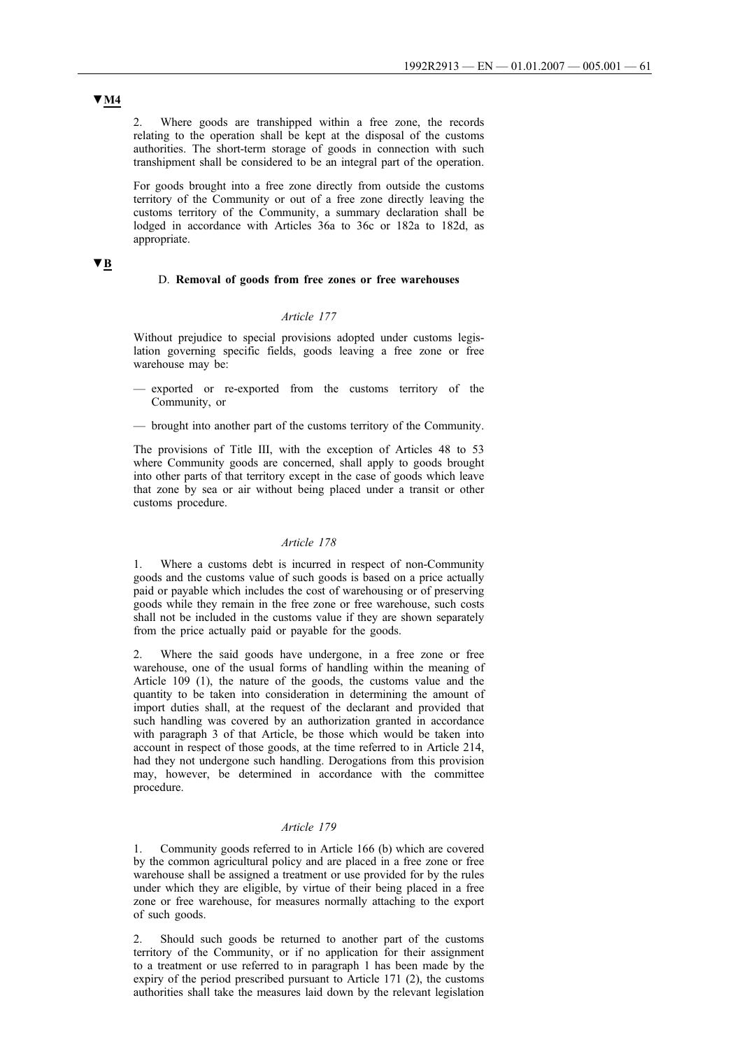2. Where goods are transhipped within a free zone, the records relating to the operation shall be kept at the disposal of the customs authorities. The short-term storage of goods in connection with such transhipment shall be considered to be an integral part of the operation.

For goods brought into a free zone directly from outside the customs territory of the Community or out of a free zone directly leaving the customs territory of the Community, a summary declaration shall be lodged in accordance with Articles 36a to 36c or 182a to 182d, as appropriate.

**▼B**

### D. **Removal of goods from free zones or free warehouses**

# *Article 177*

Without prejudice to special provisions adopted under customs legislation governing specific fields, goods leaving a free zone or free warehouse may be:

— exported or re-exported from the customs territory of the Community, or

— brought into another part of the customs territory of the Community.

The provisions of Title III, with the exception of Articles 48 to 53 where Community goods are concerned, shall apply to goods brought into other parts of that territory except in the case of goods which leave that zone by sea or air without being placed under a transit or other customs procedure.

## *Article 178*

1. Where a customs debt is incurred in respect of non-Community goods and the customs value of such goods is based on a price actually paid or payable which includes the cost of warehousing or of preserving goods while they remain in the free zone or free warehouse, such costs shall not be included in the customs value if they are shown separately from the price actually paid or payable for the goods.

2. Where the said goods have undergone, in a free zone or free warehouse, one of the usual forms of handling within the meaning of Article 109 (1), the nature of the goods, the customs value and the quantity to be taken into consideration in determining the amount of import duties shall, at the request of the declarant and provided that such handling was covered by an authorization granted in accordance with paragraph 3 of that Article, be those which would be taken into account in respect of those goods, at the time referred to in Article 214, had they not undergone such handling. Derogations from this provision may, however, be determined in accordance with the committee procedure.

## *Article 179*

1. Community goods referred to in Article 166 (b) which are covered by the common agricultural policy and are placed in a free zone or free warehouse shall be assigned a treatment or use provided for by the rules under which they are eligible, by virtue of their being placed in a free zone or free warehouse, for measures normally attaching to the export of such goods.

2. Should such goods be returned to another part of the customs territory of the Community, or if no application for their assignment to a treatment or use referred to in paragraph 1 has been made by the expiry of the period prescribed pursuant to Article 171 (2), the customs authorities shall take the measures laid down by the relevant legislation

# **▼M4**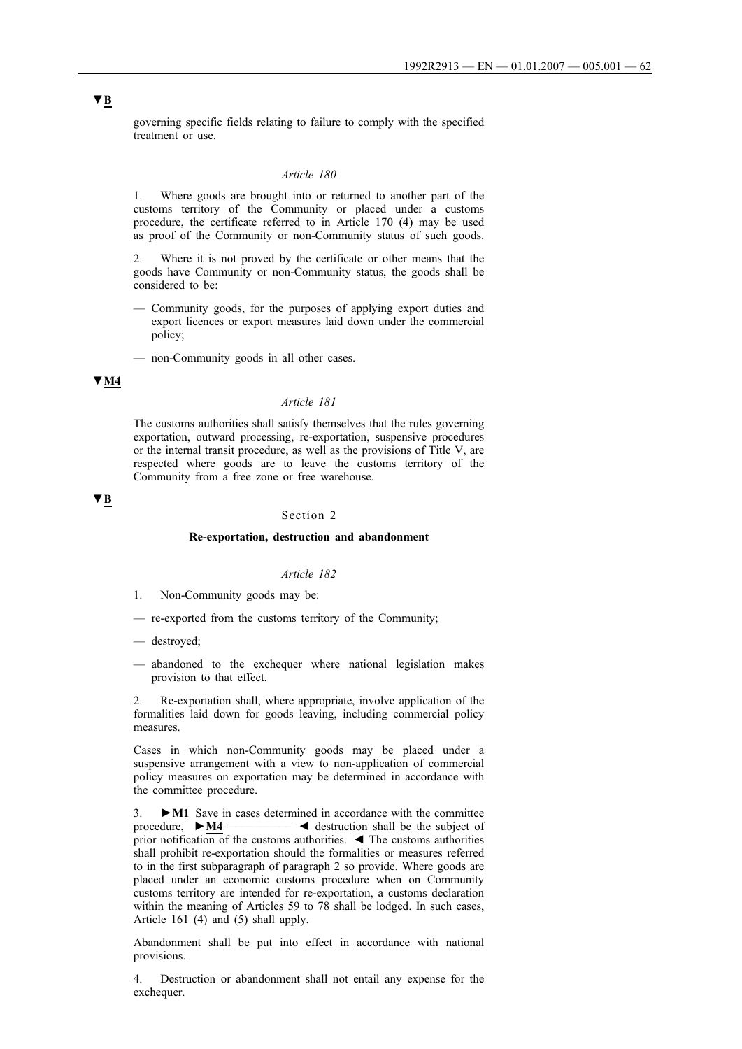governing specific fields relating to failure to comply with the specified treatment or use.

## *Article 180*

1. Where goods are brought into or returned to another part of the customs territory of the Community or placed under a customs procedure, the certificate referred to in Article 170 (4) may be used as proof of the Community or non-Community status of such goods.

2. Where it is not proved by the certificate or other means that the goods have Community or non-Community status, the goods shall be considered to be:

- Community goods, for the purposes of applying export duties and export licences or export measures laid down under the commercial policy;
- non-Community goods in all other cases.

# **▼M4**

# *Article 181*

The customs authorities shall satisfy themselves that the rules governing exportation, outward processing, re-exportation, suspensive procedures or the internal transit procedure, as well as the provisions of Title V, are respected where goods are to leave the customs territory of the Community from a free zone or free warehouse.

## **▼B**

## Section 2

## **Re-exportation, destruction and abandonment**

#### *Article 182*

- 1. Non-Community goods may be:
- re-exported from the customs territory of the Community;
- destroyed;
- abandoned to the exchequer where national legislation makes provision to that effect.

2. Re-exportation shall, where appropriate, involve application of the formalities laid down for goods leaving, including commercial policy measures.

Cases in which non-Community goods may be placed under a suspensive arrangement with a view to non-application of commercial policy measures on exportation may be determined in accordance with the committee procedure.

3. **►M1** Save in cases determined in accordance with the committee procedure, **►M4** \_\_\_\_\_\_\_\_\_\_ ◄ destruction shall be the subject of prior notification of the customs authorities. ◄ The customs authorities shall prohibit re-exportation should the formalities or measures referred to in the first subparagraph of paragraph 2 so provide. Where goods are placed under an economic customs procedure when on Community customs territory are intended for re-exportation, a customs declaration within the meaning of Articles 59 to 78 shall be lodged. In such cases, Article 161 (4) and (5) shall apply.

Abandonment shall be put into effect in accordance with national provisions.

4. Destruction or abandonment shall not entail any expense for the exchequer.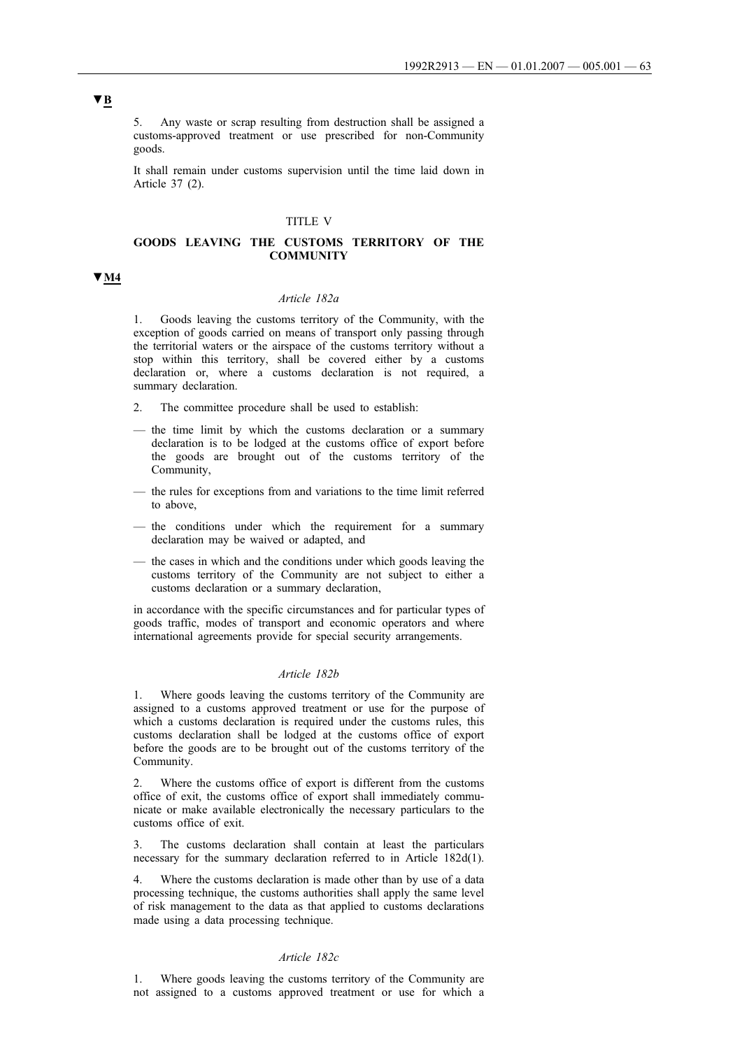5. Any waste or scrap resulting from destruction shall be assigned a customs-approved treatment or use prescribed for non-Community goods.

It shall remain under customs supervision until the time laid down in Article 37 (2).

### TITLE V

## **GOODS LEAVING THE CUSTOMS TERRITORY OF THE COMMUNITY**

# **▼M4**

## *Article 182a*

1. Goods leaving the customs territory of the Community, with the exception of goods carried on means of transport only passing through the territorial waters or the airspace of the customs territory without a stop within this territory, shall be covered either by a customs declaration or, where a customs declaration is not required, a summary declaration.

- 2. The committee procedure shall be used to establish:
- the time limit by which the customs declaration or a summary declaration is to be lodged at the customs office of export before the goods are brought out of the customs territory of the Community,
- the rules for exceptions from and variations to the time limit referred to above,
- the conditions under which the requirement for a summary declaration may be waived or adapted, and
- the cases in which and the conditions under which goods leaving the customs territory of the Community are not subject to either a customs declaration or a summary declaration,

in accordance with the specific circumstances and for particular types of goods traffic, modes of transport and economic operators and where international agreements provide for special security arrangements.

## *Article 182b*

1. Where goods leaving the customs territory of the Community are assigned to a customs approved treatment or use for the purpose of which a customs declaration is required under the customs rules, this customs declaration shall be lodged at the customs office of export before the goods are to be brought out of the customs territory of the Community.

2. Where the customs office of export is different from the customs office of exit, the customs office of export shall immediately communicate or make available electronically the necessary particulars to the customs office of exit.

3. The customs declaration shall contain at least the particulars necessary for the summary declaration referred to in Article 182d(1).

Where the customs declaration is made other than by use of a data processing technique, the customs authorities shall apply the same level of risk management to the data as that applied to customs declarations made using a data processing technique.

#### *Article 182c*

1. Where goods leaving the customs territory of the Community are not assigned to a customs approved treatment or use for which a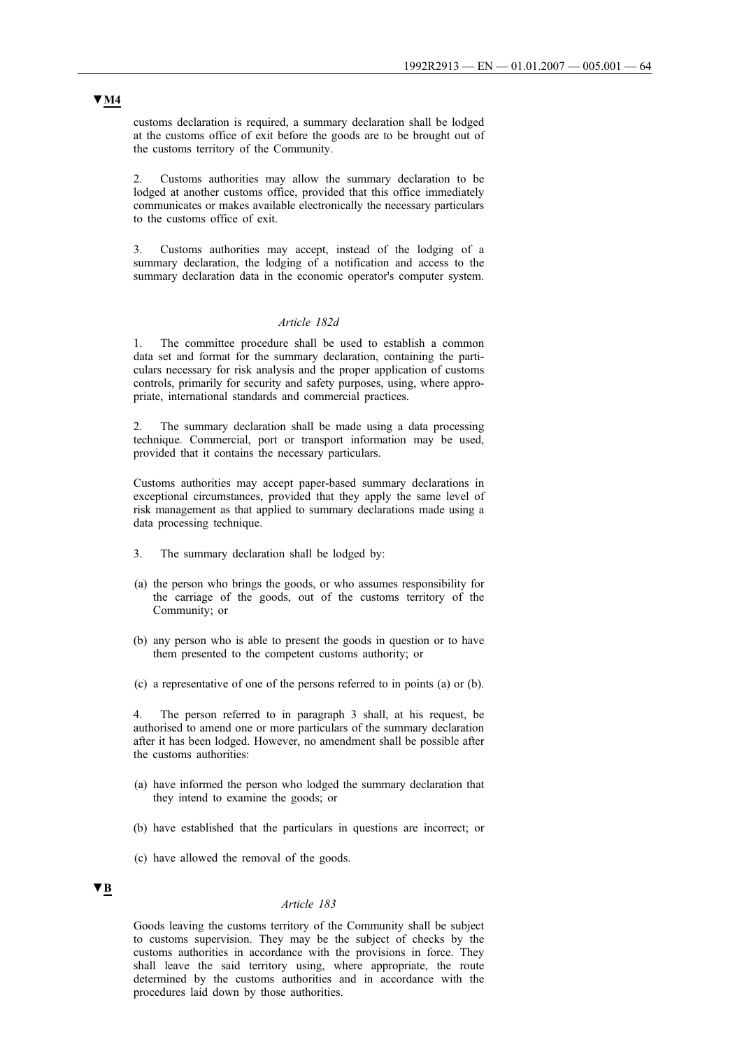customs declaration is required, a summary declaration shall be lodged at the customs office of exit before the goods are to be brought out of the customs territory of the Community.

2. Customs authorities may allow the summary declaration to be lodged at another customs office, provided that this office immediately communicates or makes available electronically the necessary particulars to the customs office of exit.

3. Customs authorities may accept, instead of the lodging of a summary declaration, the lodging of a notification and access to the summary declaration data in the economic operator's computer system.

# *Article 182d*

1. The committee procedure shall be used to establish a common data set and format for the summary declaration, containing the particulars necessary for risk analysis and the proper application of customs controls, primarily for security and safety purposes, using, where appropriate, international standards and commercial practices.

2. The summary declaration shall be made using a data processing technique. Commercial, port or transport information may be used, provided that it contains the necessary particulars.

Customs authorities may accept paper-based summary declarations in exceptional circumstances, provided that they apply the same level of risk management as that applied to summary declarations made using a data processing technique.

- 3. The summary declaration shall be lodged by:
- (a) the person who brings the goods, or who assumes responsibility for the carriage of the goods, out of the customs territory of the Community; or
- (b) any person who is able to present the goods in question or to have them presented to the competent customs authority; or
- (c) a representative of one of the persons referred to in points (a) or (b).

4. The person referred to in paragraph 3 shall, at his request, be authorised to amend one or more particulars of the summary declaration after it has been lodged. However, no amendment shall be possible after the customs authorities:

- (a) have informed the person who lodged the summary declaration that they intend to examine the goods; or
- (b) have established that the particulars in questions are incorrect; or
- (c) have allowed the removal of the goods.

# **▼B**

# *Article 183*

Goods leaving the customs territory of the Community shall be subject to customs supervision. They may be the subject of checks by the customs authorities in accordance with the provisions in force. They shall leave the said territory using, where appropriate, the route determined by the customs authorities and in accordance with the procedures laid down by those authorities.

# **▼M4**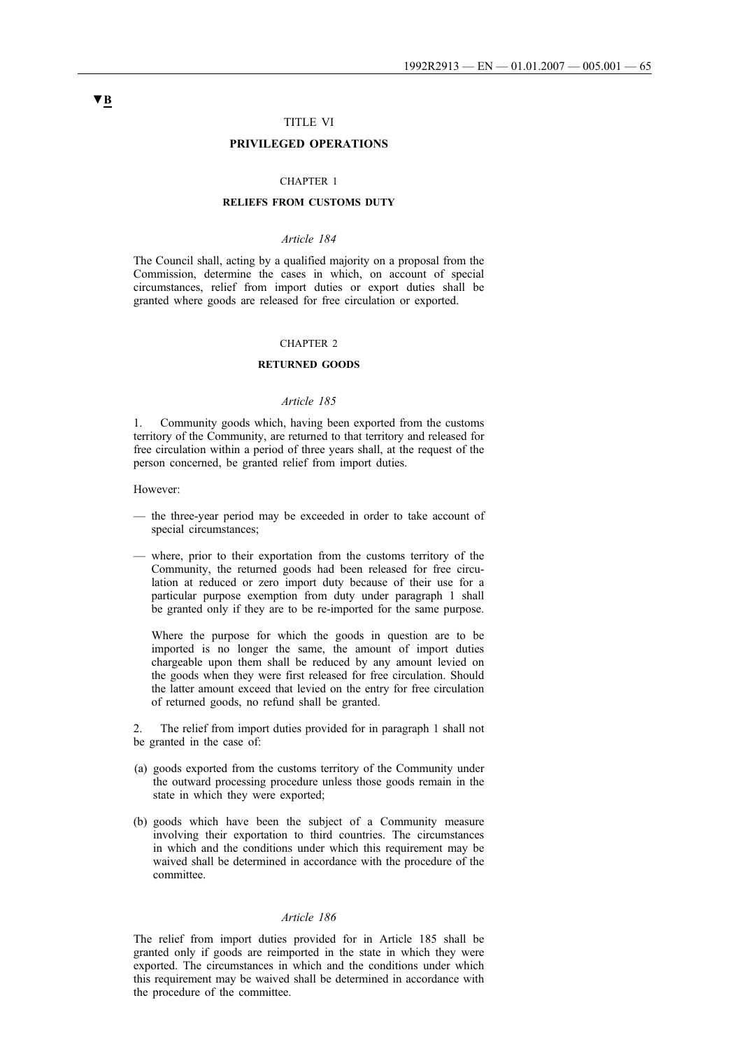## TITLE VI

## **PRIVILEGED OPERATIONS**

#### CHAPTER 1

### **RELIEFS FROM CUSTOMS DUTY**

## *Article 184*

The Council shall, acting by a qualified majority on a proposal from the Commission, determine the cases in which, on account of special circumstances, relief from import duties or export duties shall be granted where goods are released for free circulation or exported.

### CHAPTER 2

# **RETURNED GOODS**

### *Article 185*

1. Community goods which, having been exported from the customs territory of the Community, are returned to that territory and released for free circulation within a period of three years shall, at the request of the person concerned, be granted relief from import duties.

#### However:

- the three-year period may be exceeded in order to take account of special circumstances;
- where, prior to their exportation from the customs territory of the Community, the returned goods had been released for free circulation at reduced or zero import duty because of their use for a particular purpose exemption from duty under paragraph 1 shall be granted only if they are to be re-imported for the same purpose.

Where the purpose for which the goods in question are to be imported is no longer the same, the amount of import duties chargeable upon them shall be reduced by any amount levied on the goods when they were first released for free circulation. Should the latter amount exceed that levied on the entry for free circulation of returned goods, no refund shall be granted.

2. The relief from import duties provided for in paragraph 1 shall not be granted in the case of:

- (a) goods exported from the customs territory of the Community under the outward processing procedure unless those goods remain in the state in which they were exported;
- (b) goods which have been the subject of a Community measure involving their exportation to third countries. The circumstances in which and the conditions under which this requirement may be waived shall be determined in accordance with the procedure of the committee.

#### *Article 186*

The relief from import duties provided for in Article 185 shall be granted only if goods are reimported in the state in which they were exported. The circumstances in which and the conditions under which this requirement may be waived shall be determined in accordance with the procedure of the committee.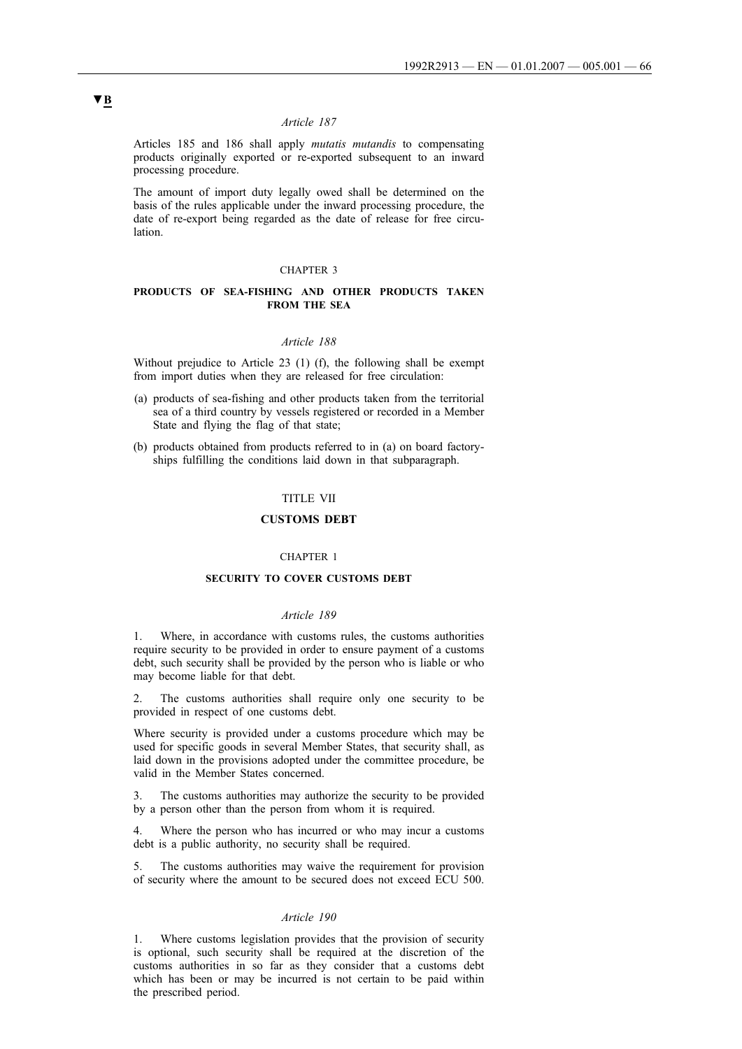Articles 185 and 186 shall apply *mutatis mutandis* to compensating products originally exported or re-exported subsequent to an inward processing procedure.

The amount of import duty legally owed shall be determined on the basis of the rules applicable under the inward processing procedure, the date of re-export being regarded as the date of release for free circulation.

### CHAPTER 3

# **PRODUCTS OF SEA-FISHING AND OTHER PRODUCTS TAKEN FROM THE SEA**

#### *Article 188*

Without prejudice to Article 23 (1) (f), the following shall be exempt from import duties when they are released for free circulation:

- (a) products of sea-fishing and other products taken from the territorial sea of a third country by vessels registered or recorded in a Member State and flying the flag of that state;
- (b) products obtained from products referred to in (a) on board factoryships fulfilling the conditions laid down in that subparagraph.

## TITLE VII

## **CUSTOMS DEBT**

## CHAPTER 1

## **SECURITY TO COVER CUSTOMS DEBT**

#### *Article 189*

1. Where, in accordance with customs rules, the customs authorities require security to be provided in order to ensure payment of a customs debt, such security shall be provided by the person who is liable or who may become liable for that debt.

The customs authorities shall require only one security to be provided in respect of one customs debt.

Where security is provided under a customs procedure which may be used for specific goods in several Member States, that security shall, as laid down in the provisions adopted under the committee procedure, be valid in the Member States concerned.

3. The customs authorities may authorize the security to be provided by a person other than the person from whom it is required.

4. Where the person who has incurred or who may incur a customs debt is a public authority, no security shall be required.

5. The customs authorities may waive the requirement for provision of security where the amount to be secured does not exceed ECU 500.

#### *Article 190*

1. Where customs legislation provides that the provision of security is optional, such security shall be required at the discretion of the customs authorities in so far as they consider that a customs debt which has been or may be incurred is not certain to be paid within the prescribed period.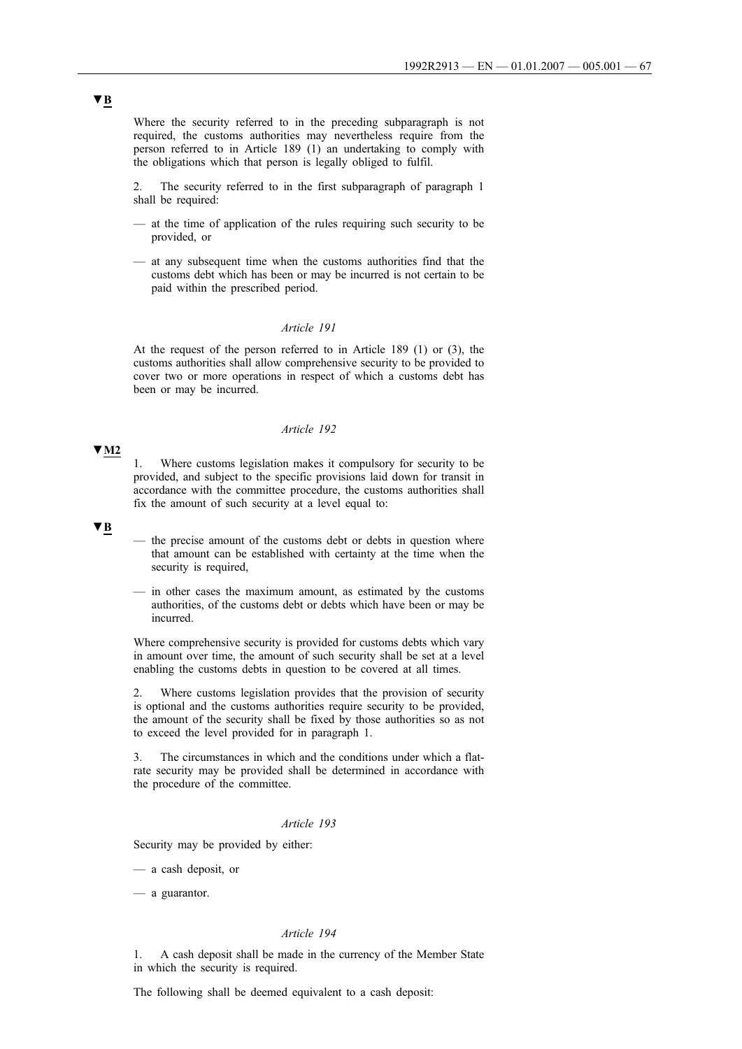Where the security referred to in the preceding subparagraph is not required, the customs authorities may nevertheless require from the person referred to in Article 189 (1) an undertaking to comply with the obligations which that person is legally obliged to fulfil.

2. The security referred to in the first subparagraph of paragraph 1 shall be required:

- at the time of application of the rules requiring such security to be provided, or
- at any subsequent time when the customs authorities find that the customs debt which has been or may be incurred is not certain to be paid within the prescribed period.

## *Article 191*

At the request of the person referred to in Article 189 (1) or (3), the customs authorities shall allow comprehensive security to be provided to cover two or more operations in respect of which a customs debt has been or may be incurred.

## *Article 192*

#### **▼M2**

1. Where customs legislation makes it compulsory for security to be provided, and subject to the specific provisions laid down for transit in accordance with the committee procedure, the customs authorities shall fix the amount of such security at a level equal to:

## **▼B**

- the precise amount of the customs debt or debts in question where that amount can be established with certainty at the time when the security is required,
- in other cases the maximum amount, as estimated by the customs authorities, of the customs debt or debts which have been or may be incurred.

Where comprehensive security is provided for customs debts which vary in amount over time, the amount of such security shall be set at a level enabling the customs debts in question to be covered at all times.

2. Where customs legislation provides that the provision of security is optional and the customs authorities require security to be provided, the amount of the security shall be fixed by those authorities so as not to exceed the level provided for in paragraph 1.

3. The circumstances in which and the conditions under which a flatrate security may be provided shall be determined in accordance with the procedure of the committee.

## *Article 193*

Security may be provided by either:

- a cash deposit, or
- a guarantor.

## *Article 194*

1. A cash deposit shall be made in the currency of the Member State in which the security is required.

The following shall be deemed equivalent to a cash deposit: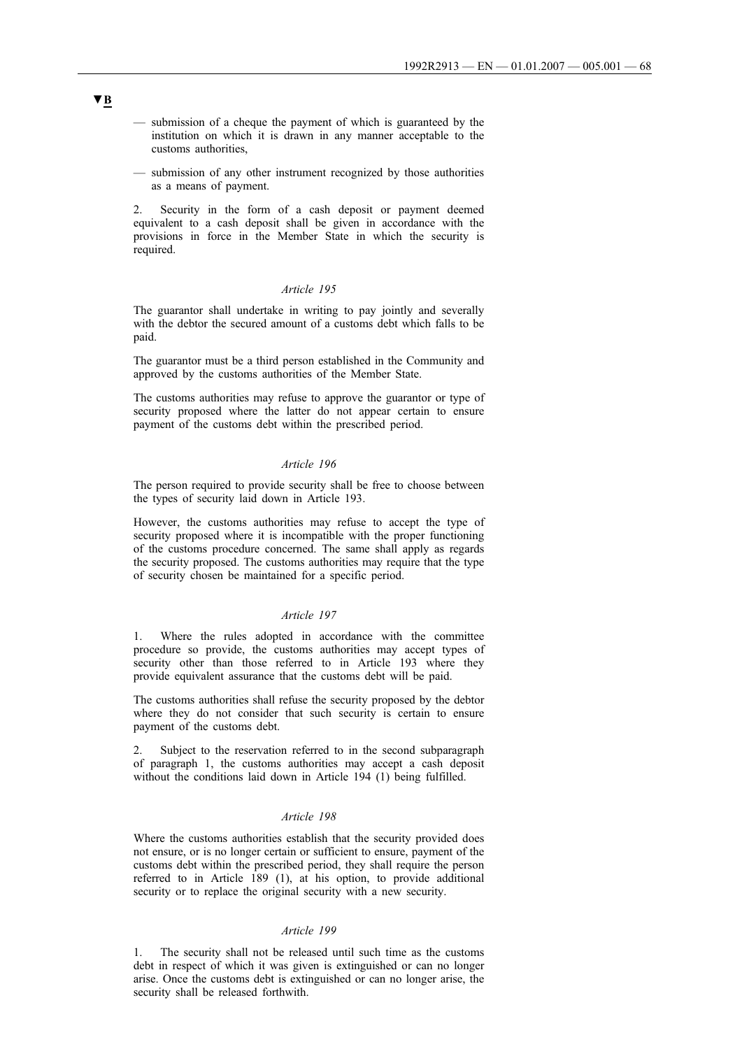- submission of a cheque the payment of which is guaranteed by the institution on which it is drawn in any manner acceptable to the customs authorities,
- submission of any other instrument recognized by those authorities as a means of payment.

2. Security in the form of a cash deposit or payment deemed equivalent to a cash deposit shall be given in accordance with the provisions in force in the Member State in which the security is required.

# *Article 195*

The guarantor shall undertake in writing to pay jointly and severally with the debtor the secured amount of a customs debt which falls to be paid.

The guarantor must be a third person established in the Community and approved by the customs authorities of the Member State.

The customs authorities may refuse to approve the guarantor or type of security proposed where the latter do not appear certain to ensure payment of the customs debt within the prescribed period.

#### *Article 196*

The person required to provide security shall be free to choose between the types of security laid down in Article 193.

However, the customs authorities may refuse to accept the type of security proposed where it is incompatible with the proper functioning of the customs procedure concerned. The same shall apply as regards the security proposed. The customs authorities may require that the type of security chosen be maintained for a specific period.

### *Article 197*

1. Where the rules adopted in accordance with the committee procedure so provide, the customs authorities may accept types of security other than those referred to in Article 193 where they provide equivalent assurance that the customs debt will be paid.

The customs authorities shall refuse the security proposed by the debtor where they do not consider that such security is certain to ensure payment of the customs debt.

2. Subject to the reservation referred to in the second subparagraph of paragraph 1, the customs authorities may accept a cash deposit without the conditions laid down in Article 194 (1) being fulfilled.

## *Article 198*

Where the customs authorities establish that the security provided does not ensure, or is no longer certain or sufficient to ensure, payment of the customs debt within the prescribed period, they shall require the person referred to in Article 189 (1), at his option, to provide additional security or to replace the original security with a new security.

### *Article 199*

1. The security shall not be released until such time as the customs debt in respect of which it was given is extinguished or can no longer arise. Once the customs debt is extinguished or can no longer arise, the security shall be released forthwith.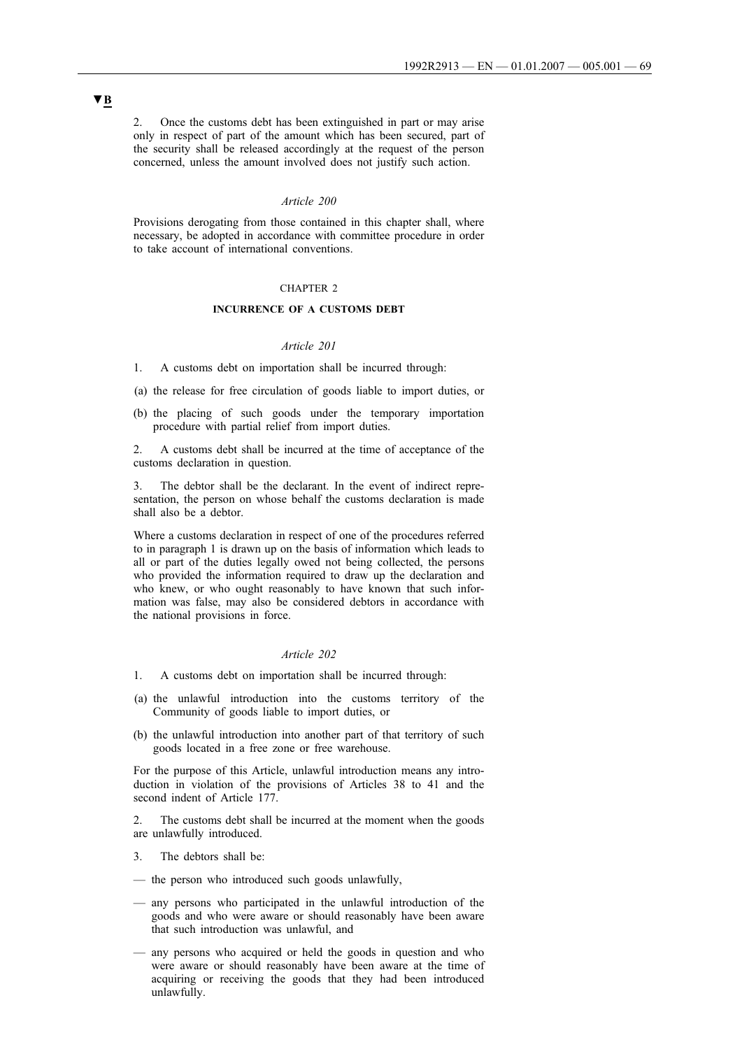2. Once the customs debt has been extinguished in part or may arise only in respect of part of the amount which has been secured, part of the security shall be released accordingly at the request of the person concerned, unless the amount involved does not justify such action.

#### *Article 200*

Provisions derogating from those contained in this chapter shall, where necessary, be adopted in accordance with committee procedure in order to take account of international conventions.

## CHAPTER 2

# **INCURRENCE OF A CUSTOMS DEBT**

# *Article 201*

- 1. A customs debt on importation shall be incurred through:
- (a) the release for free circulation of goods liable to import duties, or
- (b) the placing of such goods under the temporary importation procedure with partial relief from import duties.
- 2. A customs debt shall be incurred at the time of acceptance of the customs declaration in question.

3. The debtor shall be the declarant. In the event of indirect representation, the person on whose behalf the customs declaration is made shall also be a debtor.

Where a customs declaration in respect of one of the procedures referred to in paragraph 1 is drawn up on the basis of information which leads to all or part of the duties legally owed not being collected, the persons who provided the information required to draw up the declaration and who knew, or who ought reasonably to have known that such information was false, may also be considered debtors in accordance with the national provisions in force.

## *Article 202*

- 1. A customs debt on importation shall be incurred through:
- (a) the unlawful introduction into the customs territory of the Community of goods liable to import duties, or
- (b) the unlawful introduction into another part of that territory of such goods located in a free zone or free warehouse.

For the purpose of this Article, unlawful introduction means any introduction in violation of the provisions of Articles 38 to 41 and the second indent of Article 177.

2. The customs debt shall be incurred at the moment when the goods are unlawfully introduced.

- 3. The debtors shall be:
- the person who introduced such goods unlawfully,
- any persons who participated in the unlawful introduction of the goods and who were aware or should reasonably have been aware that such introduction was unlawful, and
- any persons who acquired or held the goods in question and who were aware or should reasonably have been aware at the time of acquiring or receiving the goods that they had been introduced unlawfully.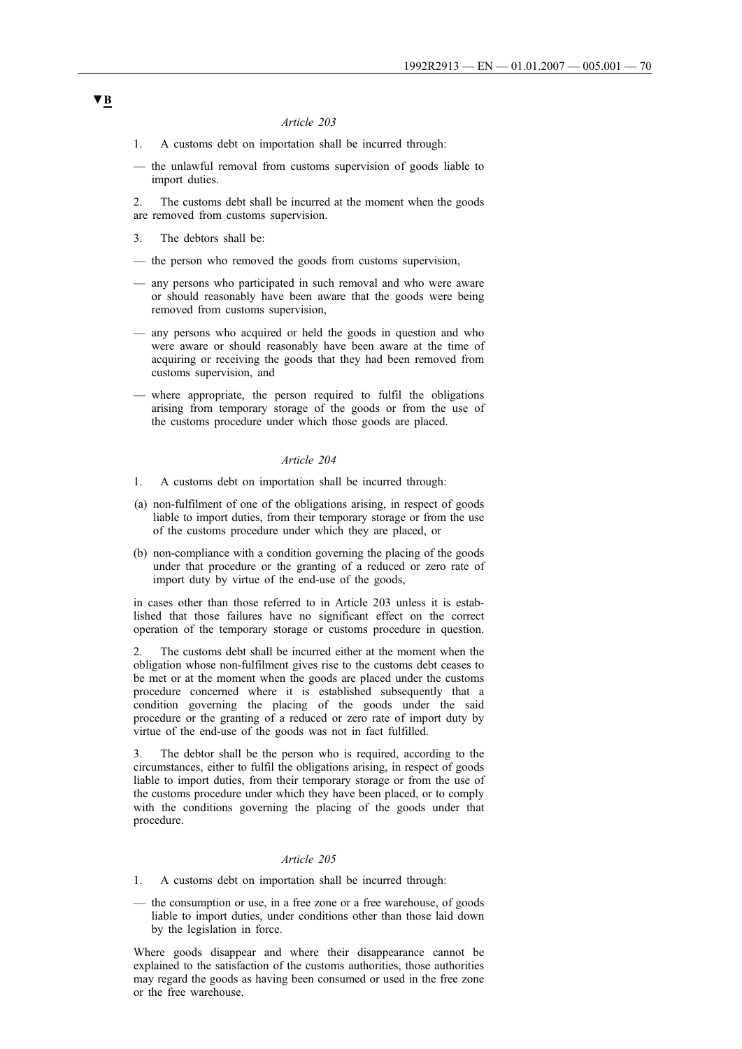- 1. A customs debt on importation shall be incurred through:
- the unlawful removal from customs supervision of goods liable to import duties.
- 2. The customs debt shall be incurred at the moment when the goods are removed from customs supervision.
- 3. The debtors shall be:
- the person who removed the goods from customs supervision,
- any persons who participated in such removal and who were aware or should reasonably have been aware that the goods were being removed from customs supervision,
- any persons who acquired or held the goods in question and who were aware or should reasonably have been aware at the time of acquiring or receiving the goods that they had been removed from customs supervision, and
- where appropriate, the person required to fulfil the obligations arising from temporary storage of the goods or from the use of the customs procedure under which those goods are placed.

### *Article 204*

- 1. A customs debt on importation shall be incurred through:
- (a) non-fulfilment of one of the obligations arising, in respect of goods liable to import duties, from their temporary storage or from the use of the customs procedure under which they are placed, or
- (b) non-compliance with a condition governing the placing of the goods under that procedure or the granting of a reduced or zero rate of import duty by virtue of the end-use of the goods,

in cases other than those referred to in Article 203 unless it is established that those failures have no significant effect on the correct operation of the temporary storage or customs procedure in question.

2. The customs debt shall be incurred either at the moment when the obligation whose non-fulfilment gives rise to the customs debt ceases to be met or at the moment when the goods are placed under the customs procedure concerned where it is established subsequently that a condition governing the placing of the goods under the said procedure or the granting of a reduced or zero rate of import duty by virtue of the end-use of the goods was not in fact fulfilled.

3. The debtor shall be the person who is required, according to the circumstances, either to fulfil the obligations arising, in respect of goods liable to import duties, from their temporary storage or from the use of the customs procedure under which they have been placed, or to comply with the conditions governing the placing of the goods under that procedure.

#### *Article 205*

- 1. A customs debt on importation shall be incurred through:
- the consumption or use, in a free zone or a free warehouse, of goods liable to import duties, under conditions other than those laid down by the legislation in force.

Where goods disappear and where their disappearance cannot be explained to the satisfaction of the customs authorities, those authorities may regard the goods as having been consumed or used in the free zone or the free warehouse.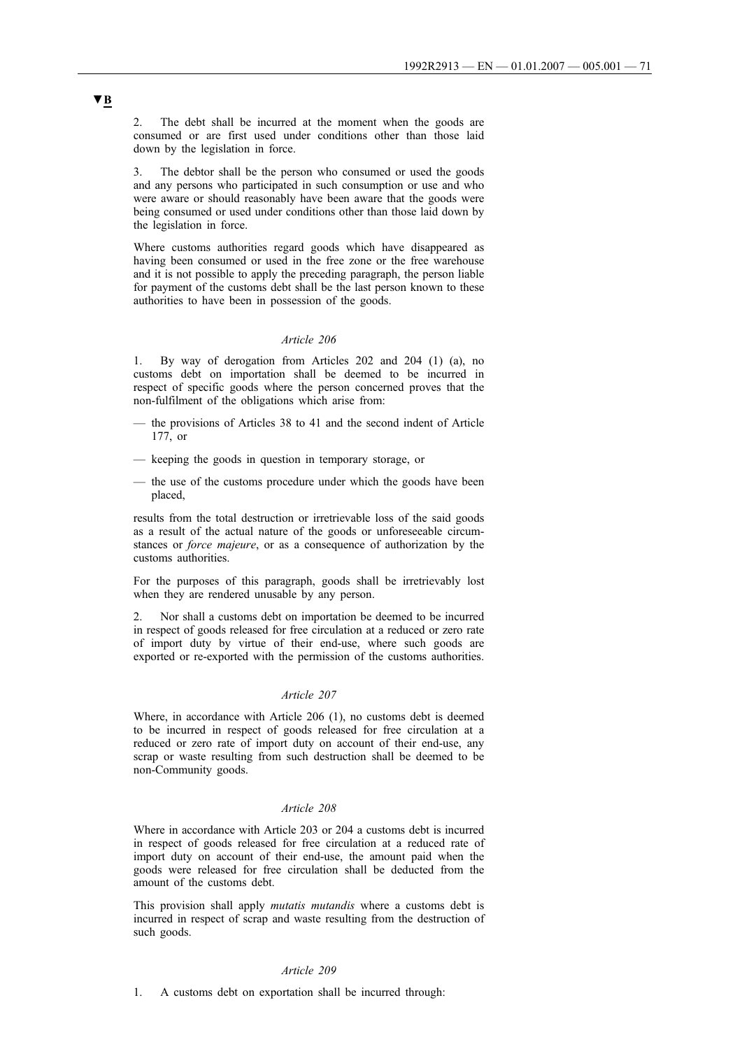2. The debt shall be incurred at the moment when the goods are consumed or are first used under conditions other than those laid down by the legislation in force.

3. The debtor shall be the person who consumed or used the goods and any persons who participated in such consumption or use and who were aware or should reasonably have been aware that the goods were being consumed or used under conditions other than those laid down by the legislation in force.

Where customs authorities regard goods which have disappeared as having been consumed or used in the free zone or the free warehouse and it is not possible to apply the preceding paragraph, the person liable for payment of the customs debt shall be the last person known to these authorities to have been in possession of the goods.

#### *Article 206*

1. By way of derogation from Articles 202 and 204 (1) (a), no customs debt on importation shall be deemed to be incurred in respect of specific goods where the person concerned proves that the non-fulfilment of the obligations which arise from:

- the provisions of Articles 38 to 41 and the second indent of Article 177, or
- keeping the goods in question in temporary storage, or
- the use of the customs procedure under which the goods have been placed,

results from the total destruction or irretrievable loss of the said goods as a result of the actual nature of the goods or unforeseeable circumstances or *force majeure*, or as a consequence of authorization by the customs authorities.

For the purposes of this paragraph, goods shall be irretrievably lost when they are rendered unusable by any person.

2. Nor shall a customs debt on importation be deemed to be incurred in respect of goods released for free circulation at a reduced or zero rate of import duty by virtue of their end-use, where such goods are exported or re-exported with the permission of the customs authorities.

## *Article 207*

Where, in accordance with Article 206 (1), no customs debt is deemed to be incurred in respect of goods released for free circulation at a reduced or zero rate of import duty on account of their end-use, any scrap or waste resulting from such destruction shall be deemed to be non-Community goods.

#### *Article 208*

Where in accordance with Article 203 or 204 a customs debt is incurred in respect of goods released for free circulation at a reduced rate of import duty on account of their end-use, the amount paid when the goods were released for free circulation shall be deducted from the amount of the customs debt.

This provision shall apply *mutatis mutandis* where a customs debt is incurred in respect of scrap and waste resulting from the destruction of such goods.

#### *Article 209*

1. A customs debt on exportation shall be incurred through: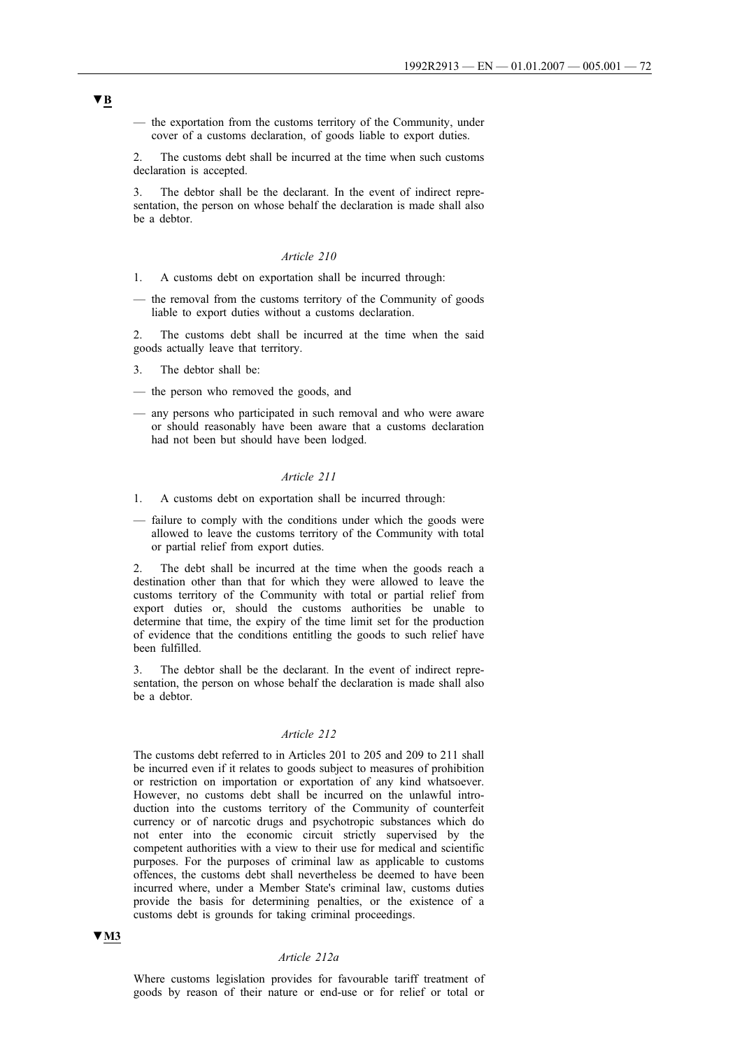— the exportation from the customs territory of the Community, under cover of a customs declaration, of goods liable to export duties.

2. The customs debt shall be incurred at the time when such customs declaration is accepted.

3. The debtor shall be the declarant. In the event of indirect representation, the person on whose behalf the declaration is made shall also be a debtor.

## *Article 210*

- 1. A customs debt on exportation shall be incurred through:
- the removal from the customs territory of the Community of goods liable to export duties without a customs declaration.

2. The customs debt shall be incurred at the time when the said goods actually leave that territory.

- 3. The debtor shall be:
- the person who removed the goods, and
- any persons who participated in such removal and who were aware or should reasonably have been aware that a customs declaration had not been but should have been lodged.

## *Article 211*

- 1. A customs debt on exportation shall be incurred through:
- failure to comply with the conditions under which the goods were allowed to leave the customs territory of the Community with total or partial relief from export duties.

2. The debt shall be incurred at the time when the goods reach a destination other than that for which they were allowed to leave the customs territory of the Community with total or partial relief from export duties or, should the customs authorities be unable to determine that time, the expiry of the time limit set for the production of evidence that the conditions entitling the goods to such relief have been fulfilled.

3. The debtor shall be the declarant. In the event of indirect representation, the person on whose behalf the declaration is made shall also be a debtor.

### *Article 212*

The customs debt referred to in Articles 201 to 205 and 209 to 211 shall be incurred even if it relates to goods subject to measures of prohibition or restriction on importation or exportation of any kind whatsoever. However, no customs debt shall be incurred on the unlawful introduction into the customs territory of the Community of counterfeit currency or of narcotic drugs and psychotropic substances which do not enter into the economic circuit strictly supervised by the competent authorities with a view to their use for medical and scientific purposes. For the purposes of criminal law as applicable to customs offences, the customs debt shall nevertheless be deemed to have been incurred where, under a Member State's criminal law, customs duties provide the basis for determining penalties, or the existence of a customs debt is grounds for taking criminal proceedings.

## **▼M3**

#### *Article 212a*

Where customs legislation provides for favourable tariff treatment of goods by reason of their nature or end-use or for relief or total or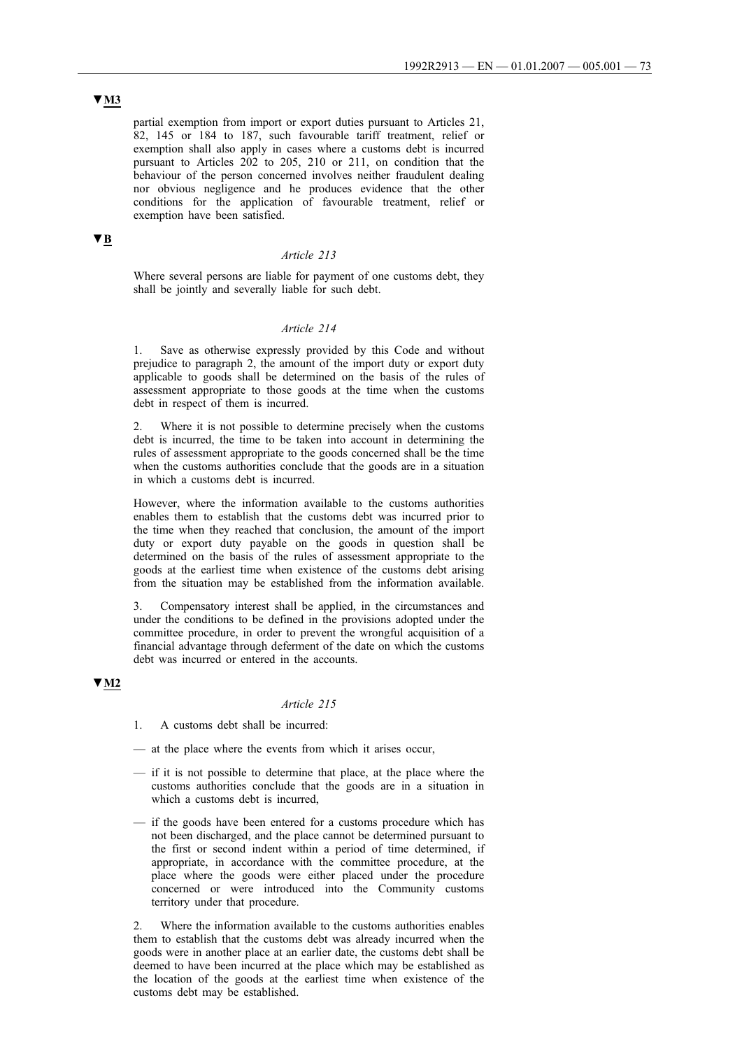**▼M3**

partial exemption from import or export duties pursuant to Articles 21, 82, 145 or 184 to 187, such favourable tariff treatment, relief or exemption shall also apply in cases where a customs debt is incurred pursuant to Articles 202 to 205, 210 or 211, on condition that the behaviour of the person concerned involves neither fraudulent dealing nor obvious negligence and he produces evidence that the other conditions for the application of favourable treatment, relief or exemption have been satisfied.

# **▼B**

#### *Article 213*

Where several persons are liable for payment of one customs debt, they shall be jointly and severally liable for such debt.

### *Article 214*

1. Save as otherwise expressly provided by this Code and without prejudice to paragraph 2, the amount of the import duty or export duty applicable to goods shall be determined on the basis of the rules of assessment appropriate to those goods at the time when the customs debt in respect of them is incurred.

2. Where it is not possible to determine precisely when the customs debt is incurred, the time to be taken into account in determining the rules of assessment appropriate to the goods concerned shall be the time when the customs authorities conclude that the goods are in a situation in which a customs debt is incurred.

However, where the information available to the customs authorities enables them to establish that the customs debt was incurred prior to the time when they reached that conclusion, the amount of the import duty or export duty payable on the goods in question shall be determined on the basis of the rules of assessment appropriate to the goods at the earliest time when existence of the customs debt arising from the situation may be established from the information available.

3. Compensatory interest shall be applied, in the circumstances and under the conditions to be defined in the provisions adopted under the committee procedure, in order to prevent the wrongful acquisition of a financial advantage through deferment of the date on which the customs debt was incurred or entered in the accounts.

## **▼M2**

### *Article 215*

- 1. A customs debt shall be incurred:
- at the place where the events from which it arises occur,
- if it is not possible to determine that place, at the place where the customs authorities conclude that the goods are in a situation in which a customs debt is incurred,
- if the goods have been entered for a customs procedure which has not been discharged, and the place cannot be determined pursuant to the first or second indent within a period of time determined, if appropriate, in accordance with the committee procedure, at the place where the goods were either placed under the procedure concerned or were introduced into the Community customs territory under that procedure.

2. Where the information available to the customs authorities enables them to establish that the customs debt was already incurred when the goods were in another place at an earlier date, the customs debt shall be deemed to have been incurred at the place which may be established as the location of the goods at the earliest time when existence of the customs debt may be established.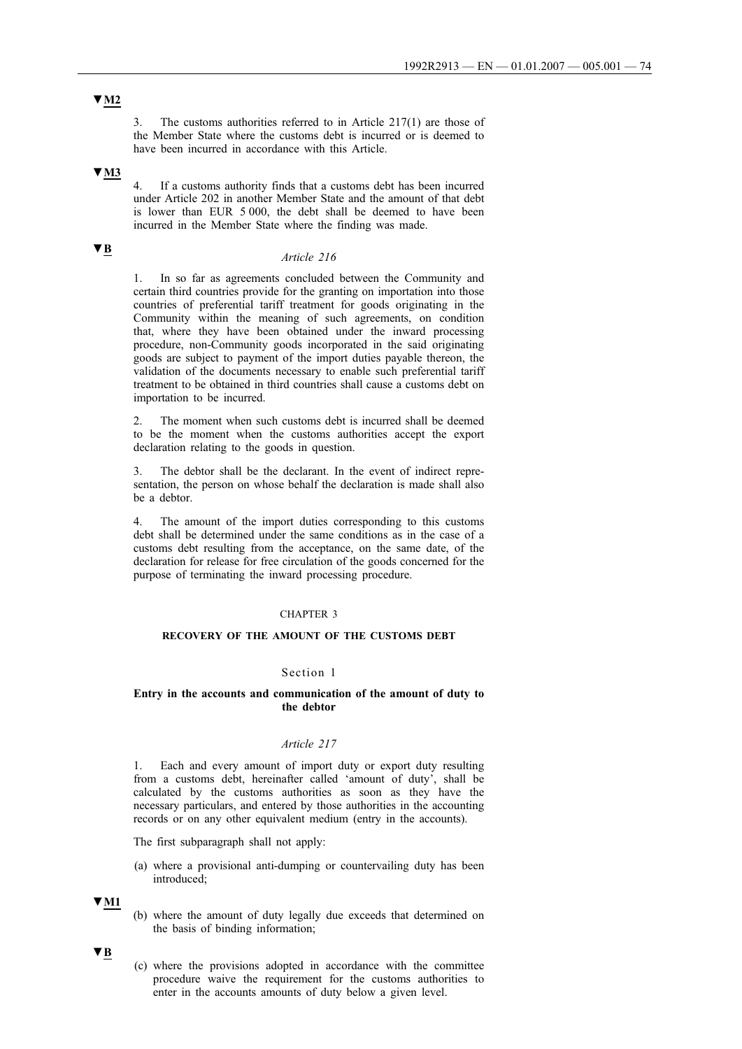3. The customs authorities referred to in Article 217(1) are those of the Member State where the customs debt is incurred or is deemed to have been incurred in accordance with this Article.

## **▼M3**

4. If a customs authority finds that a customs debt has been incurred under Article 202 in another Member State and the amount of that debt is lower than EUR 5 000, the debt shall be deemed to have been incurred in the Member State where the finding was made.

# **▼B** *Article 216*

1. In so far as agreements concluded between the Community and certain third countries provide for the granting on importation into those countries of preferential tariff treatment for goods originating in the Community within the meaning of such agreements, on condition that, where they have been obtained under the inward processing procedure, non-Community goods incorporated in the said originating goods are subject to payment of the import duties payable thereon, the

validation of the documents necessary to enable such preferential tariff treatment to be obtained in third countries shall cause a customs debt on importation to be incurred.

2. The moment when such customs debt is incurred shall be deemed to be the moment when the customs authorities accept the export declaration relating to the goods in question.

3. The debtor shall be the declarant. In the event of indirect representation, the person on whose behalf the declaration is made shall also be a debtor.

4. The amount of the import duties corresponding to this customs debt shall be determined under the same conditions as in the case of a customs debt resulting from the acceptance, on the same date, of the declaration for release for free circulation of the goods concerned for the purpose of terminating the inward processing procedure.

#### CHAPTER 3

### **RECOVERY OF THE AMOUNT OF THE CUSTOMS DEBT**

### Section 1

### **Entry in the accounts and communication of the amount of duty to the debtor**

#### *Article 217*

1. Each and every amount of import duty or export duty resulting from a customs debt, hereinafter called 'amount of duty', shall be calculated by the customs authorities as soon as they have the necessary particulars, and entered by those authorities in the accounting records or on any other equivalent medium (entry in the accounts).

The first subparagraph shall not apply:

(a) where a provisional anti-dumping or countervailing duty has been introduced;

## **▼M1**

(b) where the amount of duty legally due exceeds that determined on the basis of binding information;

## **▼B**

(c) where the provisions adopted in accordance with the committee procedure waive the requirement for the customs authorities to enter in the accounts amounts of duty below a given level.

## **▼M2**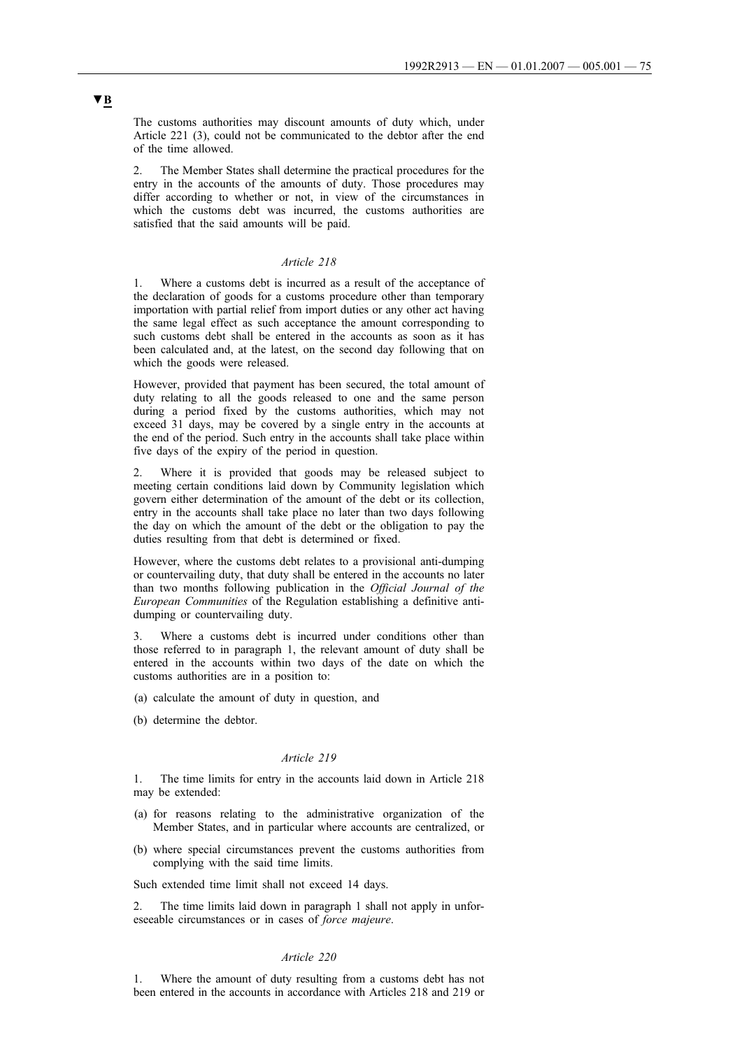The customs authorities may discount amounts of duty which, under Article 221 (3), could not be communicated to the debtor after the end of the time allowed.

2. The Member States shall determine the practical procedures for the entry in the accounts of the amounts of duty. Those procedures may differ according to whether or not, in view of the circumstances in which the customs debt was incurred, the customs authorities are satisfied that the said amounts will be paid.

#### *Article 218*

1. Where a customs debt is incurred as a result of the acceptance of the declaration of goods for a customs procedure other than temporary importation with partial relief from import duties or any other act having the same legal effect as such acceptance the amount corresponding to such customs debt shall be entered in the accounts as soon as it has been calculated and, at the latest, on the second day following that on which the goods were released.

However, provided that payment has been secured, the total amount of duty relating to all the goods released to one and the same person during a period fixed by the customs authorities, which may not exceed 31 days, may be covered by a single entry in the accounts at the end of the period. Such entry in the accounts shall take place within five days of the expiry of the period in question.

Where it is provided that goods may be released subject to meeting certain conditions laid down by Community legislation which govern either determination of the amount of the debt or its collection, entry in the accounts shall take place no later than two days following the day on which the amount of the debt or the obligation to pay the duties resulting from that debt is determined or fixed.

However, where the customs debt relates to a provisional anti-dumping or countervailing duty, that duty shall be entered in the accounts no later than two months following publication in the *Official Journal of the European Communities* of the Regulation establishing a definitive antidumping or countervailing duty.

Where a customs debt is incurred under conditions other than those referred to in paragraph 1, the relevant amount of duty shall be entered in the accounts within two days of the date on which the customs authorities are in a position to:

- (a) calculate the amount of duty in question, and
- (b) determine the debtor.

## *Article 219*

1. The time limits for entry in the accounts laid down in Article 218 may be extended:

- (a) for reasons relating to the administrative organization of the Member States, and in particular where accounts are centralized, or
- (b) where special circumstances prevent the customs authorities from complying with the said time limits.

Such extended time limit shall not exceed 14 days.

The time limits laid down in paragraph 1 shall not apply in unforeseeable circumstances or in cases of *force majeure*.

#### *Article 220*

1. Where the amount of duty resulting from a customs debt has not been entered in the accounts in accordance with Articles 218 and 219 or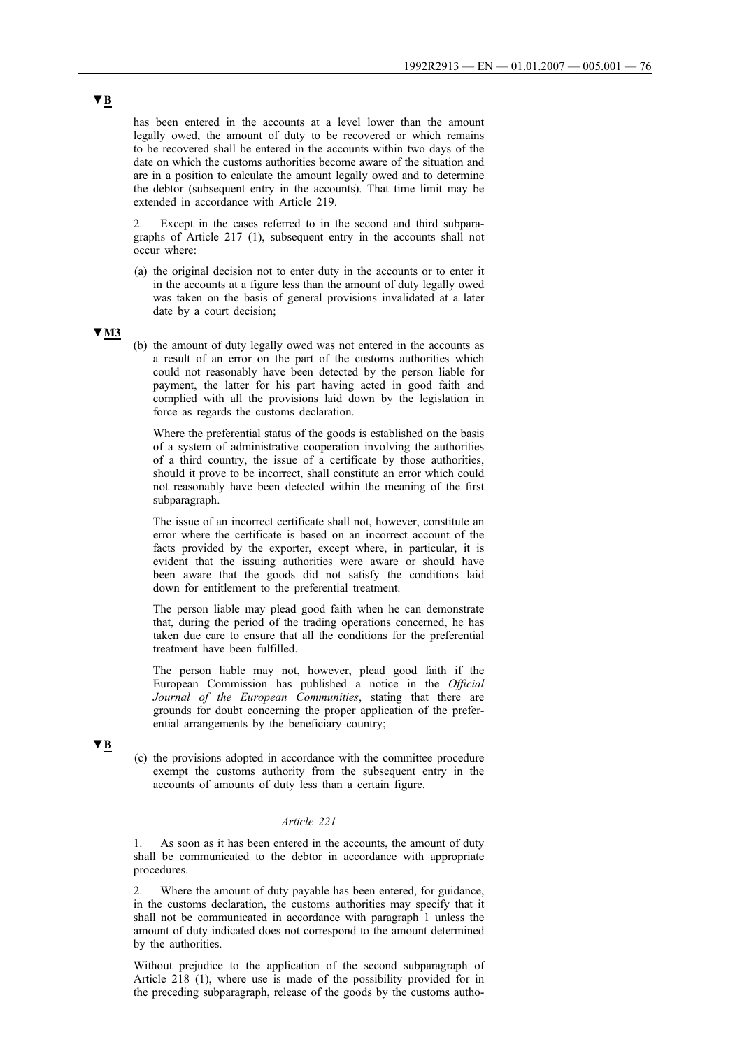has been entered in the accounts at a level lower than the amount legally owed, the amount of duty to be recovered or which remains to be recovered shall be entered in the accounts within two days of the date on which the customs authorities become aware of the situation and are in a position to calculate the amount legally owed and to determine the debtor (subsequent entry in the accounts). That time limit may be extended in accordance with Article 219.

Except in the cases referred to in the second and third subparagraphs of Article 217 (1), subsequent entry in the accounts shall not occur where:

(a) the original decision not to enter duty in the accounts or to enter it in the accounts at a figure less than the amount of duty legally owed was taken on the basis of general provisions invalidated at a later date by a court decision;

## **▼M3**

(b) the amount of duty legally owed was not entered in the accounts as a result of an error on the part of the customs authorities which could not reasonably have been detected by the person liable for payment, the latter for his part having acted in good faith and complied with all the provisions laid down by the legislation in force as regards the customs declaration.

Where the preferential status of the goods is established on the basis of a system of administrative cooperation involving the authorities of a third country, the issue of a certificate by those authorities, should it prove to be incorrect, shall constitute an error which could not reasonably have been detected within the meaning of the first subparagraph.

The issue of an incorrect certificate shall not, however, constitute an error where the certificate is based on an incorrect account of the facts provided by the exporter, except where, in particular, it is evident that the issuing authorities were aware or should have been aware that the goods did not satisfy the conditions laid down for entitlement to the preferential treatment.

The person liable may plead good faith when he can demonstrate that, during the period of the trading operations concerned, he has taken due care to ensure that all the conditions for the preferential treatment have been fulfilled.

The person liable may not, however, plead good faith if the European Commission has published a notice in the *Official Journal of the European Communities*, stating that there are grounds for doubt concerning the proper application of the preferential arrangements by the beneficiary country;

#### **▼B**

(c) the provisions adopted in accordance with the committee procedure exempt the customs authority from the subsequent entry in the accounts of amounts of duty less than a certain figure.

### *Article 221*

1. As soon as it has been entered in the accounts, the amount of duty shall be communicated to the debtor in accordance with appropriate procedures.

2. Where the amount of duty payable has been entered, for guidance, in the customs declaration, the customs authorities may specify that it shall not be communicated in accordance with paragraph 1 unless the amount of duty indicated does not correspond to the amount determined by the authorities.

Without prejudice to the application of the second subparagraph of Article 218 (1), where use is made of the possibility provided for in the preceding subparagraph, release of the goods by the customs autho-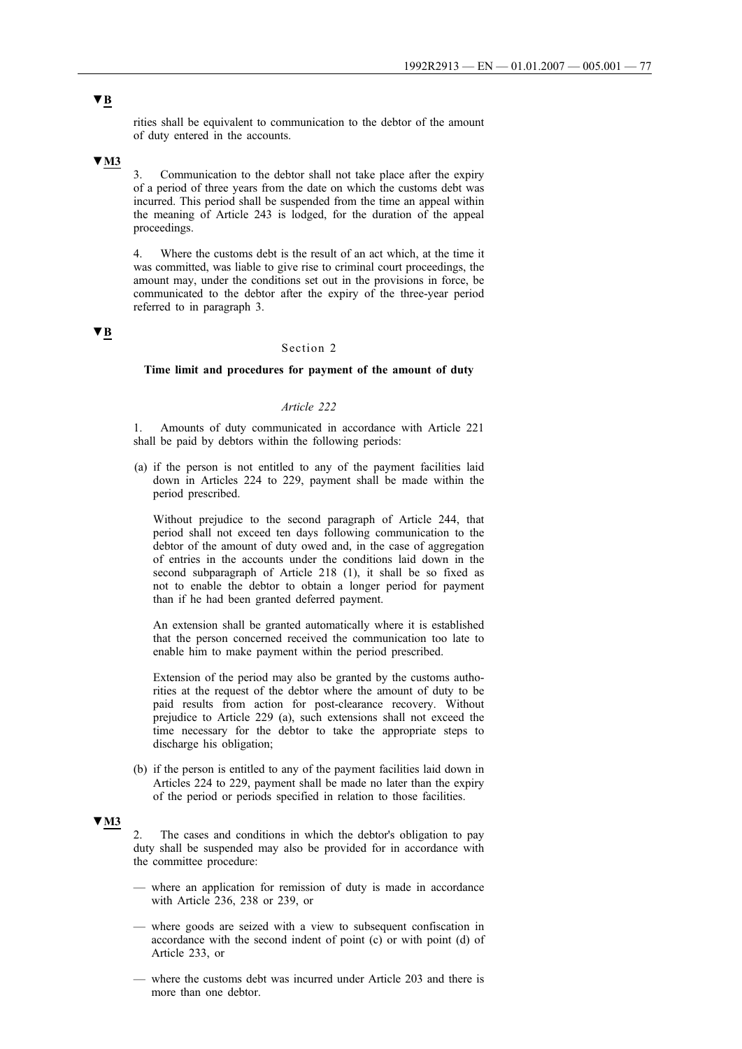rities shall be equivalent to communication to the debtor of the amount of duty entered in the accounts.

## **▼M3**

3. Communication to the debtor shall not take place after the expiry of a period of three years from the date on which the customs debt was incurred. This period shall be suspended from the time an appeal within the meaning of Article 243 is lodged, for the duration of the appeal proceedings.

4. Where the customs debt is the result of an act which, at the time it was committed, was liable to give rise to criminal court proceedings, the amount may, under the conditions set out in the provisions in force, be communicated to the debtor after the expiry of the three-year period referred to in paragraph 3.

## **▼B**

## Section 2

### **Time limit and procedures for payment of the amount of duty**

## *Article 222*

1. Amounts of duty communicated in accordance with Article 221 shall be paid by debtors within the following periods:

(a) if the person is not entitled to any of the payment facilities laid down in Articles 224 to 229, payment shall be made within the period prescribed.

Without prejudice to the second paragraph of Article 244, that period shall not exceed ten days following communication to the debtor of the amount of duty owed and, in the case of aggregation of entries in the accounts under the conditions laid down in the second subparagraph of Article 218 (1), it shall be so fixed as not to enable the debtor to obtain a longer period for payment than if he had been granted deferred payment.

An extension shall be granted automatically where it is established that the person concerned received the communication too late to enable him to make payment within the period prescribed.

Extension of the period may also be granted by the customs authorities at the request of the debtor where the amount of duty to be paid results from action for post-clearance recovery. Without prejudice to Article 229 (a), such extensions shall not exceed the time necessary for the debtor to take the appropriate steps to discharge his obligation;

(b) if the person is entitled to any of the payment facilities laid down in Articles 224 to 229, payment shall be made no later than the expiry of the period or periods specified in relation to those facilities.

## **▼M3**

2. The cases and conditions in which the debtor's obligation to pay duty shall be suspended may also be provided for in accordance with the committee procedure:

- where an application for remission of duty is made in accordance with Article 236, 238 or 239, or
- where goods are seized with a view to subsequent confiscation in accordance with the second indent of point (c) or with point (d) of Article 233, or
- where the customs debt was incurred under Article 203 and there is more than one debtor.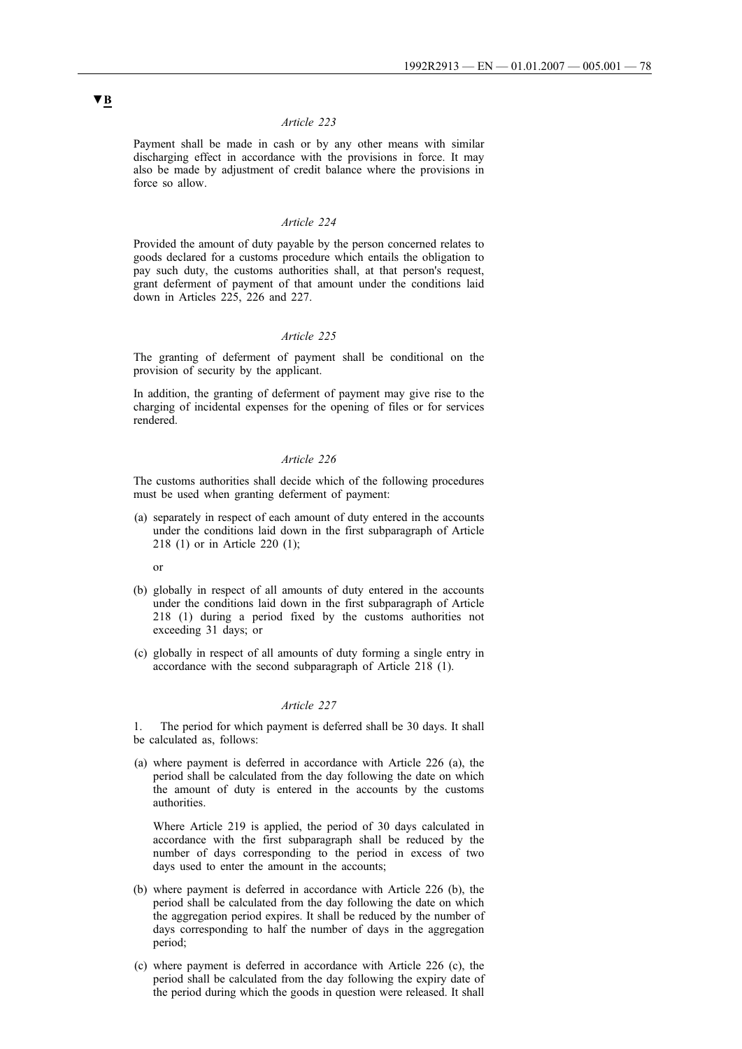Payment shall be made in cash or by any other means with similar discharging effect in accordance with the provisions in force. It may also be made by adjustment of credit balance where the provisions in force so allow.

#### *Article 224*

Provided the amount of duty payable by the person concerned relates to goods declared for a customs procedure which entails the obligation to pay such duty, the customs authorities shall, at that person's request, grant deferment of payment of that amount under the conditions laid down in Articles 225, 226 and 227.

#### *Article 225*

The granting of deferment of payment shall be conditional on the provision of security by the applicant.

In addition, the granting of deferment of payment may give rise to the charging of incidental expenses for the opening of files or for services rendered.

## *Article 226*

The customs authorities shall decide which of the following procedures must be used when granting deferment of payment:

(a) separately in respect of each amount of duty entered in the accounts under the conditions laid down in the first subparagraph of Article 218 (1) or in Article 220 (1);

or

- (b) globally in respect of all amounts of duty entered in the accounts under the conditions laid down in the first subparagraph of Article 218 (1) during a period fixed by the customs authorities not exceeding 31 days; or
- (c) globally in respect of all amounts of duty forming a single entry in accordance with the second subparagraph of Article 218 (1).

#### *Article 227*

1. The period for which payment is deferred shall be 30 days. It shall be calculated as, follows:

(a) where payment is deferred in accordance with Article 226 (a), the period shall be calculated from the day following the date on which the amount of duty is entered in the accounts by the customs authorities.

Where Article 219 is applied, the period of 30 days calculated in accordance with the first subparagraph shall be reduced by the number of days corresponding to the period in excess of two days used to enter the amount in the accounts;

- (b) where payment is deferred in accordance with Article 226 (b), the period shall be calculated from the day following the date on which the aggregation period expires. It shall be reduced by the number of days corresponding to half the number of days in the aggregation period;
- (c) where payment is deferred in accordance with Article 226 (c), the period shall be calculated from the day following the expiry date of the period during which the goods in question were released. It shall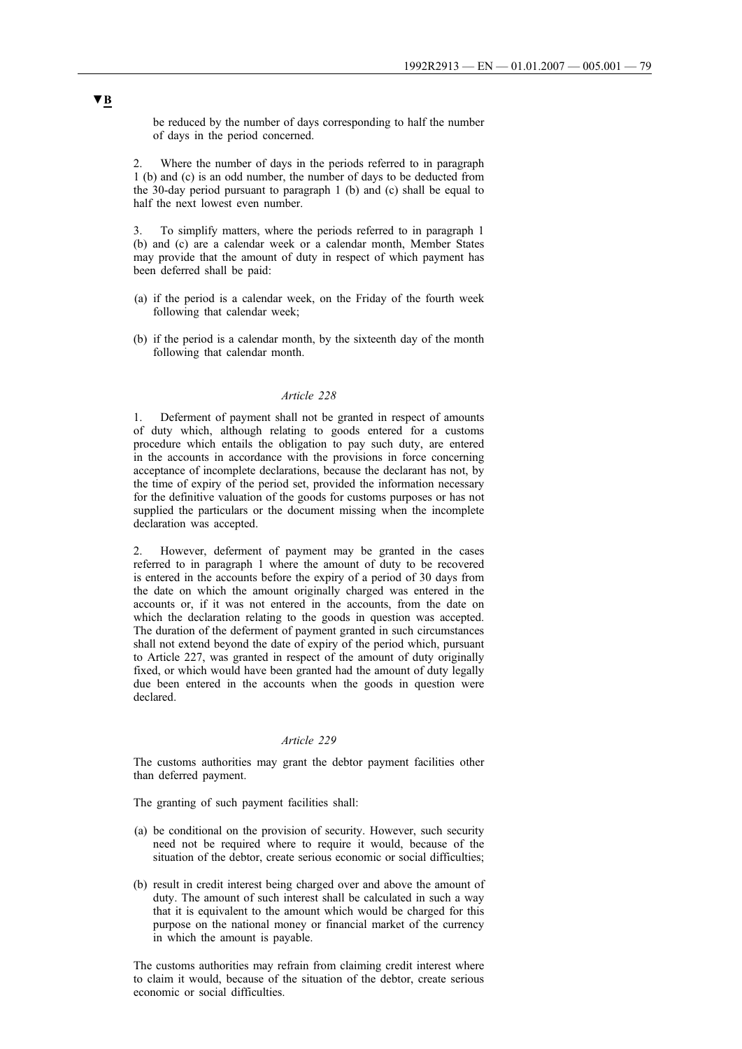be reduced by the number of days corresponding to half the number of days in the period concerned.

2. Where the number of days in the periods referred to in paragraph 1 (b) and (c) is an odd number, the number of days to be deducted from the 30-day period pursuant to paragraph 1 (b) and (c) shall be equal to half the next lowest even number.

3. To simplify matters, where the periods referred to in paragraph 1 (b) and (c) are a calendar week or a calendar month, Member States may provide that the amount of duty in respect of which payment has been deferred shall be paid:

- (a) if the period is a calendar week, on the Friday of the fourth week following that calendar week;
- (b) if the period is a calendar month, by the sixteenth day of the month following that calendar month.

### *Article 228*

1. Deferment of payment shall not be granted in respect of amounts of duty which, although relating to goods entered for a customs procedure which entails the obligation to pay such duty, are entered in the accounts in accordance with the provisions in force concerning acceptance of incomplete declarations, because the declarant has not, by the time of expiry of the period set, provided the information necessary for the definitive valuation of the goods for customs purposes or has not supplied the particulars or the document missing when the incomplete declaration was accepted.

2. However, deferment of payment may be granted in the cases referred to in paragraph 1 where the amount of duty to be recovered is entered in the accounts before the expiry of a period of 30 days from the date on which the amount originally charged was entered in the accounts or, if it was not entered in the accounts, from the date on which the declaration relating to the goods in question was accepted. The duration of the deferment of payment granted in such circumstances shall not extend beyond the date of expiry of the period which, pursuant to Article 227, was granted in respect of the amount of duty originally fixed, or which would have been granted had the amount of duty legally due been entered in the accounts when the goods in question were declared.

#### *Article 229*

The customs authorities may grant the debtor payment facilities other than deferred payment.

The granting of such payment facilities shall:

- (a) be conditional on the provision of security. However, such security need not be required where to require it would, because of the situation of the debtor, create serious economic or social difficulties;
- (b) result in credit interest being charged over and above the amount of duty. The amount of such interest shall be calculated in such a way that it is equivalent to the amount which would be charged for this purpose on the national money or financial market of the currency in which the amount is payable.

The customs authorities may refrain from claiming credit interest where to claim it would, because of the situation of the debtor, create serious economic or social difficulties.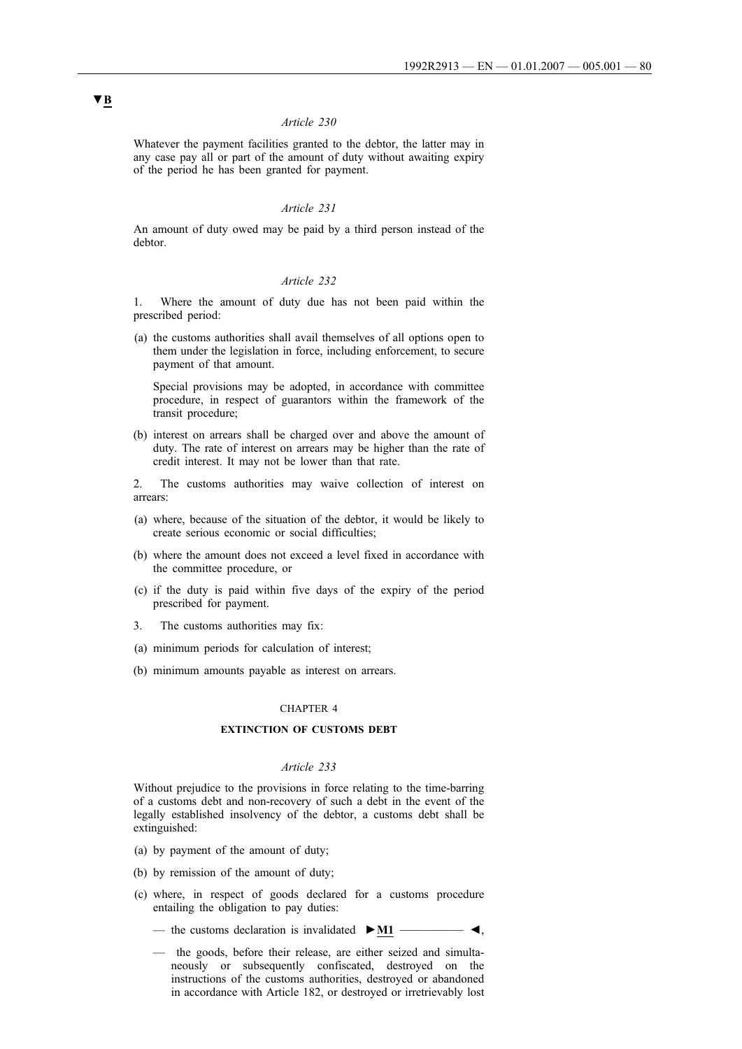Whatever the payment facilities granted to the debtor, the latter may in any case pay all or part of the amount of duty without awaiting expiry of the period he has been granted for payment.

#### *Article 231*

An amount of duty owed may be paid by a third person instead of the debtor.

### *Article 232*

1. Where the amount of duty due has not been paid within the prescribed period:

(a) the customs authorities shall avail themselves of all options open to them under the legislation in force, including enforcement, to secure payment of that amount.

Special provisions may be adopted, in accordance with committee procedure, in respect of guarantors within the framework of the transit procedure;

(b) interest on arrears shall be charged over and above the amount of duty. The rate of interest on arrears may be higher than the rate of credit interest. It may not be lower than that rate.

2. The customs authorities may waive collection of interest on arrears:

- (a) where, because of the situation of the debtor, it would be likely to create serious economic or social difficulties;
- (b) where the amount does not exceed a level fixed in accordance with the committee procedure, or
- (c) if the duty is paid within five days of the expiry of the period prescribed for payment.
- 3. The customs authorities may fix:
- (a) minimum periods for calculation of interest;
- (b) minimum amounts payable as interest on arrears.

#### CHAPTER 4

## **EXTINCTION OF CUSTOMS DEBT**

#### *Article 233*

Without prejudice to the provisions in force relating to the time-barring of a customs debt and non-recovery of such a debt in the event of the legally established insolvency of the debtor, a customs debt shall be extinguished:

- (a) by payment of the amount of duty;
- (b) by remission of the amount of duty;
- (c) where, in respect of goods declared for a customs procedure entailing the obligation to pay duties:
	- the customs declaration is invalidated  $\triangleright M1$  ————————————————
	- the goods, before their release, are either seized and simultaneously or subsequently confiscated, destroyed on the instructions of the customs authorities, destroyed or abandoned in accordance with Article 182, or destroyed or irretrievably lost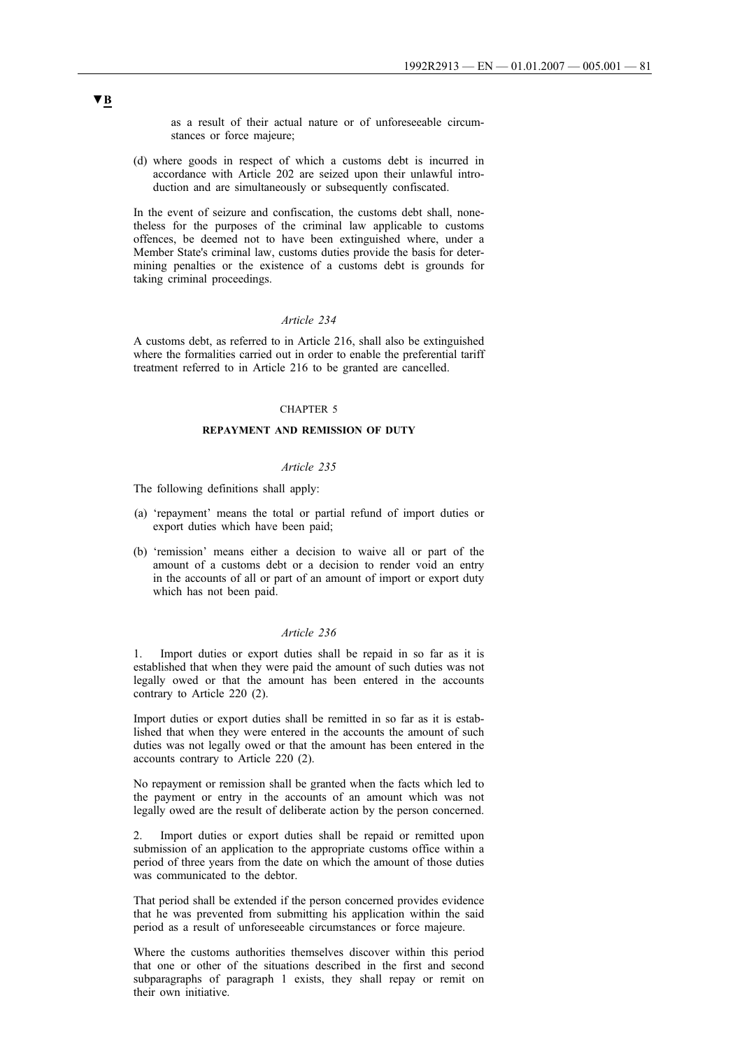as a result of their actual nature or of unforeseeable circumstances or force majeure;

(d) where goods in respect of which a customs debt is incurred in accordance with Article 202 are seized upon their unlawful introduction and are simultaneously or subsequently confiscated.

In the event of seizure and confiscation, the customs debt shall, nonetheless for the purposes of the criminal law applicable to customs offences, be deemed not to have been extinguished where, under a Member State's criminal law, customs duties provide the basis for determining penalties or the existence of a customs debt is grounds for taking criminal proceedings.

## *Article 234*

A customs debt, as referred to in Article 216, shall also be extinguished where the formalities carried out in order to enable the preferential tariff treatment referred to in Article 216 to be granted are cancelled.

### CHAPTER 5

#### **REPAYMENT AND REMISSION OF DUTY**

#### *Article 235*

The following definitions shall apply:

- (a) 'repayment' means the total or partial refund of import duties or export duties which have been paid;
- (b) 'remission' means either a decision to waive all or part of the amount of a customs debt or a decision to render void an entry in the accounts of all or part of an amount of import or export duty which has not been paid.

#### *Article 236*

1. Import duties or export duties shall be repaid in so far as it is established that when they were paid the amount of such duties was not legally owed or that the amount has been entered in the accounts contrary to Article 220 (2).

Import duties or export duties shall be remitted in so far as it is established that when they were entered in the accounts the amount of such duties was not legally owed or that the amount has been entered in the accounts contrary to Article 220 (2).

No repayment or remission shall be granted when the facts which led to the payment or entry in the accounts of an amount which was not legally owed are the result of deliberate action by the person concerned.

Import duties or export duties shall be repaid or remitted upon submission of an application to the appropriate customs office within a period of three years from the date on which the amount of those duties was communicated to the debtor.

That period shall be extended if the person concerned provides evidence that he was prevented from submitting his application within the said period as a result of unforeseeable circumstances or force majeure.

Where the customs authorities themselves discover within this period that one or other of the situations described in the first and second subparagraphs of paragraph 1 exists, they shall repay or remit on their own initiative.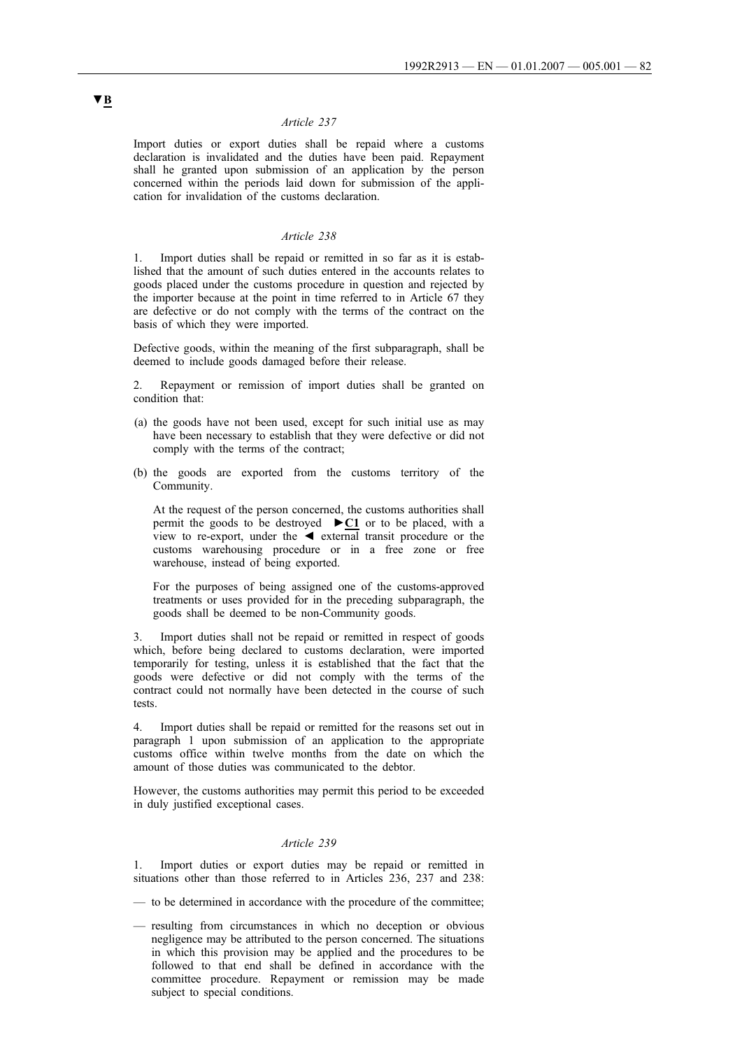Import duties or export duties shall be repaid where a customs declaration is invalidated and the duties have been paid. Repayment shall he granted upon submission of an application by the person concerned within the periods laid down for submission of the application for invalidation of the customs declaration.

#### *Article 238*

Import duties shall be repaid or remitted in so far as it is established that the amount of such duties entered in the accounts relates to goods placed under the customs procedure in question and rejected by the importer because at the point in time referred to in Article 67 they are defective or do not comply with the terms of the contract on the basis of which they were imported.

Defective goods, within the meaning of the first subparagraph, shall be deemed to include goods damaged before their release.

2. Repayment or remission of import duties shall be granted on condition that:

- (a) the goods have not been used, except for such initial use as may have been necessary to establish that they were defective or did not comply with the terms of the contract;
- (b) the goods are exported from the customs territory of the Community.

At the request of the person concerned, the customs authorities shall permit the goods to be destroyed **►C1** or to be placed, with a view to re-export, under the ◄ external transit procedure or the customs warehousing procedure or in a free zone or free warehouse, instead of being exported.

For the purposes of being assigned one of the customs-approved treatments or uses provided for in the preceding subparagraph, the goods shall be deemed to be non-Community goods.

3. Import duties shall not be repaid or remitted in respect of goods which, before being declared to customs declaration, were imported temporarily for testing, unless it is established that the fact that the goods were defective or did not comply with the terms of the contract could not normally have been detected in the course of such tests.

Import duties shall be repaid or remitted for the reasons set out in paragraph 1 upon submission of an application to the appropriate customs office within twelve months from the date on which the amount of those duties was communicated to the debtor.

However, the customs authorities may permit this period to be exceeded in duly justified exceptional cases.

#### *Article 239*

1. Import duties or export duties may be repaid or remitted in situations other than those referred to in Articles 236, 237 and 238:

- to be determined in accordance with the procedure of the committee;
- resulting from circumstances in which no deception or obvious negligence may be attributed to the person concerned. The situations in which this provision may be applied and the procedures to be followed to that end shall be defined in accordance with the committee procedure. Repayment or remission may be made subject to special conditions.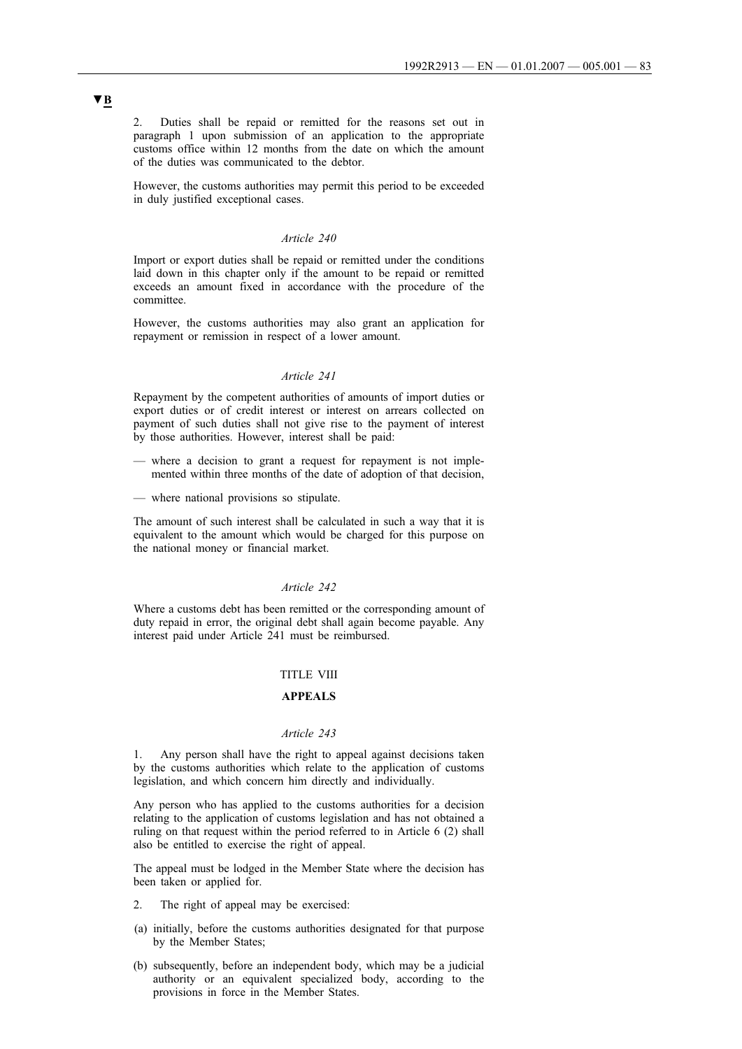2. Duties shall be repaid or remitted for the reasons set out in paragraph 1 upon submission of an application to the appropriate customs office within 12 months from the date on which the amount of the duties was communicated to the debtor.

However, the customs authorities may permit this period to be exceeded in duly justified exceptional cases.

## *Article 240*

Import or export duties shall be repaid or remitted under the conditions laid down in this chapter only if the amount to be repaid or remitted exceeds an amount fixed in accordance with the procedure of the committee.

However, the customs authorities may also grant an application for repayment or remission in respect of a lower amount.

### *Article 241*

Repayment by the competent authorities of amounts of import duties or export duties or of credit interest or interest on arrears collected on payment of such duties shall not give rise to the payment of interest by those authorities. However, interest shall be paid:

- where a decision to grant a request for repayment is not implemented within three months of the date of adoption of that decision,
- where national provisions so stipulate.

The amount of such interest shall be calculated in such a way that it is equivalent to the amount which would be charged for this purpose on the national money or financial market.

### *Article 242*

Where a customs debt has been remitted or the corresponding amount of duty repaid in error, the original debt shall again become payable. Any interest paid under Article 241 must be reimbursed.

## TITLE VIII

### **APPEALS**

### *Article 243*

1. Any person shall have the right to appeal against decisions taken by the customs authorities which relate to the application of customs legislation, and which concern him directly and individually.

Any person who has applied to the customs authorities for a decision relating to the application of customs legislation and has not obtained a ruling on that request within the period referred to in Article 6 (2) shall also be entitled to exercise the right of appeal.

The appeal must be lodged in the Member State where the decision has been taken or applied for.

- 2. The right of appeal may be exercised:
- (a) initially, before the customs authorities designated for that purpose by the Member States;
- (b) subsequently, before an independent body, which may be a judicial authority or an equivalent specialized body, according to the provisions in force in the Member States.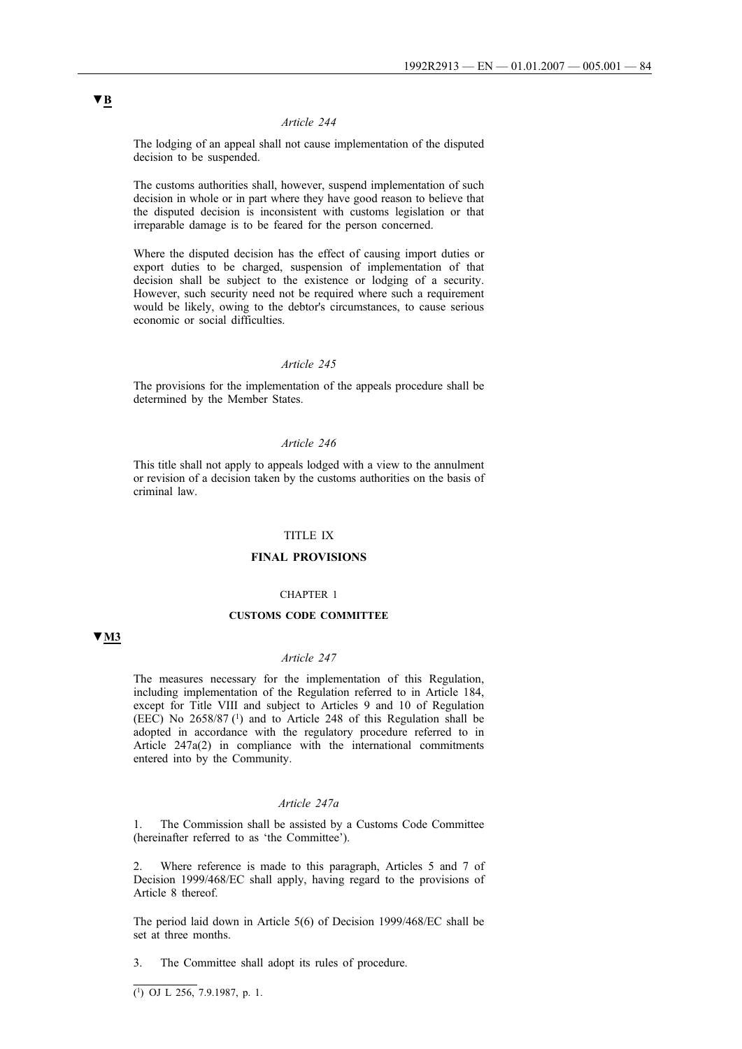The lodging of an appeal shall not cause implementation of the disputed decision to be suspended.

The customs authorities shall, however, suspend implementation of such decision in whole or in part where they have good reason to believe that the disputed decision is inconsistent with customs legislation or that irreparable damage is to be feared for the person concerned.

Where the disputed decision has the effect of causing import duties or export duties to be charged, suspension of implementation of that decision shall be subject to the existence or lodging of a security. However, such security need not be required where such a requirement would be likely, owing to the debtor's circumstances, to cause serious economic or social difficulties.

## *Article 245*

The provisions for the implementation of the appeals procedure shall be determined by the Member States.

#### *Article 246*

This title shall not apply to appeals lodged with a view to the annulment or revision of a decision taken by the customs authorities on the basis of criminal law.

#### TITLE IX

## **FINAL PROVISIONS**

#### CHAPTER 1

### **CUSTOMS CODE COMMITTEE**

## **▼M3**

#### *Article 247*

The measures necessary for the implementation of this Regulation, including implementation of the Regulation referred to in Article 184, except for Title VIII and subject to Articles 9 and 10 of Regulation (EEC) No 2658/87 (1) and to Article 248 of this Regulation shall be adopted in accordance with the regulatory procedure referred to in Article 247a(2) in compliance with the international commitments entered into by the Community.

#### *Article 247a*

1. The Commission shall be assisted by a Customs Code Committee (hereinafter referred to as 'the Committee').

2. Where reference is made to this paragraph, Articles 5 and 7 of Decision 1999/468/EC shall apply, having regard to the provisions of Article 8 thereof.

The period laid down in Article 5(6) of Decision 1999/468/EC shall be set at three months.

3. The Committee shall adopt its rules of procedure.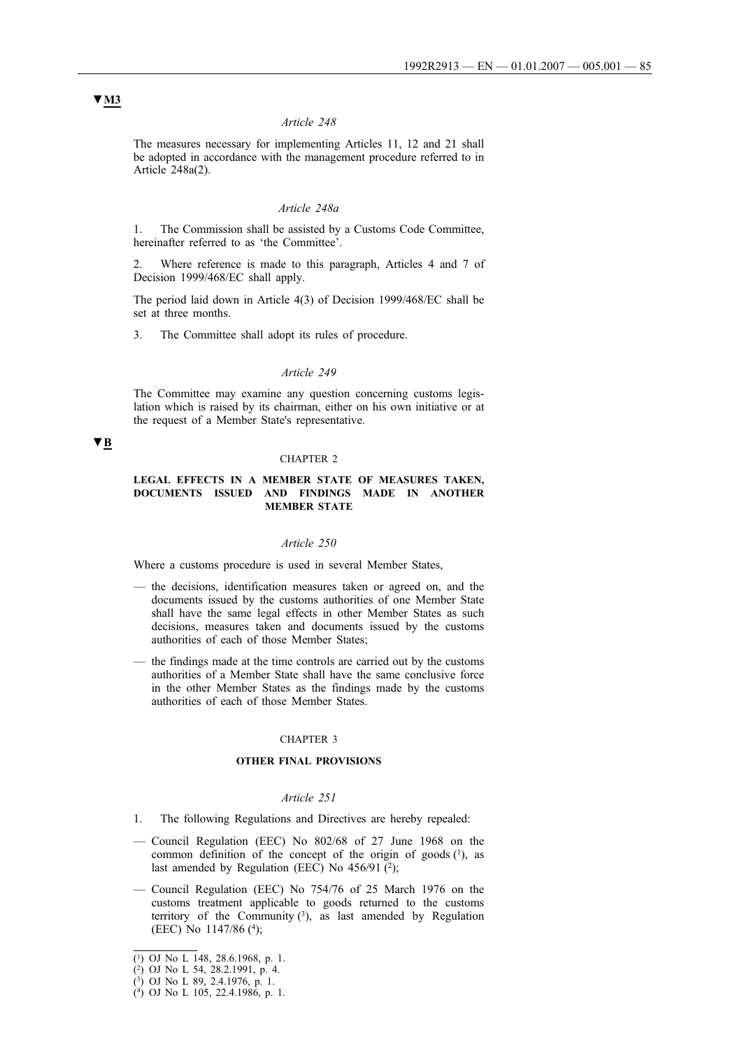The measures necessary for implementing Articles 11, 12 and 21 shall be adopted in accordance with the management procedure referred to in Article 248a(2).

#### *Article 248a*

1. The Commission shall be assisted by a Customs Code Committee, hereinafter referred to as 'the Committee'.

2. Where reference is made to this paragraph, Articles 4 and 7 of Decision 1999/468/EC shall apply.

The period laid down in Article 4(3) of Decision 1999/468/EC shall be set at three months.

3. The Committee shall adopt its rules of procedure.

## *Article 249*

The Committee may examine any question concerning customs legislation which is raised by its chairman, either on his own initiative or at the request of a Member State's representative.

## **▼B**

#### CHAPTER 2

### **LEGAL EFFECTS IN A MEMBER STATE OF MEASURES TAKEN, DOCUMENTS ISSUED AND FINDINGS MADE IN ANOTHER MEMBER STATE**

## *Article 250*

Where a customs procedure is used in several Member States,

- the decisions, identification measures taken or agreed on, and the documents issued by the customs authorities of one Member State shall have the same legal effects in other Member States as such decisions, measures taken and documents issued by the customs authorities of each of those Member States;
- the findings made at the time controls are carried out by the customs authorities of a Member State shall have the same conclusive force in the other Member States as the findings made by the customs authorities of each of those Member States.

#### CHAPTER 3

## **OTHER FINAL PROVISIONS**

## *Article 251*

- 1. The following Regulations and Directives are hereby repealed:
- Council Regulation (EEC) No 802/68 of 27 June 1968 on the common definition of the concept of the origin of goods (1), as last amended by Regulation (EEC) No  $456/91$  (2);
- Council Regulation (EEC) No 754/76 of 25 March 1976 on the customs treatment applicable to goods returned to the customs territory of the Community  $(3)$ , as last amended by Regulation (EEC) No 1147/86 (4);

# **▼M3**

<sup>(1)</sup> OJ No L 148, 28.6.1968, p. 1.

<sup>(2)</sup> OJ No L 54, 28.2.1991, p. 4.

<sup>(3)</sup> OJ No L 89, 2.4.1976, p. 1.

 $(4)$  OJ No L 105, 22.4.1986, p. 1.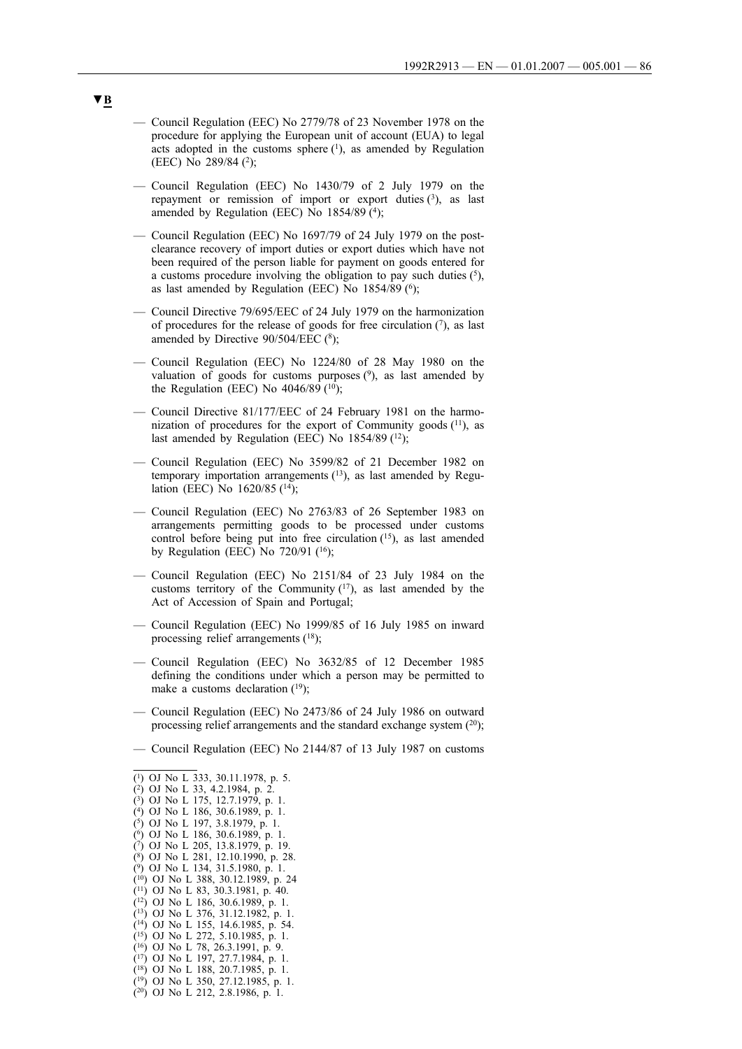- Council Regulation (EEC) No 2779/78 of 23 November 1978 on the procedure for applying the European unit of account (EUA) to legal acts adopted in the customs sphere  $(1)$ , as amended by Regulation (EEC) No 289/84 (2);
- Council Regulation (EEC) No 1430/79 of 2 July 1979 on the repayment or remission of import or export duties  $(3)$ , as last amended by Regulation (EEC) No  $1854/89$  ( $4$ );
- Council Regulation (EEC) No 1697/79 of 24 July 1979 on the postclearance recovery of import duties or export duties which have not been required of the person liable for payment on goods entered for a customs procedure involving the obligation to pay such duties  $(5)$ , as last amended by Regulation (EEC) No  $1854/89$  ( $6$ );
- Council Directive 79/695/EEC of 24 July 1979 on the harmonization of procedures for the release of goods for free circulation  $(7)$ , as last amended by Directive 90/504/EEC (<sup>8</sup>);
- Council Regulation (EEC) No 1224/80 of 28 May 1980 on the valuation of goods for customs purposes  $(9)$ , as last amended by the Regulation (EEC) No  $4046/89$  ( $10$ );
- Council Directive 81/177/EEC of 24 February 1981 on the harmonization of procedures for the export of Community goods  $(11)$ , as last amended by Regulation (EEC) No  $1854/89$  ( $^{12}$ );
- Council Regulation (EEC) No 3599/82 of 21 December 1982 on temporary importation arrangements (13), as last amended by Regulation (EEC) No 1620/85 (<sup>14</sup>);
- Council Regulation (EEC) No 2763/83 of 26 September 1983 on arrangements permitting goods to be processed under customs control before being put into free circulation (15), as last amended by Regulation (EEC) No 720/91 (16);
- Council Regulation (EEC) No 2151/84 of 23 July 1984 on the customs territory of the Community  $(17)$ , as last amended by the Act of Accession of Spain and Portugal;
- Council Regulation (EEC) No 1999/85 of 16 July 1985 on inward processing relief arrangements (18);
- Council Regulation (EEC) No 3632/85 of 12 December 1985 defining the conditions under which a person may be permitted to make a customs declaration  $(19)$ ;
- Council Regulation (EEC) No 2473/86 of 24 July 1986 on outward processing relief arrangements and the standard exchange system  $(20)$ ;
- Council Regulation (EEC) No 2144/87 of 13 July 1987 on customs

- $(11)$  OJ No L 83, 30.3.1981, p. 40.
- (12) OJ No L 186, 30.6.1989, p. 1. (13) OJ No L 376, 31.12.1982, p. 1.

(15) OJ No L 272, 5.10.1985, p. 1.

- (17) OJ No L 197, 27.7.1984, p. 1.
- (18) OJ No L 188, 20.7.1985, p. 1.
- (19) OJ No L 350, 27.12.1985, p. 1.
- (20) OJ No L 212, 2.8.1986, p. 1.

<sup>(1)</sup> OJ No L 333, 30.11.1978, p. 5.

<sup>(2)</sup> OJ No L 33, 4.2.1984, p. 2.

 $(3)$  OJ No L 175, 12.7.1979, p. 1.

<sup>(4)</sup> OJ No L 186, 30.6.1989, p. 1.

<sup>(5)</sup> OJ No L 197, 3.8.1979, p. 1.

<sup>(6)</sup> OJ No L 186, 30.6.1989, p. 1.

 $(7)$  OJ No L 205, 13.8.1979, p. 19.

<sup>(8)</sup> OJ No L 281, 12.10.1990, p. 28.

<sup>(9)</sup> OJ No L 134, 31.5.1980, p. 1.

 $(10)$  OJ No L 388, 30.12.1989, p. 24

<sup>(14)</sup> OJ No L 155, 14.6.1985, p. 54.

 $(16)$  OJ No L 78, 26.3.1991, p. 9.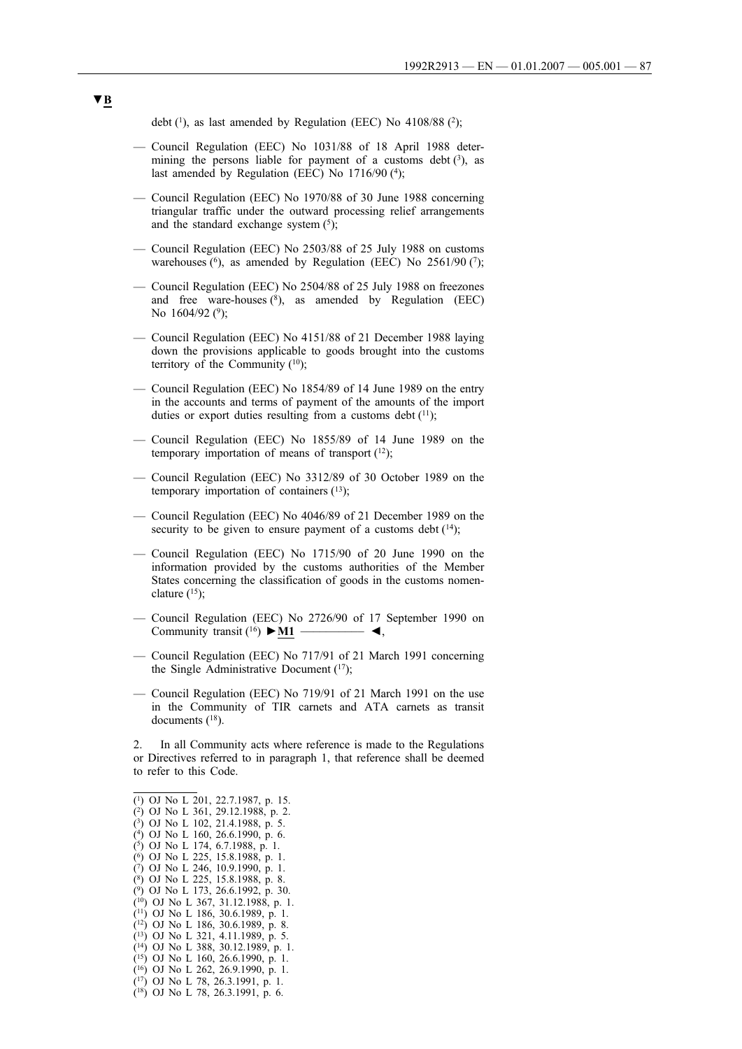debt  $(1)$ , as last amended by Regulation (EEC) No 4108/88  $(2)$ ;

- Council Regulation (EEC) No 1031/88 of 18 April 1988 determining the persons liable for payment of a customs debt  $(3)$ , as last amended by Regulation (EEC) No  $1716/90$  (4);
- Council Regulation (EEC) No 1970/88 of 30 June 1988 concerning triangular traffic under the outward processing relief arrangements and the standard exchange system  $(5)$ ;
- Council Regulation (EEC) No 2503/88 of 25 July 1988 on customs warehouses  $(6)$ , as amended by Regulation (EEC) No 2561/90  $(7)$ ;
- Council Regulation (EEC) No 2504/88 of 25 July 1988 on freezones and free ware-houses  $(^{8})$ , as amended by Regulation (EEC) No 1604/92 (9);
- Council Regulation (EEC) No 4151/88 of 21 December 1988 laying down the provisions applicable to goods brought into the customs territory of the Community  $(10)$ ;
- Council Regulation (EEC) No 1854/89 of 14 June 1989 on the entry in the accounts and terms of payment of the amounts of the import duties or export duties resulting from a customs debt  $(11)$ ;
- Council Regulation (EEC) No 1855/89 of 14 June 1989 on the temporary importation of means of transport  $(12)$ ;
- Council Regulation (EEC) No 3312/89 of 30 October 1989 on the temporary importation of containers  $(13)$ ;
- Council Regulation (EEC) No 4046/89 of 21 December 1989 on the security to be given to ensure payment of a customs debt  $(14)$ ;
- Council Regulation (EEC) No 1715/90 of 20 June 1990 on the information provided by the customs authorities of the Member States concerning the classification of goods in the customs nomenclature  $(^{15})$ ;
- Council Regulation (EEC) No 2726/90 of 17 September 1990 on Community transit  $(^{16})$   $\blacktriangleright$  **M1**  $\longrightarrow$   $\blacktriangleleft$ ,
- Council Regulation (EEC) No 717/91 of 21 March 1991 concerning the Single Administrative Document  $(17)$ ;
- Council Regulation (EEC) No 719/91 of 21 March 1991 on the use in the Community of TIR carnets and ATA carnets as transit documents (18).

In all Community acts where reference is made to the Regulations or Directives referred to in paragraph 1, that reference shall be deemed to refer to this Code.

<sup>(1)</sup> OJ No L 201, 22.7.1987, p. 15. (2) OJ No L 361, 29.12.1988, p. 2. (3) OJ No L 102, 21.4.1988, p. 5. (4) OJ No L 160, 26.6.1990, p. 6.  $(5)$  OJ No L 174, 6.7.1988, p. 1. (6) OJ No L 225, 15.8.1988, p. 1. (7) OJ No L 246, 10.9.1990, p. 1. (8) OJ No L 225, 15.8.1988, p. 8. (9) OJ No L 173, 26.6.1992, p. 30. (10) OJ No L 367, 31.12.1988, p. 1. (11) OJ No L 186, 30.6.1989, p. 1.  $(12)$  OJ No L 186, 30.6.1989, p. 8.  $(13)$  OJ No L 321, 4.11.1989, p. 5.  $(14)$  OJ No L 388, 30.12.1989, p. 1. (15) OJ No L 160, 26.6.1990, p. 1. (16) OJ No L 262, 26.9.1990, p. 1. (17) OJ No L 78, 26.3.1991, p. 1. (18) OJ No L 78, 26.3.1991, p. 6.